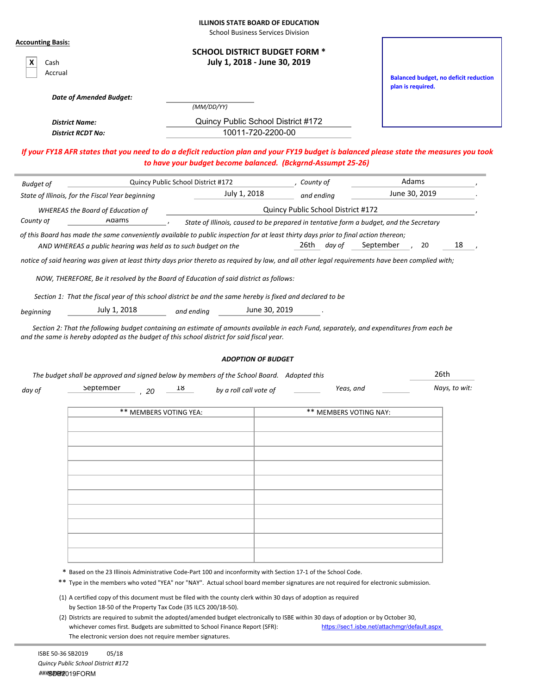| <b>ILLINOIS STATE BOARD OF EDUCATION</b> |  |  |  |  |
|------------------------------------------|--|--|--|--|
|------------------------------------------|--|--|--|--|

School Business Services Division

| <b>Accounting Basis:</b> |                                                                |                                                                                                                                                                                                                                                       |                                                                                        |                                                                                                                                          |
|--------------------------|----------------------------------------------------------------|-------------------------------------------------------------------------------------------------------------------------------------------------------------------------------------------------------------------------------------------------------|----------------------------------------------------------------------------------------|------------------------------------------------------------------------------------------------------------------------------------------|
|                          |                                                                | <b>SCHOOL DISTRICT BUDGET FORM *</b>                                                                                                                                                                                                                  |                                                                                        |                                                                                                                                          |
| Cash                     |                                                                | July 1, 2018 - June 30, 2019                                                                                                                                                                                                                          |                                                                                        |                                                                                                                                          |
| Accrual                  |                                                                |                                                                                                                                                                                                                                                       |                                                                                        | <b>Balanced budget, no deficit reduction</b>                                                                                             |
|                          |                                                                |                                                                                                                                                                                                                                                       |                                                                                        | plan is required.                                                                                                                        |
|                          | <b>Date of Amended Budget:</b>                                 | (MM/DD/YY)                                                                                                                                                                                                                                            |                                                                                        |                                                                                                                                          |
|                          | <b>District Name:</b>                                          | Quincy Public School District #172                                                                                                                                                                                                                    |                                                                                        |                                                                                                                                          |
|                          | <b>District RCDT No:</b>                                       | 10011-720-2200-00                                                                                                                                                                                                                                     |                                                                                        |                                                                                                                                          |
|                          |                                                                |                                                                                                                                                                                                                                                       |                                                                                        |                                                                                                                                          |
|                          |                                                                | to have your budget become balanced. (Bckgrnd-Assumpt 25-26)                                                                                                                                                                                          |                                                                                        | If your FY18 AFR states that you need to do a deficit reduction plan and your FY19 budget is balanced please state the measures you took |
| <b>Budget of</b>         |                                                                | Quincy Public School District #172                                                                                                                                                                                                                    | , County of                                                                            | Adams                                                                                                                                    |
|                          | State of Illinois, for the Fiscal Year beginning               | July 1, 2018                                                                                                                                                                                                                                          | and ending                                                                             | June 30, 2019                                                                                                                            |
|                          | <b>WHEREAS the Board of Education of</b>                       |                                                                                                                                                                                                                                                       | Quincy Public School District #172                                                     |                                                                                                                                          |
| County of                | Adams                                                          |                                                                                                                                                                                                                                                       | State of Illinois, caused to be prepared in tentative form a budget, and the Secretary |                                                                                                                                          |
|                          |                                                                | of this Board has made the same conveniently available to public inspection for at least thirty days prior to final action thereon;                                                                                                                   |                                                                                        |                                                                                                                                          |
|                          | AND WHEREAS a public hearing was held as to such budget on the |                                                                                                                                                                                                                                                       | 26th<br>day of                                                                         | 18<br>September<br>20                                                                                                                    |
|                          |                                                                | notice of said hearing was given at least thirty days prior thereto as required by law, and all other legal requirements have been complied with;                                                                                                     |                                                                                        |                                                                                                                                          |
|                          | July 1, 2018                                                   | Section 1: That the fiscal year of this school district be and the same hereby is fixed and declared to be                                                                                                                                            | June 30, 2019                                                                          |                                                                                                                                          |
| beginning                |                                                                | and ending                                                                                                                                                                                                                                            |                                                                                        |                                                                                                                                          |
|                          |                                                                | <b>ADOPTION OF BUDGET</b>                                                                                                                                                                                                                             |                                                                                        | 26th                                                                                                                                     |
|                          |                                                                | The budget shall be approved and signed below by members of the School Board. Adopted this                                                                                                                                                            |                                                                                        |                                                                                                                                          |
| day of                   | September<br>20                                                | 18<br>by a roll call vote of                                                                                                                                                                                                                          | Yeas, and                                                                              | Nays, to wit:                                                                                                                            |
|                          | ** MEMBERS VOTING YEA:                                         |                                                                                                                                                                                                                                                       | ** MEMBERS VOTING NAY:                                                                 |                                                                                                                                          |
|                          |                                                                |                                                                                                                                                                                                                                                       |                                                                                        |                                                                                                                                          |
|                          |                                                                |                                                                                                                                                                                                                                                       |                                                                                        |                                                                                                                                          |
|                          |                                                                |                                                                                                                                                                                                                                                       |                                                                                        |                                                                                                                                          |
|                          |                                                                |                                                                                                                                                                                                                                                       |                                                                                        |                                                                                                                                          |
|                          |                                                                |                                                                                                                                                                                                                                                       |                                                                                        |                                                                                                                                          |
|                          |                                                                |                                                                                                                                                                                                                                                       |                                                                                        |                                                                                                                                          |
|                          |                                                                |                                                                                                                                                                                                                                                       |                                                                                        |                                                                                                                                          |
|                          |                                                                |                                                                                                                                                                                                                                                       |                                                                                        |                                                                                                                                          |
|                          |                                                                |                                                                                                                                                                                                                                                       |                                                                                        |                                                                                                                                          |
|                          |                                                                |                                                                                                                                                                                                                                                       |                                                                                        |                                                                                                                                          |
|                          |                                                                |                                                                                                                                                                                                                                                       |                                                                                        |                                                                                                                                          |
|                          |                                                                |                                                                                                                                                                                                                                                       |                                                                                        |                                                                                                                                          |
|                          |                                                                | * Based on the 23 Illinois Administrative Code-Part 100 and inconformity with Section 17-1 of the School Code.<br>** Type in the members who voted "YEA" nor "NAY". Actual school board member signatures are not required for electronic submission. |                                                                                        |                                                                                                                                          |
|                          |                                                                |                                                                                                                                                                                                                                                       |                                                                                        |                                                                                                                                          |
|                          | by Section 18-50 of the Property Tax Code (35 ILCS 200/18-50). | (1) A certified copy of this document must be filed with the county clerk within 30 days of adoption as required                                                                                                                                      |                                                                                        |                                                                                                                                          |
|                          |                                                                |                                                                                                                                                                                                                                                       |                                                                                        |                                                                                                                                          |

(2) Districts are required to submit the adopted/amended budget electronically to ISBE within 30 days of adoption or by October 30, whichever comes first. Budgets are submitted to School Finance Report (SFR): https://sec1.isbe.net/attachmgr/default.aspx The electronic version does not require member signatures.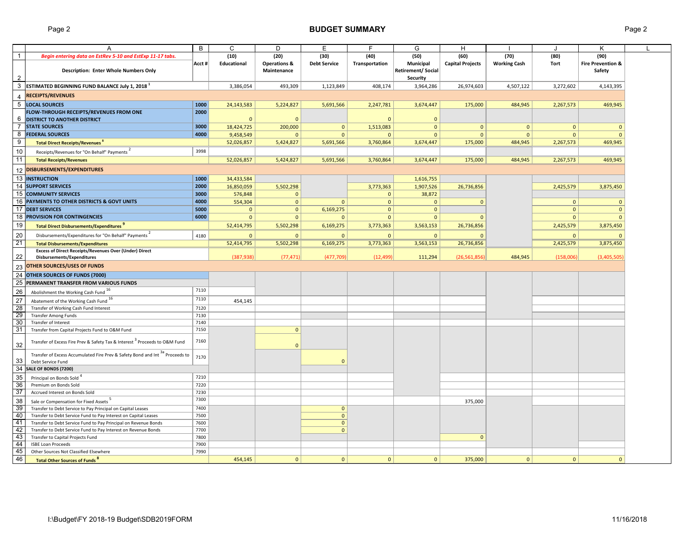## Page 2 **BUDGET SUMMARY** Page 2

|                 | A                                                                                      | B     | C            | D                       | E                   | F              | G                         | H                       |                     | $\cdot$      | К                            |  |
|-----------------|----------------------------------------------------------------------------------------|-------|--------------|-------------------------|---------------------|----------------|---------------------------|-------------------------|---------------------|--------------|------------------------------|--|
| $\mathbf{1}$    | Begin entering data on EstRev 5-10 and EstExp 11-17 tabs.                              |       | (10)         | (20)                    | (30)                | (40)           | (50)                      | (60)                    | (70)                | (80)         | (90)                         |  |
|                 |                                                                                        | Acct# | Educational  | <b>Operations &amp;</b> | <b>Debt Service</b> | Transportation | Municipal                 | <b>Capital Projects</b> | <b>Working Cash</b> | <b>Tort</b>  | <b>Fire Prevention &amp;</b> |  |
|                 | <b>Description: Enter Whole Numbers Only</b>                                           |       |              | Maintenance             |                     |                | <b>Retirement/ Social</b> |                         |                     |              | Safety                       |  |
| 2               |                                                                                        |       |              |                         |                     |                | <b>Security</b>           |                         |                     |              |                              |  |
| 3               | ESTIMATED BEGINNING FUND BALANCE July 1, 2018 <sup>1</sup>                             |       | 3,386,054    | 493,309                 | 1,123,849           | 408,174        | 3,964,286                 | 26,974,603              | 4,507,122           | 3,272,602    | 4,143,395                    |  |
|                 |                                                                                        |       |              |                         |                     |                |                           |                         |                     |              |                              |  |
| $\overline{4}$  | <b>RECEIPTS/REVENUES</b>                                                               |       |              |                         |                     |                |                           |                         |                     |              |                              |  |
|                 | 5 LOCAL SOURCES                                                                        | 1000  | 24,143,583   | 5,224,827               | 5,691,566           | 2,247,781      | 3,674,447                 | 175,000                 | 484,945             | 2,267,573    | 469,945                      |  |
|                 | FLOW-THROUGH RECEIPTS/REVENUES FROM ONE                                                | 2000  |              |                         |                     |                |                           |                         |                     |              |                              |  |
| 6               | <b>DISTRICT TO ANOTHER DISTRICT</b>                                                    |       | $\mathbf{0}$ | $\Omega$                |                     | $\Omega$       | $\mathbf{0}$              |                         |                     |              |                              |  |
|                 | <b>7 STATE SOURCES</b>                                                                 | 3000  | 18,424,725   | 200,000                 | $\mathbf{0}$        | 1,513,083      | $\mathbf{0}$              | $\mathbf{0}$            | $\overline{0}$      | $\mathbf{0}$ | $\Omega$                     |  |
|                 | 8 <b>FEDERAL SOURCES</b>                                                               | 4000  | 9,458,549    | $\Omega$                | $\mathbf{0}$        | $\mathbf{0}$   | $\mathbf{0}$              | $\mathbf{0}$            | $\mathbf{0}$        | $\mathbf{0}$ | $\mathbf{0}$                 |  |
| 9               | <b>Total Direct Receipts/Revenues<sup>8</sup></b>                                      |       | 52,026,857   | 5,424,827               | 5,691,566           | 3,760,864      | 3,674,447                 | 175,000                 | 484,945             | 2,267,573    | 469,945                      |  |
| 10              | Receipts/Revenues for "On Behalf" Payments                                             | 3998  |              |                         |                     |                |                           |                         |                     |              |                              |  |
| 11              | <b>Total Receipts/Revenues</b>                                                         |       | 52,026,857   | 5,424,827               | 5,691,566           | 3,760,864      | 3,674,447                 | 175,000                 | 484,945             | 2,267,573    | 469,945                      |  |
| 12 <sup>°</sup> | DISBURSEMENTS/EXPENDITURES                                                             |       |              |                         |                     |                |                           |                         |                     |              |                              |  |
|                 | 13 INSTRUCTION                                                                         | 1000  |              |                         |                     |                |                           |                         |                     |              |                              |  |
|                 | 14 SUPPORT SERVICES                                                                    | 2000  | 34,433,584   |                         |                     |                | 1,616,755                 |                         |                     |              |                              |  |
|                 |                                                                                        |       | 16,850,059   | 5,502,298               |                     | 3,773,363      | 1,907,526                 | 26,736,856              |                     | 2,425,579    | 3,875,450                    |  |
|                 | 15 COMMUNITY SERVICES                                                                  | 3000  | 576,848      | $\mathbf{0}$            |                     | $\mathbf{0}$   | 38,872                    |                         |                     |              |                              |  |
|                 | 16 PAYMENTS TO OTHER DISTRICTS & GOVT UNITS                                            | 4000  | 554,304      | $\mathbf 0$             | $\mathbf{0}$        | $\mathbf{0}$   | $\mathbf{0}$              | $\mathbf{0}$            |                     | $\mathbf{0}$ | $\mathbf{0}$                 |  |
|                 | 17 DEBT SERVICES                                                                       | 5000  | $\mathbf{0}$ | $\mathbf{0}$            | 6,169,275           | $\mathbf{0}$   | $\mathbf{0}$              |                         |                     | $\mathbf{0}$ | $\mathbf{0}$                 |  |
|                 | 18 PROVISION FOR CONTINGENCIES                                                         | 6000  | $\mathbf{0}$ | $\mathbf{0}$            | $\Omega$            | $\mathbf{0}$   | $\mathbf{0}$              |                         |                     | $\mathbf{0}$ |                              |  |
| 19              | <b>Total Direct Disbursements/Expenditures</b>                                         |       | 52,414,795   | 5,502,298               | 6,169,275           | 3,773,363      | 3,563,153                 | 26,736,856              |                     | 2,425,579    | 3,875,450                    |  |
| 20              | Disbursements/Expenditures for "On Behalf" Payments "                                  | 4180  | $\mathbf{0}$ | $\mathbf{0}$            | $\overline{0}$      | $\mathbf{0}$   | $\mathbf{0}$              | $\Omega$                |                     | $\mathbf{0}$ |                              |  |
| $\overline{21}$ | <b>Total Disbursements/Expenditures</b>                                                |       | 52,414,795   | 5,502,298               | 6,169,275           | 3,773,363      | 3,563,153                 | 26,736,856              |                     | 2,425,579    | 3,875,450                    |  |
|                 | <b>Excess of Direct Receipts/Revenues Over (Under) Direct</b>                          |       |              |                         |                     |                |                           |                         |                     |              |                              |  |
| 22              | Disbursements/Expenditures                                                             |       | (387, 938)   | (77, 471)               | (477, 709)          | (12, 499)      | 111,294                   | (26, 561, 856)          | 484,945             | (158,006)    | (3,405,505)                  |  |
| 23              | <b>OTHER SOURCES/USES OF FUNDS</b>                                                     |       |              |                         |                     |                |                           |                         |                     |              |                              |  |
|                 | 24 OTHER SOURCES OF FUNDS (7000)                                                       |       |              |                         |                     |                |                           |                         |                     |              |                              |  |
|                 | 25 PERMANENT TRANSFER FROM VARIOUS FUNDS                                               |       |              |                         |                     |                |                           |                         |                     |              |                              |  |
| 26              | Abolishment the Working Cash Fund 16                                                   | 7110  |              |                         |                     |                |                           |                         |                     |              |                              |  |
| $27\,$          | Abatement of the Working Cash Fund 1b                                                  | 7110  | 454,145      |                         |                     |                |                           |                         |                     |              |                              |  |
| 28              | Transfer of Working Cash Fund Interest                                                 | 7120  |              |                         |                     |                |                           |                         |                     |              |                              |  |
| 29              | <b>Transfer Among Funds</b>                                                            | 7130  |              |                         |                     |                |                           |                         |                     |              |                              |  |
| 30              | Transfer of Interest                                                                   | 7140  |              |                         |                     |                |                           |                         |                     |              |                              |  |
| 31              | Transfer from Capital Projects Fund to O&M Fund                                        | 7150  |              | $\mathbf{0}$            |                     |                |                           |                         |                     |              |                              |  |
|                 |                                                                                        |       |              |                         |                     |                |                           |                         |                     |              |                              |  |
| 32              | Transfer of Excess Fire Prev & Safety Tax & Interest <sup>3</sup> Proceeds to O&M Fund | 7160  |              | $\mathbf{0}$            |                     |                |                           |                         |                     |              |                              |  |
|                 | Transfer of Excess Accumulated Fire Prev & Safety Bond and Int 3a Proceeds to          |       |              |                         |                     |                |                           |                         |                     |              |                              |  |
| 33              | Debt Service Fund                                                                      | 7170  |              |                         | $\Omega$            |                |                           |                         |                     |              |                              |  |
| 34              | SALE OF BONDS (7200)                                                                   |       |              |                         |                     |                |                           |                         |                     |              |                              |  |
| 35              | Principal on Bonds Sold <sup>4</sup>                                                   | 7210  |              |                         |                     |                |                           |                         |                     |              |                              |  |
| 36              | Premium on Bonds Sold                                                                  | 7220  |              |                         |                     |                |                           |                         |                     |              |                              |  |
| 37              | Accrued Interest on Bonds Sold                                                         | 7230  |              |                         |                     |                |                           |                         |                     |              |                              |  |
| 38              | Sale or Compensation for Fixed Assets                                                  | 7300  |              |                         |                     |                |                           | 375,000                 |                     |              |                              |  |
| 39              | Transfer to Debt Service to Pay Principal on Capital Leases                            | 7400  |              |                         | $\overline{0}$      |                |                           |                         |                     |              |                              |  |
| 40              | Transfer to Debt Service Fund to Pay Interest on Capital Leases                        | 7500  |              |                         | $\mathbf 0$         |                |                           |                         |                     |              |                              |  |
| 41              | Transfer to Debt Service Fund to Pay Principal on Revenue Bonds                        | 7600  |              |                         | $\mathbf 0$         |                |                           |                         |                     |              |                              |  |
| 42              | Transfer to Debt Service Fund to Pay Interest on Revenue Bonds                         | 7700  |              |                         | $\mathbf{0}$        |                |                           |                         |                     |              |                              |  |
| 43              | Transfer to Capital Projects Fund                                                      | 7800  |              |                         |                     |                |                           | $\mathbf{0}$            |                     |              |                              |  |
| 44              | <b>ISBE Loan Proceeds</b>                                                              | 7900  |              |                         |                     |                |                           |                         |                     |              |                              |  |
| 45              | Other Sources Not Classified Elsewhere                                                 | 7990  |              |                         |                     |                |                           |                         |                     |              |                              |  |
| 46              | <b>Total Other Sources of Funds<sup>8</sup></b>                                        |       | 454,145      | $\mathbf{0}$            | $\mathbf{0}$        | 0              | $\mathbf 0$               | 375,000                 | 0                   | $\mathbf{0}$ | $\mathbf{0}$                 |  |
|                 |                                                                                        |       |              |                         |                     |                |                           |                         |                     |              |                              |  |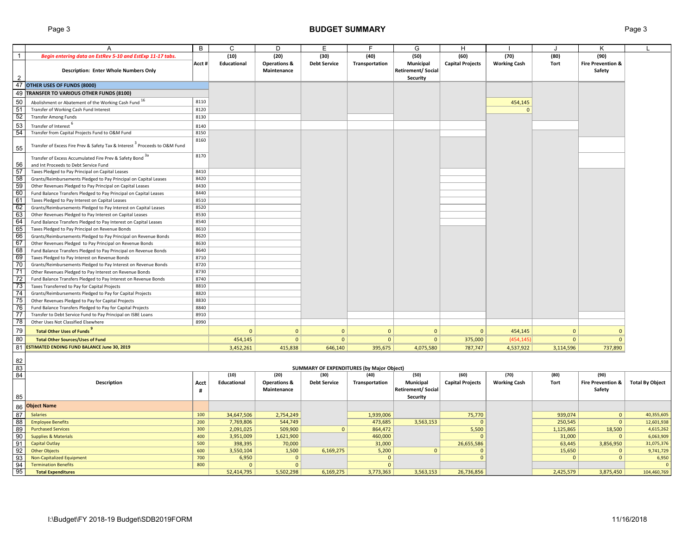## Page 3 **BUDGET SUMMARY** Page 3

|                                                                     | A                                                                                                                  | B            | C                  | D                                      | Е                                         | F.             | G                                                 | H                       |                     | ۱.           | Κ                                      |                        |
|---------------------------------------------------------------------|--------------------------------------------------------------------------------------------------------------------|--------------|--------------------|----------------------------------------|-------------------------------------------|----------------|---------------------------------------------------|-------------------------|---------------------|--------------|----------------------------------------|------------------------|
| $\overline{1}$                                                      | Begin entering data on EstRev 5-10 and EstExp 11-17 tabs.                                                          |              | (10)               | (20)                                   | (30)                                      | (40)           | (50)                                              | (60)                    | (70)                | (80)         | (90)                                   |                        |
| 2                                                                   | <b>Description: Enter Whole Numbers Only</b>                                                                       | Acct #       | <b>Educational</b> | <b>Operations &amp;</b><br>Maintenance | <b>Debt Service</b>                       | Transportation | Municipal<br><b>Retirement/Social</b><br>Security | <b>Capital Projects</b> | <b>Working Cash</b> | Tort         | <b>Fire Prevention &amp;</b><br>Safety |                        |
|                                                                     | 47 OTHER USES OF FUNDS (8000)                                                                                      |              |                    |                                        |                                           |                |                                                   |                         |                     |              |                                        |                        |
|                                                                     | 49 TRANSFER TO VARIOUS OTHER FUNDS (8100)                                                                          |              |                    |                                        |                                           |                |                                                   |                         |                     |              |                                        |                        |
| 50                                                                  |                                                                                                                    | 8110         |                    |                                        |                                           |                |                                                   |                         |                     |              |                                        |                        |
|                                                                     | Abolishment or Abatement of the Working Cash Fund<br>Transfer of Working Cash Fund Interest                        | 8120         |                    |                                        |                                           |                |                                                   |                         | 454,145<br>$\Omega$ |              |                                        |                        |
| $\frac{51}{52}$                                                     | <b>Transfer Among Funds</b>                                                                                        | 8130         |                    |                                        |                                           |                |                                                   |                         |                     |              |                                        |                        |
| 53                                                                  |                                                                                                                    |              |                    |                                        |                                           |                |                                                   |                         |                     |              |                                        |                        |
|                                                                     | Transfer of Interest <sup>o</sup>                                                                                  | 8140         |                    |                                        |                                           |                |                                                   |                         |                     |              |                                        |                        |
| 54                                                                  | Transfer from Capital Projects Fund to O&M Fund                                                                    | 8150<br>8160 |                    |                                        |                                           |                |                                                   |                         |                     |              |                                        |                        |
| 55                                                                  | Transfer of Excess Fire Prev & Safety Tax & Interest <sup>3</sup> Proceeds to O&M Fund                             |              |                    |                                        |                                           |                |                                                   |                         |                     |              |                                        |                        |
|                                                                     | Transfer of Excess Accumulated Fire Prev & Safety Bond 3a                                                          | 8170         |                    |                                        |                                           |                |                                                   |                         |                     |              |                                        |                        |
| 56                                                                  | and Int Proceeds to Debt Service Fund                                                                              |              |                    |                                        |                                           |                |                                                   |                         |                     |              |                                        |                        |
| 57                                                                  | Taxes Pledged to Pay Principal on Capital Leases                                                                   | 8410         |                    |                                        |                                           |                |                                                   |                         |                     |              |                                        |                        |
| $\begin{array}{r}\n 58 \\ \hline\n 59 \\ \hline\n 60\n \end{array}$ | Grants/Reimbursements Pledged to Pay Principal on Capital Leases                                                   | 8420         |                    |                                        |                                           |                |                                                   |                         |                     |              |                                        |                        |
|                                                                     | Other Revenues Pledged to Pay Principal on Capital Leases                                                          | 8430         |                    |                                        |                                           |                |                                                   |                         |                     |              |                                        |                        |
|                                                                     | Fund Balance Transfers Pledged to Pay Principal on Capital Leases                                                  | 8440         |                    |                                        |                                           |                |                                                   |                         |                     |              |                                        |                        |
| 61                                                                  | Taxes Pledged to Pay Interest on Capital Leases                                                                    | 8510         |                    |                                        |                                           |                |                                                   |                         |                     |              |                                        |                        |
| 62                                                                  | Grants/Reimbursements Pledged to Pay Interest on Capital Leases                                                    | 8520         |                    |                                        |                                           |                |                                                   |                         |                     |              |                                        |                        |
| $\frac{63}{64}$                                                     | Other Revenues Pledged to Pay Interest on Capital Leases                                                           | 8530<br>8540 |                    |                                        |                                           |                |                                                   |                         |                     |              |                                        |                        |
|                                                                     | Fund Balance Transfers Pledged to Pay Interest on Capital Leases                                                   | 8610         |                    |                                        |                                           |                |                                                   |                         |                     |              |                                        |                        |
| 65<br>66                                                            | Taxes Pledged to Pay Principal on Revenue Bonds<br>Grants/Reimbursements Pledged to Pay Principal on Revenue Bonds | 8620         |                    |                                        |                                           |                |                                                   |                         |                     |              |                                        |                        |
|                                                                     | Other Revenues Pledged to Pay Principal on Revenue Bonds                                                           | 8630         |                    |                                        |                                           |                |                                                   |                         |                     |              |                                        |                        |
| $\frac{67}{68}$                                                     | Fund Balance Transfers Pledged to Pay Principal on Revenue Bonds                                                   | 8640         |                    |                                        |                                           |                |                                                   |                         |                     |              |                                        |                        |
|                                                                     | Taxes Pledged to Pay Interest on Revenue Bonds                                                                     | 8710         |                    |                                        |                                           |                |                                                   |                         |                     |              |                                        |                        |
| $\frac{69}{70}$                                                     | Grants/Reimbursements Pledged to Pay Interest on Revenue Bonds                                                     | 8720         |                    |                                        |                                           |                |                                                   |                         |                     |              |                                        |                        |
| 71                                                                  | Other Revenues Pledged to Pay Interest on Revenue Bonds                                                            | 8730         |                    |                                        |                                           |                |                                                   |                         |                     |              |                                        |                        |
|                                                                     | Fund Balance Transfers Pledged to Pay Interest on Revenue Bonds                                                    | 8740         |                    |                                        |                                           |                |                                                   |                         |                     |              |                                        |                        |
|                                                                     | Taxes Transferred to Pay for Capital Projects                                                                      | 8810         |                    |                                        |                                           |                |                                                   |                         |                     |              |                                        |                        |
| $\frac{72}{73}$<br>$\frac{73}{74}$                                  | Grants/Reimbursements Pledged to Pay for Capital Projects                                                          | 8820         |                    |                                        |                                           |                |                                                   |                         |                     |              |                                        |                        |
|                                                                     | Other Revenues Pledged to Pay for Capital Projects                                                                 | 8830         |                    |                                        |                                           |                |                                                   |                         |                     |              |                                        |                        |
| 76                                                                  | Fund Balance Transfers Pledged to Pay for Capital Projects                                                         | 8840         |                    |                                        |                                           |                |                                                   |                         |                     |              |                                        |                        |
| 77                                                                  | Transfer to Debt Service Fund to Pay Principal on ISBE Loans                                                       | 8910         |                    |                                        |                                           |                |                                                   |                         |                     |              |                                        |                        |
| 78                                                                  | Other Uses Not Classified Elsewhere                                                                                | 8990         |                    |                                        |                                           |                |                                                   |                         |                     |              |                                        |                        |
| 79                                                                  | <b>Total Other Uses of Funds</b>                                                                                   |              | $\overline{0}$     | $\Omega$                               | $\mathbf{0}$                              | $\overline{0}$ | $\overline{0}$                                    | $\mathbf{0}$            | 454,145             | $\Omega$     | $\mathbf{0}$                           |                        |
| 80                                                                  | <b>Total Other Sources/Uses of Fund</b>                                                                            |              | 454,145            | $\mathbf{0}$                           | $\mathbf{0}$                              | $\mathbf{0}$   | $\overline{0}$                                    | 375,000                 | (454, 145)          | $\mathbf{0}$ | $\mathbf{0}$                           |                        |
|                                                                     | 81 ESTIMATED ENDING FUND BALANCE June 30, 2019                                                                     |              | 3,452,261          | 415,838                                | 646,140                                   | 395,675        | 4,075,580                                         | 787,747                 | 4,537,922           | 3,114,596    | 737,890                                |                        |
|                                                                     |                                                                                                                    |              |                    |                                        |                                           |                |                                                   |                         |                     |              |                                        |                        |
| 82<br>83                                                            |                                                                                                                    |              |                    |                                        | SUMMARY OF EXPENDITURES (by Major Object) |                |                                                   |                         |                     |              |                                        |                        |
| 84                                                                  |                                                                                                                    |              | (10)               | (20)                                   | (30)                                      | (40)           | (50)                                              | (60)                    | (70)                | (80)         | (90)                                   |                        |
|                                                                     | Description                                                                                                        | Acct         | Educational        | <b>Operations &amp;</b>                | <b>Debt Service</b>                       | Transportation | Municipal                                         | <b>Capital Projects</b> | <b>Working Cash</b> | Tort         | <b>Fire Prevention &amp;</b>           | <b>Total By Object</b> |
|                                                                     |                                                                                                                    | #            |                    | Maintenance                            |                                           |                | <b>Retirement/Social</b>                          |                         |                     |              | Safety                                 |                        |
| 85                                                                  |                                                                                                                    |              |                    |                                        |                                           |                | Security                                          |                         |                     |              |                                        |                        |
| 86                                                                  | <b>Object Name</b>                                                                                                 |              |                    |                                        |                                           |                |                                                   |                         |                     |              |                                        |                        |
| 87                                                                  | <b>Salaries</b>                                                                                                    | 100          | 34,647,506         | 2,754,249                              |                                           | 1,939,006      |                                                   | 75,770                  |                     | 939,074      | $\mathbf{0}$                           | 40,355,605             |
| 88                                                                  | <b>Employee Benefits</b>                                                                                           | 200          | 7,769,806          | 544,749                                |                                           | 473,685        | 3,563,153                                         | $\mathbf{0}$            |                     | 250,545      | $\mathbf{0}$                           | 12,601,938             |
| 89                                                                  | <b>Purchased Services</b>                                                                                          | 300          | 2,091,025          | 509,900                                | $\mathbf{0}$                              | 864,472        |                                                   | 5,500                   |                     | 1,125,865    | 18,500                                 | 4,615,262              |
| $\overline{0}$                                                      | <b>Supplies &amp; Materials</b>                                                                                    | 400          | 3,951,009          | 1,621,900                              |                                           | 460,000        |                                                   | $\mathbf{0}$            |                     | 31,000       | $\mathbf 0$                            | 6,063,909              |
| 91                                                                  | <b>Capital Outlay</b>                                                                                              | 500          | 398,395            | 70,000                                 |                                           | 31,000         |                                                   | 26,655,586              |                     | 63,445       | 3,856,950                              | 31,075,376             |
| 92                                                                  | <b>Other Objects</b>                                                                                               | 600          | 3,550,104          | 1,500                                  | 6,169,275                                 | 5,200          | $\overline{0}$                                    | $\mathbf{0}$            |                     | 15,650       | $\Omega$                               | 9,741,729              |
| $\frac{93}{94}$                                                     | Non-Capitalized Equipment                                                                                          | 700          | 6,950              | $\mathbf{0}$                           |                                           | $\mathbf{0}$   |                                                   | $\Omega$                |                     | $\mathbf{0}$ | $\mathbf{0}$                           | 6,950                  |
| 95                                                                  | <b>Termination Benefits</b>                                                                                        | 800          | $\mathbf{0}$       | $\mathbf{0}$                           |                                           | $\overline{0}$ |                                                   |                         |                     |              |                                        | $\mathfrak{g}$         |
|                                                                     | <b>Total Expenditures</b>                                                                                          |              | 52,414,795         | 5,502,298                              | 6,169,275                                 | 3,773,363      | 3,563,153                                         | 26,736,856              |                     | 2,425,579    | 3,875,450                              | 104,460,769            |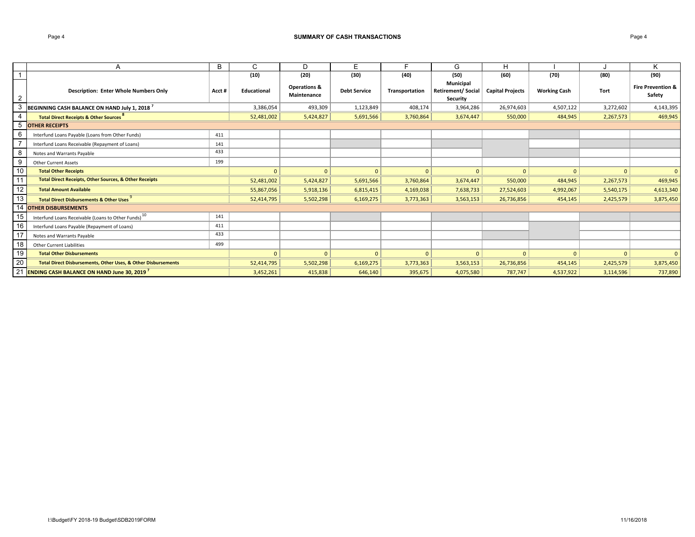### Page 4 **SUMMARY OF CASH TRANSACTIONS**

|    | A                                                                        | B     | С                  | D                                      | E.                  |                | G                                                  | H                       |                     |           | Κ                                      |
|----|--------------------------------------------------------------------------|-------|--------------------|----------------------------------------|---------------------|----------------|----------------------------------------------------|-------------------------|---------------------|-----------|----------------------------------------|
|    |                                                                          |       | (10)               | (20)                                   | (30)                | (40)           | (50)                                               | (60)                    | (70)                | (80)      | (90)                                   |
| 2  | <b>Description: Enter Whole Numbers Only</b>                             | Acct# | <b>Educational</b> | <b>Operations &amp;</b><br>Maintenance | <b>Debt Service</b> | Transportation | Municipal<br><b>Retirement/ Social</b><br>Security | <b>Capital Projects</b> | <b>Working Cash</b> | Tort      | <b>Fire Prevention &amp;</b><br>Safety |
| 3  | BEGINNING CASH BALANCE ON HAND July 1, 2018 <sup>7</sup>                 |       | 3,386,054          | 493,309                                | 1,123,849           | 408,174        | 3,964,286                                          | 26,974,603              | 4,507,122           | 3,272,602 | 4,143,395                              |
|    | <b>Total Direct Receipts &amp; Other Sources</b> <sup>8</sup>            |       | 52,481,002         | 5,424,827                              | 5,691,566           | 3,760,864      | 3,674,447                                          | 550,000                 | 484,945             | 2,267,573 | 469,945                                |
| 5  | <b>OTHER RECEIPTS</b>                                                    |       |                    |                                        |                     |                |                                                    |                         |                     |           |                                        |
| 6  | Interfund Loans Payable (Loans from Other Funds)                         | 411   |                    |                                        |                     |                |                                                    |                         |                     |           |                                        |
|    | Interfund Loans Receivable (Repayment of Loans)                          | 141   |                    |                                        |                     |                |                                                    |                         |                     |           |                                        |
| 8  | Notes and Warrants Payable                                               | 433   |                    |                                        |                     |                |                                                    |                         |                     |           |                                        |
| 9  | <b>Other Current Assets</b>                                              | 199   |                    |                                        |                     |                |                                                    |                         |                     |           |                                        |
| 10 | <b>Total Other Receipts</b>                                              |       | $\mathbf{0}$       | $\mathbf{0}$                           | $\overline{0}$      | $\mathbf{0}$   | $\overline{0}$                                     | $\overline{0}$          | $\mathbf{0}$        | $\Omega$  | $\mathbf{0}$                           |
| 11 | <b>Total Direct Receipts, Other Sources, &amp; Other Receipts</b>        |       | 52,481,002         | 5,424,827                              | 5,691,566           | 3,760,864      | 3,674,447                                          | 550,000                 | 484,945             | 2,267,573 | 469,945                                |
| 12 | <b>Total Amount Available</b>                                            |       | 55,867,056         | 5,918,136                              | 6,815,415           | 4,169,038      | 7,638,733                                          | 27,524,603              | 4,992,067           | 5,540,175 | 4,613,340                              |
| 13 | <b>Total Direct Disbursements &amp; Other Uses</b>                       |       | 52,414,795         | 5,502,298                              | 6,169,275           | 3,773,363      | 3,563,153                                          | 26,736,856              | 454,145             | 2,425,579 | 3,875,450                              |
| 14 | <b>OTHER DISBURSEMENTS</b>                                               |       |                    |                                        |                     |                |                                                    |                         |                     |           |                                        |
| 15 | Interfund Loans Receivable (Loans to Other Funds) <sup>10</sup>          | 141   |                    |                                        |                     |                |                                                    |                         |                     |           |                                        |
| 16 | Interfund Loans Payable (Repayment of Loans)                             | 411   |                    |                                        |                     |                |                                                    |                         |                     |           |                                        |
| 17 | Notes and Warrants Payable                                               | 433   |                    |                                        |                     |                |                                                    |                         |                     |           |                                        |
| 18 | <b>Other Current Liabilities</b>                                         | 499   |                    |                                        |                     |                |                                                    |                         |                     |           |                                        |
| 19 | <b>Total Other Disbursements</b>                                         |       | $\Omega$           | $\Omega$                               | $\Omega$            | $\Omega$       | $\mathbf{0}$                                       | $\mathbf{0}$            | $\Omega$            |           | $\mathbf{0}$                           |
| 20 | <b>Total Direct Disbursements, Other Uses, &amp; Other Disbursements</b> |       | 52,414,795         | 5,502,298                              | 6,169,275           | 3,773,363      | 3,563,153                                          | 26,736,856              | 454,145             | 2,425,579 | 3,875,450                              |
| 21 | <b>ENDING CASH BALANCE ON HAND June 30, 2019</b>                         |       | 3,452,261          | 415,838                                | 646,140             | 395,675        | 4,075,580                                          | 787,747                 | 4,537,922           | 3,114,596 | 737,890                                |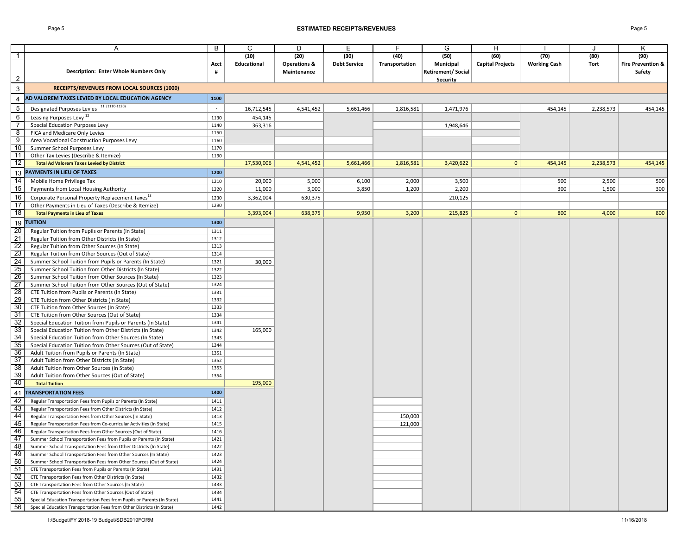### Page 5 **ESTIMATED RECEIPTS/REVENUES** Page 5

|                 | Α                                                                                                              | B            | C           | D                       | Е                   | F              | G                        | H                       |                     |           | κ                            |
|-----------------|----------------------------------------------------------------------------------------------------------------|--------------|-------------|-------------------------|---------------------|----------------|--------------------------|-------------------------|---------------------|-----------|------------------------------|
| $\mathbf{1}$    |                                                                                                                |              | (10)        | (20)                    | (30)                | (40)           | (50)                     | (60)                    | (70)                | (80)      | (90)                         |
|                 |                                                                                                                | Acct         | Educational | <b>Operations &amp;</b> | <b>Debt Service</b> | Transportation | Municipal                | <b>Capital Projects</b> | <b>Working Cash</b> | Tort      | <b>Fire Prevention &amp;</b> |
|                 | <b>Description: Enter Whole Numbers Only</b>                                                                   | #            |             | Maintenance             |                     |                | <b>Retirement/Social</b> |                         |                     |           | Safety                       |
| $\overline{2}$  |                                                                                                                |              |             |                         |                     |                | <b>Security</b>          |                         |                     |           |                              |
| $\mathbf{3}$    | RECEIPTS/REVENUES FROM LOCAL SOURCES (1000)                                                                    |              |             |                         |                     |                |                          |                         |                     |           |                              |
|                 |                                                                                                                |              |             |                         |                     |                |                          |                         |                     |           |                              |
| 4               | AD VALOREM TAXES LEVIED BY LOCAL EDUCATION AGENCY                                                              | 1100         |             |                         |                     |                |                          |                         |                     |           |                              |
| 5               | Designated Purposes Levies 11 (1110-1120)                                                                      | $\sim$       | 16,712,545  | 4,541,452               | 5,661,466           | 1,816,581      | 1,471,976                |                         | 454,145             | 2,238,573 | 454,145                      |
| 6               | Leasing Purposes Levy <sup>12</sup>                                                                            | 1130         | 454,145     |                         |                     |                |                          |                         |                     |           |                              |
| $\overline{7}$  | Special Education Purposes Levy                                                                                | 1140         | 363,316     |                         |                     |                | 1,948,646                |                         |                     |           |                              |
| 8               | FICA and Medicare Only Levies                                                                                  | 1150         |             |                         |                     |                |                          |                         |                     |           |                              |
| 9               | Area Vocational Construction Purposes Levy                                                                     | 1160         |             |                         |                     |                |                          |                         |                     |           |                              |
| 10              | Summer School Purposes Levy                                                                                    | 1170         |             |                         |                     |                |                          |                         |                     |           |                              |
| 11              | Other Tax Levies (Describe & Itemize)                                                                          | 1190         |             |                         |                     |                |                          |                         |                     |           |                              |
| 12              | <b>Total Ad Valorem Taxes Levied by District</b>                                                               |              | 17,530,006  | 4,541,452               | 5,661,466           | 1,816,581      | 3,420,622                | $\mathbf{0}$            | 454,145             | 2,238,573 | 454,145                      |
|                 |                                                                                                                |              |             |                         |                     |                |                          |                         |                     |           |                              |
|                 | 13 PAYMENTS IN LIEU OF TAXES                                                                                   | 1200         |             |                         |                     |                |                          |                         |                     |           |                              |
| 14              | Mobile Home Privilege Tax                                                                                      | 1210         | 20,000      | 5,000                   | 6,100               | 2,000          | 3,500                    |                         | 500                 | 2,500     | 500                          |
| 15              | Payments from Local Housing Authority                                                                          | 1220         | 11,000      | 3,000                   | 3,850               | 1,200          | 2,200                    |                         | 300                 | 1,500     | 300                          |
| 16              | Corporate Personal Property Replacement Taxes <sup>13</sup>                                                    | 1230         | 3,362,004   | 630,375                 |                     |                | 210,125                  |                         |                     |           |                              |
| 17              | Other Payments in Lieu of Taxes (Describe & Itemize)                                                           | 1290         |             |                         |                     |                |                          |                         |                     |           |                              |
| $\overline{18}$ | <b>Total Payments in Lieu of Taxes</b>                                                                         |              | 3,393,004   | 638,375                 | 9,950               | 3,200          | 215,825                  | $\mathbf{0}$            | 800                 | 4,000     | 800                          |
|                 | 19 TUITION                                                                                                     | 1300         |             |                         |                     |                |                          |                         |                     |           |                              |
| 20              | Regular Tuition from Pupils or Parents (In State)                                                              | 1311         |             |                         |                     |                |                          |                         |                     |           |                              |
| $\overline{21}$ | Regular Tuition from Other Districts (In State)                                                                | 1312         |             |                         |                     |                |                          |                         |                     |           |                              |
| 22              | Regular Tuition from Other Sources (In State)                                                                  | 1313         |             |                         |                     |                |                          |                         |                     |           |                              |
| 23              | Regular Tuition from Other Sources (Out of State)                                                              | 1314         |             |                         |                     |                |                          |                         |                     |           |                              |
| $\overline{24}$ | Summer School Tuition from Pupils or Parents (In State)                                                        | 1321         | 30,000      |                         |                     |                |                          |                         |                     |           |                              |
| 25              | Summer School Tuition from Other Districts (In State)                                                          | 1322         |             |                         |                     |                |                          |                         |                     |           |                              |
| $\overline{26}$ |                                                                                                                | 1323         |             |                         |                     |                |                          |                         |                     |           |                              |
| $\overline{27}$ | Summer School Tuition from Other Sources (In State)<br>Summer School Tuition from Other Sources (Out of State) | 1324         |             |                         |                     |                |                          |                         |                     |           |                              |
| $\overline{28}$ |                                                                                                                | 1331         |             |                         |                     |                |                          |                         |                     |           |                              |
| 29              | CTE Tuition from Pupils or Parents (In State)                                                                  |              |             |                         |                     |                |                          |                         |                     |           |                              |
| 30              | CTE Tuition from Other Districts (In State)                                                                    | 1332<br>1333 |             |                         |                     |                |                          |                         |                     |           |                              |
| 31              | CTE Tuition from Other Sources (In State)                                                                      |              |             |                         |                     |                |                          |                         |                     |           |                              |
|                 | CTE Tuition from Other Sources (Out of State)                                                                  | 1334         |             |                         |                     |                |                          |                         |                     |           |                              |
| 32<br>33        | Special Education Tuition from Pupils or Parents (In State)                                                    | 1341         |             |                         |                     |                |                          |                         |                     |           |                              |
|                 | Special Education Tuition from Other Districts (In State)                                                      | 1342         | 165,000     |                         |                     |                |                          |                         |                     |           |                              |
| 34              | Special Education Tuition from Other Sources (In State)                                                        | 1343         |             |                         |                     |                |                          |                         |                     |           |                              |
| 35              | Special Education Tuition from Other Sources (Out of State)                                                    | 1344         |             |                         |                     |                |                          |                         |                     |           |                              |
| 36              | Adult Tuition from Pupils or Parents (In State)                                                                | 1351         |             |                         |                     |                |                          |                         |                     |           |                              |
| 37              | Adult Tuition from Other Districts (In State)                                                                  | 1352         |             |                         |                     |                |                          |                         |                     |           |                              |
| 38              | Adult Tuition from Other Sources (In State)                                                                    | 1353         |             |                         |                     |                |                          |                         |                     |           |                              |
| 39              | Adult Tuition from Other Sources (Out of State)                                                                | 1354         |             |                         |                     |                |                          |                         |                     |           |                              |
| 40              | <b>Total Tuition</b>                                                                                           |              | 195,000     |                         |                     |                |                          |                         |                     |           |                              |
| 41              | <b>TRANSPORTATION FEES</b>                                                                                     | 1400         |             |                         |                     |                |                          |                         |                     |           |                              |
| 42              | Regular Transportation Fees from Pupils or Parents (In State)                                                  | 1411         |             |                         |                     |                |                          |                         |                     |           |                              |
| 43              | Regular Transportation Fees from Other Districts (In State)                                                    | 1412         |             |                         |                     |                |                          |                         |                     |           |                              |
| 44              | Regular Transportation Fees from Other Sources (In State)                                                      | 1413         |             |                         |                     | 150,000        |                          |                         |                     |           |                              |
| 45              | Regular Transportation Fees from Co-curricular Activities (In State)                                           | 1415         |             |                         |                     | 121,000        |                          |                         |                     |           |                              |
| 46              | Regular Transportation Fees from Other Sources (Out of State)                                                  | 1416         |             |                         |                     |                |                          |                         |                     |           |                              |
| 47              | Summer School Transportation Fees from Pupils or Parents (In State)                                            | 1421         |             |                         |                     |                |                          |                         |                     |           |                              |
| 48              | Summer School Transportation Fees from Other Districts (In State)                                              | 1422         |             |                         |                     |                |                          |                         |                     |           |                              |
| 49              | Summer School Transportation Fees from Other Sources (In State)                                                | 1423         |             |                         |                     |                |                          |                         |                     |           |                              |
| 50              | Summer School Transportation Fees from Other Sources (Out of State)                                            | 1424         |             |                         |                     |                |                          |                         |                     |           |                              |
| 51              | CTE Transportation Fees from Pupils or Parents (In State)                                                      | 1431         |             |                         |                     |                |                          |                         |                     |           |                              |
| 52              | CTE Transportation Fees from Other Districts (In State)                                                        | 1432         |             |                         |                     |                |                          |                         |                     |           |                              |
| 53              | CTE Transportation Fees from Other Sources (In State)                                                          | 1433         |             |                         |                     |                |                          |                         |                     |           |                              |
| 54              | CTE Transportation Fees from Other Sources (Out of State)                                                      | 1434         |             |                         |                     |                |                          |                         |                     |           |                              |
| 55              | Special Education Transportation Fees from Pupils or Parents (In State)                                        | 1441         |             |                         |                     |                |                          |                         |                     |           |                              |
| 56              | Special Education Transportation Fees from Other Districts (In State)                                          | 1442         |             |                         |                     |                |                          |                         |                     |           |                              |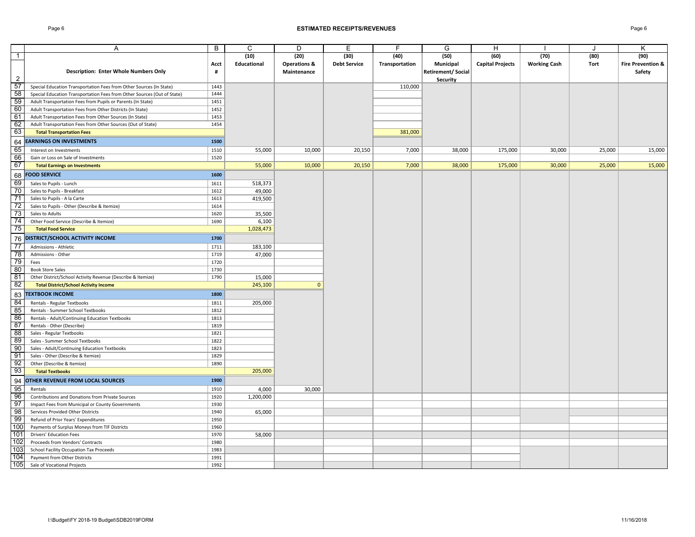### Page 6 **ESTIMATED RECEIPTS/REVENUES** Page 6

|                 | Α                                                                       | B    | C           | D                       | E                   | F              | G                        | Н                       |                     |        | K                            |
|-----------------|-------------------------------------------------------------------------|------|-------------|-------------------------|---------------------|----------------|--------------------------|-------------------------|---------------------|--------|------------------------------|
| $\overline{1}$  |                                                                         |      | (10)        | (20)                    | (30)                | (40)           | (50)                     | (60)                    | (70)                | (80)   | (90)                         |
|                 |                                                                         | Acct | Educational | <b>Operations &amp;</b> | <b>Debt Service</b> | Transportation | Municipal                | <b>Capital Projects</b> | <b>Working Cash</b> | Tort   | <b>Fire Prevention &amp;</b> |
|                 | Description: Enter Whole Numbers Only                                   | #    |             | Maintenance             |                     |                | <b>Retirement/Social</b> |                         |                     |        | Safety                       |
| 2               |                                                                         |      |             |                         |                     |                | <b>Security</b>          |                         |                     |        |                              |
| 57              | Special Education Transportation Fees from Other Sources (In State)     | 1443 |             |                         |                     | 110,000        |                          |                         |                     |        |                              |
| 58              | Special Education Transportation Fees from Other Sources (Out of State) | 1444 |             |                         |                     |                |                          |                         |                     |        |                              |
| 59              | Adult Transportation Fees from Pupils or Parents (In State)             | 1451 |             |                         |                     |                |                          |                         |                     |        |                              |
| 60              | Adult Transportation Fees from Other Districts (In State)               | 1452 |             |                         |                     |                |                          |                         |                     |        |                              |
| 61              | Adult Transportation Fees from Other Sources (In State)                 | 1453 |             |                         |                     |                |                          |                         |                     |        |                              |
| 62              | Adult Transportation Fees from Other Sources (Out of State)             | 1454 |             |                         |                     |                |                          |                         |                     |        |                              |
| 63              | <b>Total Transportation Fees</b>                                        |      |             |                         |                     | 381,000        |                          |                         |                     |        |                              |
| 64              | <b>EARNINGS ON INVESTMENTS</b>                                          | 1500 |             |                         |                     |                |                          |                         |                     |        |                              |
| 65              |                                                                         |      |             |                         |                     |                |                          |                         |                     |        |                              |
| 66              | Interest on Investments                                                 | 1510 | 55,000      | 10,000                  | 20,150              | 7,000          | 38,000                   | 175,000                 | 30,000              | 25,000 | 15,000                       |
| 67              | Gain or Loss on Sale of Investments                                     | 1520 |             |                         | 20,150              | 7,000          |                          |                         |                     |        | 15,000                       |
|                 | <b>Total Earnings on Investments</b>                                    |      | 55,000      | 10,000                  |                     |                | 38,000                   | 175,000                 | 30,000              | 25,000 |                              |
| 68              | <b>FOOD SERVICE</b>                                                     | 1600 |             |                         |                     |                |                          |                         |                     |        |                              |
| 69              | Sales to Pupils - Lunch                                                 | 1611 | 518,373     |                         |                     |                |                          |                         |                     |        |                              |
| 70              | Sales to Pupils - Breakfast                                             | 1612 | 49,000      |                         |                     |                |                          |                         |                     |        |                              |
| 71              | Sales to Pupils - A la Carte                                            | 1613 | 419,500     |                         |                     |                |                          |                         |                     |        |                              |
| 72              | Sales to Pupils - Other (Describe & Itemize)                            | 1614 |             |                         |                     |                |                          |                         |                     |        |                              |
| 73              | Sales to Adults                                                         | 1620 | 35,500      |                         |                     |                |                          |                         |                     |        |                              |
| 74              | Other Food Service (Describe & Itemize)                                 | 1690 | 6,100       |                         |                     |                |                          |                         |                     |        |                              |
| 75              | <b>Total Food Service</b>                                               |      | 1,028,473   |                         |                     |                |                          |                         |                     |        |                              |
| 76              | DISTRICT/SCHOOL ACTIVITY INCOME                                         | 1700 |             |                         |                     |                |                          |                         |                     |        |                              |
| $\overline{77}$ | Admissions - Athletic                                                   | 1711 | 183,100     |                         |                     |                |                          |                         |                     |        |                              |
| $\overline{78}$ | Admissions - Other                                                      | 1719 | 47,000      |                         |                     |                |                          |                         |                     |        |                              |
| 79              | Fees                                                                    | 1720 |             |                         |                     |                |                          |                         |                     |        |                              |
| 80              | <b>Book Store Sales</b>                                                 | 1730 |             |                         |                     |                |                          |                         |                     |        |                              |
| 81              | Other District/School Activity Revenue (Describe & Itemize)             | 1790 | 15,000      |                         |                     |                |                          |                         |                     |        |                              |
| -82             | <b>Total District/School Activity Income</b>                            |      | 245,100     | $\mathbf{0}$            |                     |                |                          |                         |                     |        |                              |
| 83              | <b>TEXTBOOK INCOME</b>                                                  | 1800 |             |                         |                     |                |                          |                         |                     |        |                              |
| 84              | Rentals - Regular Textbooks                                             | 1811 | 205,000     |                         |                     |                |                          |                         |                     |        |                              |
| 85              | Rentals - Summer School Textbooks                                       | 1812 |             |                         |                     |                |                          |                         |                     |        |                              |
| 86              | Rentals - Adult/Continuing Education Textbooks                          | 1813 |             |                         |                     |                |                          |                         |                     |        |                              |
| 87              | Rentals - Other (Describe)                                              | 1819 |             |                         |                     |                |                          |                         |                     |        |                              |
| 88              | Sales - Regular Textbooks                                               | 1821 |             |                         |                     |                |                          |                         |                     |        |                              |
| 89              | Sales - Summer School Textbooks                                         | 1822 |             |                         |                     |                |                          |                         |                     |        |                              |
| 90              | Sales - Adult/Continuing Education Textbooks                            | 1823 |             |                         |                     |                |                          |                         |                     |        |                              |
| 91              | Sales - Other (Describe & Itemize)                                      | 1829 |             |                         |                     |                |                          |                         |                     |        |                              |
| 92              | Other (Describe & Itemize)                                              | 1890 |             |                         |                     |                |                          |                         |                     |        |                              |
| 93              | <b>Total Textbooks</b>                                                  |      | 205,000     |                         |                     |                |                          |                         |                     |        |                              |
|                 |                                                                         |      |             |                         |                     |                |                          |                         |                     |        |                              |
| 94              | OTHER REVENUE FROM LOCAL SOURCES                                        | 1900 |             |                         |                     |                |                          |                         |                     |        |                              |
| 95              | Rentals                                                                 | 1910 | 4,000       | 30,000                  |                     |                |                          |                         |                     |        |                              |
| 96              | Contributions and Donations from Private Sources                        | 1920 | 1,200,000   |                         |                     |                |                          |                         |                     |        |                              |
| 97              | Impact Fees from Municipal or County Governments                        | 1930 |             |                         |                     |                |                          |                         |                     |        |                              |
| 98              | Services Provided Other Districts                                       | 1940 | 65,000      |                         |                     |                |                          |                         |                     |        |                              |
| 99              | Refund of Prior Years' Expenditures                                     | 1950 |             |                         |                     |                |                          |                         |                     |        |                              |
| 100             | Payments of Surplus Moneys from TIF Districts                           | 1960 |             |                         |                     |                |                          |                         |                     |        |                              |
| 101             | <b>Drivers' Education Fees</b>                                          | 1970 | 58,000      |                         |                     |                |                          |                         |                     |        |                              |
| 102             | Proceeds from Vendors' Contracts                                        | 1980 |             |                         |                     |                |                          |                         |                     |        |                              |
| 103             | School Facility Occupation Tax Proceeds                                 | 1983 |             |                         |                     |                |                          |                         |                     |        |                              |
| 104             | Payment from Other Districts                                            | 1991 |             |                         |                     |                |                          |                         |                     |        |                              |
| 105             | Sale of Vocational Projects                                             | 1992 |             |                         |                     |                |                          |                         |                     |        |                              |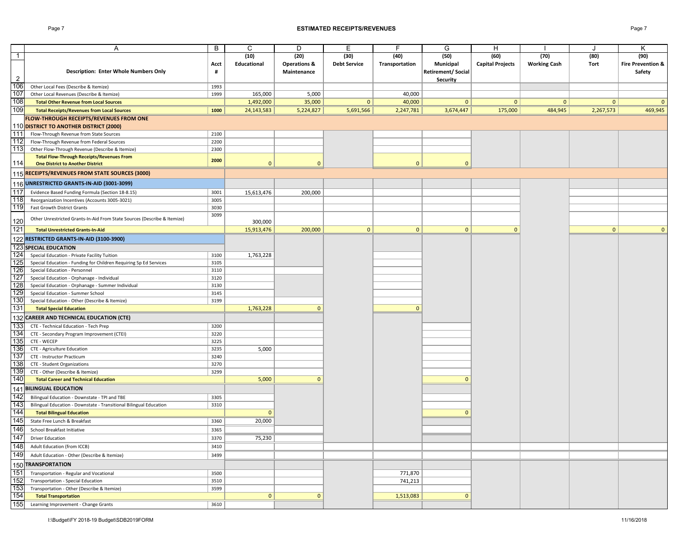### Page 7 **ESTIMATED RECEIPTS/REVENUES** Page 7

|                | A                                                                        | B            | C            | D                       | Е                   | F              | G                        | H                       |                     |              | κ                            |
|----------------|--------------------------------------------------------------------------|--------------|--------------|-------------------------|---------------------|----------------|--------------------------|-------------------------|---------------------|--------------|------------------------------|
| $\overline{1}$ |                                                                          |              | (10)         | (20)                    | (30)                | (40)           | (50)                     | (60)                    | (70)                | (80)         | (90)                         |
|                |                                                                          | Acct         | Educational  | <b>Operations &amp;</b> | <b>Debt Service</b> | Transportation | Municipal                | <b>Capital Projects</b> | <b>Working Cash</b> | Tort         | <b>Fire Prevention &amp;</b> |
|                | Description: Enter Whole Numbers Only                                    | #            |              | Maintenance             |                     |                | <b>Retirement/Social</b> |                         |                     |              | Safety                       |
| $\overline{2}$ |                                                                          |              |              |                         |                     |                | Security                 |                         |                     |              |                              |
| 106            | Other Local Fees (Describe & Itemize)                                    | 1993         |              |                         |                     |                |                          |                         |                     |              |                              |
| 107            | Other Local Revenues (Describe & Itemize)                                | 1999         | 165,000      | 5,000                   |                     | 40,000         |                          |                         |                     |              |                              |
| 108            | <b>Total Other Revenue from Local Sources</b>                            |              | 1,492,000    | 35,000                  | $\mathbf{0}$        | 40,000         | $\mathbf{0}$             | $\mathbf 0$             | $\mathbf{0}$        | $\mathbf{0}$ | $\mathbf{0}$                 |
| 109            | <b>Total Receipts/Revenues from Local Sources</b>                        | 1000         | 24, 143, 583 | 5,224,827               | 5,691,566           | 2,247,781      | 3,674,447                | 175,000                 | 484,945             | 2,267,573    | 469,945                      |
|                | FLOW-THROUGH RECEIPTS/REVENUES FROM ONE                                  |              |              |                         |                     |                |                          |                         |                     |              |                              |
|                | 110 DISTRICT TO ANOTHER DISTRICT (2000)                                  |              |              |                         |                     |                |                          |                         |                     |              |                              |
| 111            | Flow-Through Revenue from State Sources                                  | 2100         |              |                         |                     |                |                          |                         |                     |              |                              |
| 112            | Flow-Through Revenue from Federal Sources                                | 2200         |              |                         |                     |                |                          |                         |                     |              |                              |
| 113            | Other Flow-Through Revenue (Describe & Itemize)                          | 2300         |              |                         |                     |                |                          |                         |                     |              |                              |
|                | <b>Total Flow-Through Receipts/Revenues From</b>                         | 2000         |              |                         |                     |                |                          |                         |                     |              |                              |
| 114            | <b>One District to Another District</b>                                  |              | $\mathbf{0}$ | $\mathbf{0}$            |                     | $\mathbf{0}$   | $\mathbf{0}$             |                         |                     |              |                              |
|                | 115 RECEIPTS/REVENUES FROM STATE SOURCES (3000)                          |              |              |                         |                     |                |                          |                         |                     |              |                              |
|                | 116 UNRESTRICTED GRANTS-IN-AID (3001-3099)                               |              |              |                         |                     |                |                          |                         |                     |              |                              |
| 117            |                                                                          |              |              |                         |                     |                |                          |                         |                     |              |                              |
|                | Evidence Based Funding Formula (Section 18-8.15)                         | 3001         | 15,613,476   | 200,000                 |                     |                |                          |                         |                     |              |                              |
| 118            | Reorganization Incentives (Accounts 3005-3021)                           | 3005         |              |                         |                     |                |                          |                         |                     |              |                              |
| 119            | Fast Growth District Grants                                              | 3030<br>3099 |              |                         |                     |                |                          |                         |                     |              |                              |
| 120            | Other Unrestricted Grants-In-Aid From State Sources (Describe & Itemize) |              | 300,000      |                         |                     |                |                          |                         |                     |              |                              |
| 121            | <b>Total Unrestricted Grants-In-Aid</b>                                  |              | 15,913,476   | 200,000                 | 0                   | 0              | $\circ$                  | $\mathbf{0}$            |                     | 0            | $\mathbf{0}$                 |
|                | 122 RESTRICTED GRANTS-IN-AID (3100-3900)                                 |              |              |                         |                     |                |                          |                         |                     |              |                              |
|                |                                                                          |              |              |                         |                     |                |                          |                         |                     |              |                              |
|                | <b>123 SPECIAL EDUCATION</b>                                             |              |              |                         |                     |                |                          |                         |                     |              |                              |
| 124            | Special Education - Private Facility Tuition                             | 3100         | 1,763,228    |                         |                     |                |                          |                         |                     |              |                              |
| 125            | Special Education - Funding for Children Requiring Sp Ed Services        | 3105         |              |                         |                     |                |                          |                         |                     |              |                              |
| 126            | Special Education - Personnel                                            | 3110         |              |                         |                     |                |                          |                         |                     |              |                              |
| 127            | Special Education - Orphanage - Individual                               | 3120         |              |                         |                     |                |                          |                         |                     |              |                              |
| 128            | Special Education - Orphanage - Summer Individual                        | 3130         |              |                         |                     |                |                          |                         |                     |              |                              |
| 129            | Special Education - Summer School                                        | 3145         |              |                         |                     |                |                          |                         |                     |              |                              |
| 130            | Special Education - Other (Describe & Itemize)                           | 3199         |              |                         |                     |                |                          |                         |                     |              |                              |
| 131            | <b>Total Special Education</b>                                           |              | 1,763,228    | $\mathbf{0}$            |                     | $\mathbf{0}$   |                          |                         |                     |              |                              |
|                | 132 CAREER AND TECHNICAL EDUCATION (CTE)                                 |              |              |                         |                     |                |                          |                         |                     |              |                              |
| 133            | CTE - Technical Education - Tech Prep                                    | 3200         |              |                         |                     |                |                          |                         |                     |              |                              |
| 134            | CTE - Secondary Program Improvement (CTEI)                               | 3220         |              |                         |                     |                |                          |                         |                     |              |                              |
| 135            | CTE - WECEP                                                              | 3225         |              |                         |                     |                |                          |                         |                     |              |                              |
| 136            | CTE - Agriculture Education                                              | 3235         | 5,000        |                         |                     |                |                          |                         |                     |              |                              |
| 137            | CTE - Instructor Practicum                                               | 3240         |              |                         |                     |                |                          |                         |                     |              |                              |
| 138            | CTE - Student Organizations                                              | 3270         |              |                         |                     |                |                          |                         |                     |              |                              |
| 139            | CTE - Other (Describe & Itemize)                                         | 3299         |              |                         |                     |                |                          |                         |                     |              |                              |
| 140            | <b>Total Career and Technical Education</b>                              |              | 5,000        | $\mathbf{0}$            |                     |                | $\mathbf{0}$             |                         |                     |              |                              |
|                | 141 BILINGUAL EDUCATION                                                  |              |              |                         |                     |                |                          |                         |                     |              |                              |
| 142            | Bilingual Education - Downstate - TPI and TBE                            | 3305         |              |                         |                     |                |                          |                         |                     |              |                              |
| 143            | Bilingual Education - Downstate - Transitional Bilingual Education       | 3310         |              |                         |                     |                |                          |                         |                     |              |                              |
| 144            | <b>Total Bilingual Education</b>                                         |              | $\mathbf{0}$ |                         |                     |                | $\mathbf{0}$             |                         |                     |              |                              |
| 145            | State Free Lunch & Breakfast                                             | 3360         | 20,000       |                         |                     |                |                          |                         |                     |              |                              |
| 146            | School Breakfast Initiative                                              | 3365         |              |                         |                     |                |                          |                         |                     |              |                              |
| 147            | <b>Driver Education</b>                                                  | 3370         | 75,230       |                         |                     |                |                          |                         |                     |              |                              |
| 148            | Adult Education (from ICCB)                                              | 3410         |              |                         |                     |                |                          |                         |                     |              |                              |
| 149            | Adult Education - Other (Describe & Itemize)                             | 3499         |              |                         |                     |                |                          |                         |                     |              |                              |
|                |                                                                          |              |              |                         |                     |                |                          |                         |                     |              |                              |
|                | 150 TRANSPORTATION                                                       |              |              |                         |                     |                |                          |                         |                     |              |                              |
| 151            | Transportation - Regular and Vocational                                  | 3500         |              |                         |                     | 771,870        |                          |                         |                     |              |                              |
| 152            | Transportation - Special Education                                       | 3510         |              |                         |                     | 741,213        |                          |                         |                     |              |                              |
| 153            | Transportation - Other (Describe & Itemize)                              | 3599         |              |                         |                     |                |                          |                         |                     |              |                              |
| 154            | <b>Total Transportation</b>                                              |              | $\mathbf{0}$ | $\mathbf{0}$            |                     | 1,513,083      | $\mathbf 0$              |                         |                     |              |                              |
|                | 155 Learning Improvement - Change Grants                                 | 3610         |              |                         |                     |                |                          |                         |                     |              |                              |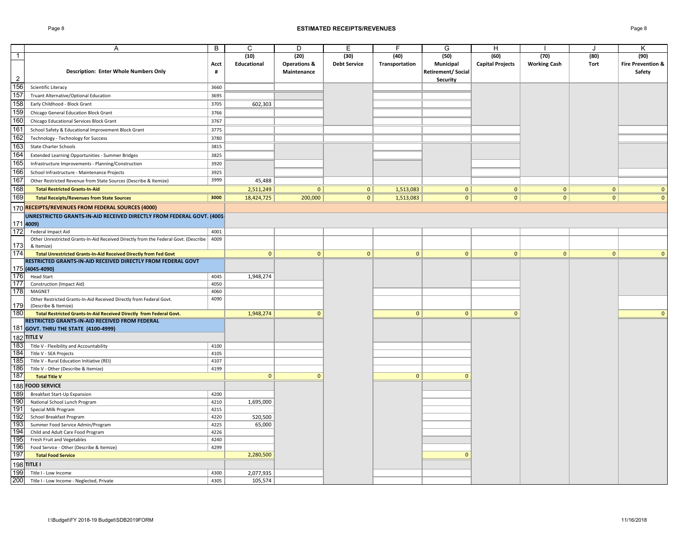### Page 8 **ESTIMATED RECEIPTS/REVENUES** Page 8

|                | A                                                                                   | B    | C            | D                       | Ε                   | F              | G                 | Н                       |                     | $\cdot$      | Κ                            |
|----------------|-------------------------------------------------------------------------------------|------|--------------|-------------------------|---------------------|----------------|-------------------|-------------------------|---------------------|--------------|------------------------------|
| $\overline{1}$ |                                                                                     |      | (10)         | (20)                    | (30)                | (40)           | (50)              | (60)                    | (70)                | (80)         | (90)                         |
|                |                                                                                     | Acct | Educational  | <b>Operations &amp;</b> | <b>Debt Service</b> | Transportation | Municipal         | <b>Capital Projects</b> | <b>Working Cash</b> | Tort         | <b>Fire Prevention &amp;</b> |
|                | <b>Description: Enter Whole Numbers Only</b>                                        | #    |              | Maintenance             |                     |                | Retirement/Social |                         |                     |              | Safety                       |
| $\overline{2}$ |                                                                                     |      |              |                         |                     |                | <b>Security</b>   |                         |                     |              |                              |
| 156            | Scientific Literacy                                                                 | 3660 |              |                         |                     |                |                   |                         |                     |              |                              |
| 157            | Truant Alternative/Optional Education                                               | 3695 |              |                         |                     |                |                   |                         |                     |              |                              |
| 158            | Early Childhood - Block Grant                                                       | 3705 | 602,303      |                         |                     |                |                   |                         |                     |              |                              |
| 159            |                                                                                     |      |              |                         |                     |                |                   |                         |                     |              |                              |
|                | Chicago General Education Block Grant                                               | 3766 |              |                         |                     |                |                   |                         |                     |              |                              |
| 160            | Chicago Educational Services Block Grant                                            | 3767 |              |                         |                     |                |                   |                         |                     |              |                              |
| 161            | School Safety & Educational Improvement Block Grant                                 | 3775 |              |                         |                     |                |                   |                         |                     |              |                              |
| 162            | Technology - Technology for Success                                                 | 3780 |              |                         |                     |                |                   |                         |                     |              |                              |
| 163            | <b>State Charter Schools</b>                                                        | 3815 |              |                         |                     |                |                   |                         |                     |              |                              |
| 164            | Extended Learning Opportunities - Summer Bridges                                    | 3825 |              |                         |                     |                |                   |                         |                     |              |                              |
| 165            | Infrastructure Improvements - Planning/Construction                                 | 3920 |              |                         |                     |                |                   |                         |                     |              |                              |
| 166            | School Infrastructure - Maintenance Projects                                        | 3925 |              |                         |                     |                |                   |                         |                     |              |                              |
| 167            | Other Restricted Revenue from State Sources (Describe & Itemize)                    | 3999 | 45,488       |                         |                     |                |                   |                         |                     |              |                              |
| 168            |                                                                                     |      |              |                         |                     |                |                   |                         |                     | 0            | $\mathbf{0}$                 |
|                | <b>Total Restricted Grants-In-Aid</b>                                               |      | 2,511,249    | $\mathbf{0}$            | 0                   | 1,513,083      | $\overline{0}$    | $\mathbf{0}$            | 0                   |              |                              |
| 169            | <b>Total Receipts/Revenues from State Sources</b>                                   | 3000 | 18,424,725   | 200,000                 | 0                   | 1,513,083      | $\overline{0}$    | $\overline{0}$          | $\overline{0}$      | 0            | $\mathbf{0}$                 |
|                | 170 RECEIPTS/REVENUES FROM FEDERAL SOURCES (4000)                                   |      |              |                         |                     |                |                   |                         |                     |              |                              |
|                | UNRESTRICTED GRANTS-IN-AID RECEIVED DIRECTLY FROM FEDERAL GOVT. (4001-              |      |              |                         |                     |                |                   |                         |                     |              |                              |
|                | 171 4009)                                                                           |      |              |                         |                     |                |                   |                         |                     |              |                              |
| 172            | Federal Impact Aid                                                                  | 4001 |              |                         |                     |                |                   |                         |                     |              |                              |
|                | Other Unrestricted Grants-In-Aid Received Directly from the Federal Govt. (Describe | 4009 |              |                         |                     |                |                   |                         |                     |              |                              |
| 173            | & Itemize)                                                                          |      |              |                         |                     |                |                   |                         |                     |              |                              |
| 174            | Total Unrestricted Grants-In-Aid Received Directly from Fed Govt                    |      | $\mathbf{0}$ | $\mathbf 0$             | $\mathbf{0}$        | $\mathbf{0}$   | $\mathbf{0}$      | $\mathbf 0$             | 0                   | $\mathbf{0}$ | $\mathbf{0}$                 |
|                | RESTRICTED GRANTS-IN-AID RECEIVED DIRECTLY FROM FEDERAL GOVT                        |      |              |                         |                     |                |                   |                         |                     |              |                              |
|                | 175 (4045-4090)                                                                     |      |              |                         |                     |                |                   |                         |                     |              |                              |
| 176            | <b>Head Start</b>                                                                   | 4045 | 1,948,274    |                         |                     |                |                   |                         |                     |              |                              |
| 177            | Construction (Impact Aid)                                                           | 4050 |              |                         |                     |                |                   |                         |                     |              |                              |
| 178            | MAGNET                                                                              | 4060 |              |                         |                     |                |                   |                         |                     |              |                              |
|                | Other Restricted Grants-In-Aid Received Directly from Federal Govt.                 | 4090 |              |                         |                     |                |                   |                         |                     |              |                              |
| 179            | (Describe & Itemize)                                                                |      |              |                         |                     |                |                   |                         |                     |              |                              |
| 180            | Total Restricted Grants-In-Aid Received Directly from Federal Govt.                 |      | 1,948,274    | $\overline{0}$          |                     | $\mathbf{0}$   | $\overline{0}$    | $\mathbf{0}$            |                     |              | $\mathbf{0}$                 |
|                | RESTRICTED GRANTS-IN-AID RECEIVED FROM FEDERAL                                      |      |              |                         |                     |                |                   |                         |                     |              |                              |
|                | 181 GOVT. THRU THE STATE (4100-4999)                                                |      |              |                         |                     |                |                   |                         |                     |              |                              |
|                | 182 TITLE V                                                                         |      |              |                         |                     |                |                   |                         |                     |              |                              |
| 183            | Title V - Flexibility and Accountability                                            | 4100 |              |                         |                     |                |                   |                         |                     |              |                              |
| 184            | Title V - SEA Projects                                                              | 4105 |              |                         |                     |                |                   |                         |                     |              |                              |
| 185            | Title V - Rural Education Initiative (REI)                                          | 4107 |              |                         |                     |                |                   |                         |                     |              |                              |
| 186            | Title V - Other (Describe & Itemize)                                                | 4199 |              |                         |                     |                |                   |                         |                     |              |                              |
| 187            | <b>Total Title V</b>                                                                |      | $\mathbf{0}$ | $\mathbf{0}$            |                     | $\mathbf{0}$   | $\Omega$          |                         |                     |              |                              |
|                |                                                                                     |      |              |                         |                     |                |                   |                         |                     |              |                              |
|                | 188 FOOD SERVICE                                                                    |      |              |                         |                     |                |                   |                         |                     |              |                              |
| 189            | <b>Breakfast Start-Up Expansion</b>                                                 | 4200 |              |                         |                     |                |                   |                         |                     |              |                              |
| 190            | National School Lunch Program                                                       | 4210 | 1,695,000    |                         |                     |                |                   |                         |                     |              |                              |
| 191            | Special Milk Program                                                                | 4215 |              |                         |                     |                |                   |                         |                     |              |                              |
| 192            | School Breakfast Program                                                            | 4220 | 520,500      |                         |                     |                |                   |                         |                     |              |                              |
| 193            | Summer Food Service Admin/Program                                                   | 4225 | 65,000       |                         |                     |                |                   |                         |                     |              |                              |
| 194            | Child and Adult Care Food Program                                                   | 4226 |              |                         |                     |                |                   |                         |                     |              |                              |
| 195            | Fresh Fruit and Vegetables                                                          | 4240 |              |                         |                     |                |                   |                         |                     |              |                              |
| 196            | Food Service - Other (Describe & Itemize)                                           | 4299 |              |                         |                     |                |                   |                         |                     |              |                              |
| 197            | <b>Total Food Service</b>                                                           |      | 2,280,500    |                         |                     |                | $\mathbf{0}$      |                         |                     |              |                              |
|                | 198 TITLE I                                                                         |      |              |                         |                     |                |                   |                         |                     |              |                              |
| 199            | Title I - Low Income                                                                | 4300 | 2,077,935    |                         |                     |                |                   |                         |                     |              |                              |
| 200            | Title I - Low Income - Neglected, Private                                           | 4305 | 105,574      |                         |                     |                |                   |                         |                     |              |                              |
|                |                                                                                     |      |              |                         |                     |                |                   |                         |                     |              |                              |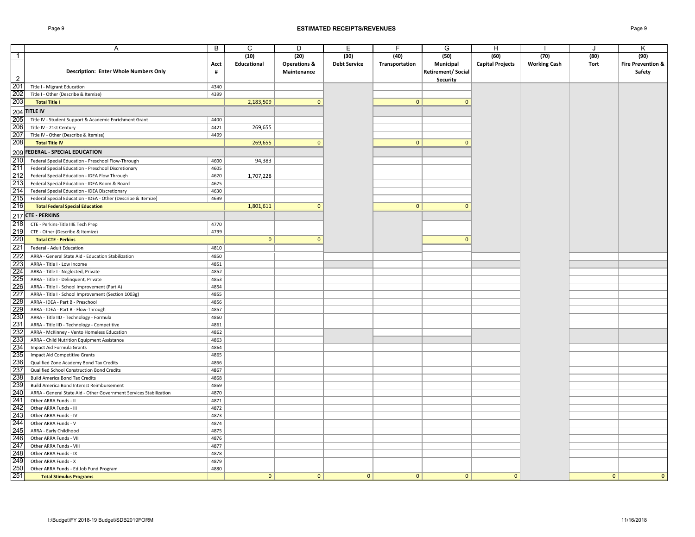### Page 9 **ESTIMATED RECEIPTS/REVENUES** Page 9

|                | Α                                                                           | B            | C            | D                       | Е                   | F              | G                        | H                       |                     | $\cdot$      | Κ                            |
|----------------|-----------------------------------------------------------------------------|--------------|--------------|-------------------------|---------------------|----------------|--------------------------|-------------------------|---------------------|--------------|------------------------------|
| $\mathbf{1}$   |                                                                             |              | (10)         | (20)                    | (30)                | (40)           | (50)                     | (60)                    | (70)                | (80)         | (90)                         |
|                |                                                                             | Acct         | Educational  | <b>Operations &amp;</b> | <b>Debt Service</b> | Transportation | Municipal                | <b>Capital Projects</b> | <b>Working Cash</b> | Tort         | <b>Fire Prevention &amp;</b> |
|                | <b>Description: Enter Whole Numbers Only</b>                                | #            |              | Maintenance             |                     |                | <b>Retirement/Social</b> |                         |                     |              | Safety                       |
| $\overline{2}$ |                                                                             |              |              |                         |                     |                | Security                 |                         |                     |              |                              |
| 201            | Title I - Migrant Education                                                 | 4340         |              |                         |                     |                |                          |                         |                     |              |                              |
| 202            | Title I - Other (Describe & Itemize)                                        | 4399         |              |                         |                     |                |                          |                         |                     |              |                              |
| 203            | <b>Total Title I</b>                                                        |              | 2,183,509    | $\mathbf{0}$            |                     | $\mathbf{0}$   | $\mathbf{0}$             |                         |                     |              |                              |
|                | $204$ TITLE IV                                                              |              |              |                         |                     |                |                          |                         |                     |              |                              |
| 205            | Title IV - Student Support & Academic Enrichment Grant                      | 4400         |              |                         |                     |                |                          |                         |                     |              |                              |
| 206            | Title IV - 21st Century                                                     | 4421         | 269,655      |                         |                     |                |                          |                         |                     |              |                              |
| 207            | Title IV - Other (Describe & Itemize)                                       | 4499         |              |                         |                     |                |                          |                         |                     |              |                              |
| 208            | <b>Total Title IV</b>                                                       |              | 269,655      | $\mathbf{0}$            |                     | $\mathbf{0}$   | $\mathbf{0}$             |                         |                     |              |                              |
|                | 209 FEDERAL - SPECIAL EDUCATION                                             |              |              |                         |                     |                |                          |                         |                     |              |                              |
| 210            | Federal Special Education - Preschool Flow-Through                          | 4600         | 94,383       |                         |                     |                |                          |                         |                     |              |                              |
| 211            | Federal Special Education - Preschool Discretionary                         | 4605         |              |                         |                     |                |                          |                         |                     |              |                              |
| 212            | Federal Special Education - IDEA Flow Through                               | 4620         | 1,707,228    |                         |                     |                |                          |                         |                     |              |                              |
| 213            | Federal Special Education - IDEA Room & Board                               | 4625         |              |                         |                     |                |                          |                         |                     |              |                              |
| 214            | Federal Special Education - IDEA Discretionary                              | 4630         |              |                         |                     |                |                          |                         |                     |              |                              |
| 215            | Federal Special Education - IDEA - Other (Describe & Itemize)               | 4699         |              |                         |                     |                |                          |                         |                     |              |                              |
| 216            | <b>Total Federal Special Education</b>                                      |              | 1,801,611    | $\mathbf{0}$            |                     | $\mathbf{0}$   | $\mathbf{0}$             |                         |                     |              |                              |
|                | 217 CTE - PERKINS                                                           |              |              |                         |                     |                |                          |                         |                     |              |                              |
| 218            | CTE - Perkins-Title IIIE Tech Prep                                          | 4770         |              |                         |                     |                |                          |                         |                     |              |                              |
| 219            | CTE - Other (Describe & Itemize)                                            | 4799         |              |                         |                     |                |                          |                         |                     |              |                              |
| 220            | <b>Total CTE - Perkins</b>                                                  |              | $\mathbf{0}$ | $\mathbf{0}$            |                     |                | $\mathbf{0}$             |                         |                     |              |                              |
| 221            | Federal - Adult Education                                                   | 4810         |              |                         |                     |                |                          |                         |                     |              |                              |
| 222            |                                                                             | 4850         |              |                         |                     |                |                          |                         |                     |              |                              |
| 223            | ARRA - General State Aid - Education Stabilization                          |              |              |                         |                     |                |                          |                         |                     |              |                              |
| 224            | ARRA - Title I - Low Income                                                 | 4851<br>4852 |              |                         |                     |                |                          |                         |                     |              |                              |
| 225            | ARRA - Title I - Neglected, Private<br>ARRA - Title I - Delinquent, Private | 4853         |              |                         |                     |                |                          |                         |                     |              |                              |
| 226            | ARRA - Title I - School Improvement (Part A)                                | 4854         |              |                         |                     |                |                          |                         |                     |              |                              |
| 227            | ARRA - Title I - School Improvement (Section 1003g)                         | 4855         |              |                         |                     |                |                          |                         |                     |              |                              |
| 228            | ARRA - IDEA - Part B - Preschool                                            | 4856         |              |                         |                     |                |                          |                         |                     |              |                              |
| 229            | ARRA - IDEA - Part B - Flow-Through                                         | 4857         |              |                         |                     |                |                          |                         |                     |              |                              |
| 230            | ARRA - Title IID - Technology - Formula                                     | 4860         |              |                         |                     |                |                          |                         |                     |              |                              |
| 231            | ARRA - Title IID - Technology - Competitive                                 | 4861         |              |                         |                     |                |                          |                         |                     |              |                              |
| 232            | ARRA - McKinney - Vento Homeless Education                                  | 4862         |              |                         |                     |                |                          |                         |                     |              |                              |
| 233            | ARRA - Child Nutrition Equipment Assistance                                 | 4863         |              |                         |                     |                |                          |                         |                     |              |                              |
| 234            | Impact Aid Formula Grants                                                   | 4864         |              |                         |                     |                |                          |                         |                     |              |                              |
| 235            | Impact Aid Competitive Grants                                               | 4865         |              |                         |                     |                |                          |                         |                     |              |                              |
| 236            | Qualified Zone Academy Bond Tax Credits                                     | 4866         |              |                         |                     |                |                          |                         |                     |              |                              |
| 237            | Qualified School Construction Bond Credits                                  | 4867         |              |                         |                     |                |                          |                         |                     |              |                              |
| 238            | <b>Build America Bond Tax Credits</b>                                       | 4868         |              |                         |                     |                |                          |                         |                     |              |                              |
| 239            | Build America Bond Interest Reimbursement                                   | 4869         |              |                         |                     |                |                          |                         |                     |              |                              |
| 240            | ARRA - General State Aid - Other Government Services Stabilization          | 4870         |              |                         |                     |                |                          |                         |                     |              |                              |
| 241            | Other ARRA Funds - II                                                       | 4871         |              |                         |                     |                |                          |                         |                     |              |                              |
| 242            | Other ARRA Funds - III                                                      | 4872         |              |                         |                     |                |                          |                         |                     |              |                              |
| 243            | Other ARRA Funds - IV                                                       | 4873         |              |                         |                     |                |                          |                         |                     |              |                              |
| 244            | Other ARRA Funds - V                                                        | 4874         |              |                         |                     |                |                          |                         |                     |              |                              |
| 245            | ARRA - Early Childhood                                                      | 4875         |              |                         |                     |                |                          |                         |                     |              |                              |
| 246            | Other ARRA Funds - VII                                                      | 4876         |              |                         |                     |                |                          |                         |                     |              |                              |
| 247            | Other ARRA Funds - VIII                                                     | 4877         |              |                         |                     |                |                          |                         |                     |              |                              |
| 248            | Other ARRA Funds - IX                                                       | 4878         |              |                         |                     |                |                          |                         |                     |              |                              |
| 249            | Other ARRA Funds - X                                                        | 4879         |              |                         |                     |                |                          |                         |                     |              |                              |
| 250            | Other ARRA Funds - Ed Job Fund Program                                      | 4880         |              |                         |                     |                |                          |                         |                     |              |                              |
| 251            | <b>Total Stimulus Programs</b>                                              |              | $\mathbf{0}$ | $\mathbf{0}$            | $\overline{0}$      | $\mathbf{0}$   | $\mathbf{0}$             | $\Omega$                |                     | $\mathbf{0}$ | $\mathbf{0}$                 |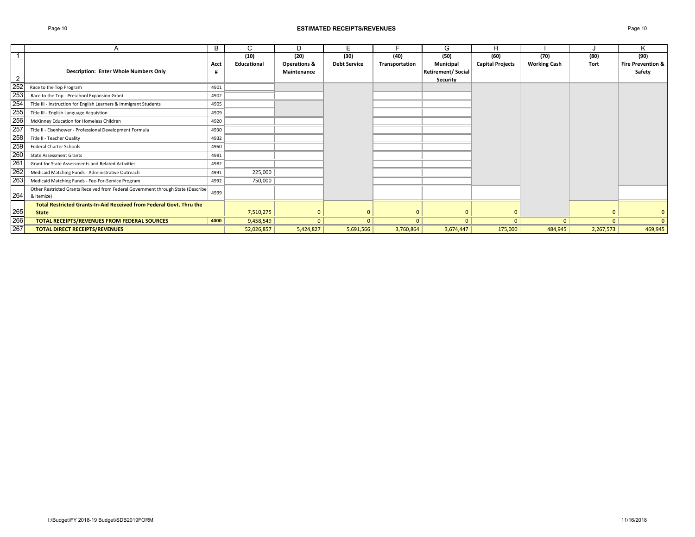### Page 10 **ESTIMATED RECEIPTS/REVENUES** Page 10

|                 |                                                                                  | B    | С           | D                       | E                   |                | G                        | н                       |                     |           | K                            |
|-----------------|----------------------------------------------------------------------------------|------|-------------|-------------------------|---------------------|----------------|--------------------------|-------------------------|---------------------|-----------|------------------------------|
|                 |                                                                                  |      | (10)        | (20)                    | (30)                | (40)           | (50)                     | (60)                    | (70)                | (80)      | (90)                         |
|                 |                                                                                  | Acct | Educational | <b>Operations &amp;</b> | <b>Debt Service</b> | Transportation | Municipal                | <b>Capital Projects</b> | <b>Working Cash</b> | Tort      | <b>Fire Prevention &amp;</b> |
|                 | <b>Description: Enter Whole Numbers Only</b>                                     |      |             | Maintenance             |                     |                | <b>Retirement/Social</b> |                         |                     |           | Safety                       |
| $\overline{2}$  |                                                                                  |      |             |                         |                     |                | <b>Security</b>          |                         |                     |           |                              |
| 252             | Race to the Top Program                                                          | 4901 |             |                         |                     |                |                          |                         |                     |           |                              |
| 253             | Race to the Top - Preschool Expansion Grant                                      | 4902 |             |                         |                     |                |                          |                         |                     |           |                              |
| 254             | Title III - Instruction for English Learners & Immigrant Students                | 4905 |             |                         |                     |                |                          |                         |                     |           |                              |
| 255             | Title III - English Language Acquistion                                          | 4909 |             |                         |                     |                |                          |                         |                     |           |                              |
| 256             | McKinney Education for Homeless Children                                         | 4920 |             |                         |                     |                |                          |                         |                     |           |                              |
| 257             | Title II - Eisenhower - Professional Development Formula                         | 4930 |             |                         |                     |                |                          |                         |                     |           |                              |
| 258             | Title II - Teacher Quality                                                       | 4932 |             |                         |                     |                |                          |                         |                     |           |                              |
| 259             | <b>Federal Charter Schools</b>                                                   | 4960 |             |                         |                     |                |                          |                         |                     |           |                              |
| 260             | <b>State Assessment Grants</b>                                                   | 4981 |             |                         |                     |                |                          |                         |                     |           |                              |
| $\overline{26}$ | Grant for State Assessments and Related Activities                               | 4982 |             |                         |                     |                |                          |                         |                     |           |                              |
| 262             | Medicaid Matching Funds - Administrative Outreach                                | 4991 | 225,000     |                         |                     |                |                          |                         |                     |           |                              |
| 263             | Medicaid Matching Funds - Fee-For-Service Program                                | 4992 | 750,000     |                         |                     |                |                          |                         |                     |           |                              |
|                 | Other Restricted Grants Received from Federal Government through State (Describe | 4999 |             |                         |                     |                |                          |                         |                     |           |                              |
| 264             | & Itemize)                                                                       |      |             |                         |                     |                |                          |                         |                     |           |                              |
|                 | Total Restricted Grants-In-Aid Received from Federal Govt. Thru the              |      |             |                         |                     |                |                          |                         |                     |           |                              |
| 265             | <b>State</b>                                                                     |      | 7,510,275   |                         |                     |                |                          | $\mathbf{0}$            |                     |           | $\mathbf{0}$                 |
| 266             | TOTAL RECEIPTS/REVENUES FROM FEDERAL SOURCES                                     | 4000 | 9,458,549   | $\Omega$                |                     | $\Omega$       | $\Omega$                 | $\mathbf{0}$            | $\Omega$            | $\Omega$  | $\Omega$                     |
| 267             | <b>TOTAL DIRECT RECEIPTS/REVENUES</b>                                            |      | 52,026,857  | 5,424,827               | 5,691,566           | 3,760,864      | 3,674,447                | 175,000                 | 484,945             | 2,267,573 | 469,945                      |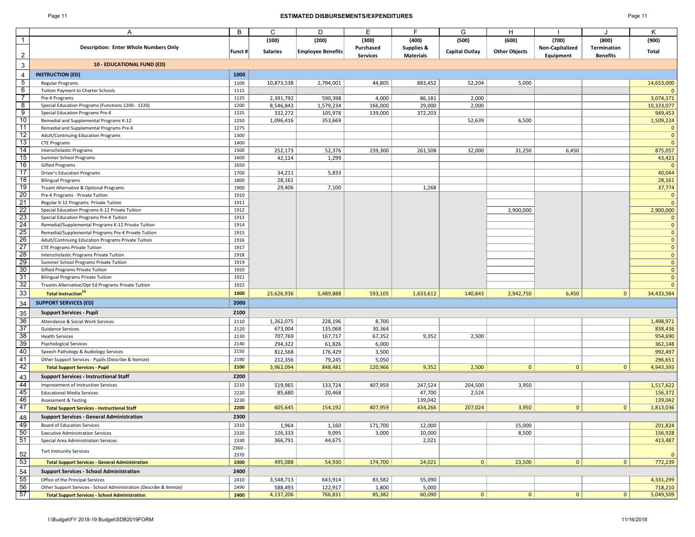### Page 11 **ESTIMATED DISBURSEMENTS/EXPENDITURES** Page 11

|                 | Α                                                                                               | В            | C                    | D                        | E               | F.                    | G                     | H                    |                 |                 | Κ                            |
|-----------------|-------------------------------------------------------------------------------------------------|--------------|----------------------|--------------------------|-----------------|-----------------------|-----------------------|----------------------|-----------------|-----------------|------------------------------|
| $\overline{1}$  |                                                                                                 |              | (100)                | (200)                    | (300)           | (400)                 | (500)                 | (600)                | (700)           | (800)           | (900)                        |
|                 | <b>Description: Enter Whole Numbers Only</b>                                                    |              |                      |                          | Purchased       | <b>Supplies &amp;</b> |                       |                      | Non-Capitalized | Termination     |                              |
|                 |                                                                                                 | Funct #      | <b>Salaries</b>      | <b>Employee Benefits</b> | <b>Services</b> | <b>Materials</b>      | <b>Capital Outlay</b> | <b>Other Objects</b> | Equipment       | <b>Benefits</b> | Total                        |
| $\mathbf{3}$    | <b>10 - EDUCATIONAL FUND (ED)</b>                                                               |              |                      |                          |                 |                       |                       |                      |                 |                 |                              |
| 4               | <b>INSTRUCTION (ED)</b>                                                                         | 1000         |                      |                          |                 |                       |                       |                      |                 |                 |                              |
| $\overline{5}$  | Regular Programs                                                                                | 1100         | 10,873,538           | 2,794,001                | 44,805          | 883,452               | 52,204                | 5,000                |                 |                 | 14,653,000                   |
| 6               | Tuition Payment to Charter Schools                                                              | 1115         |                      |                          |                 |                       |                       |                      |                 |                 | $\Omega$                     |
| $\overline{7}$  | Pre-K Programs                                                                                  | 1125         | 2,391,792            | 590,398                  | 4,000           | 86,181                | 2,000                 |                      |                 |                 | 3,074,371                    |
| 8               | Special Education Programs (Functions 1200 - 1220)                                              | 1200         | 8,546,843            | 1,579,234                | 166,000         | 29,000                | 2,000                 |                      |                 |                 | 10,323,077                   |
| 9<br>10         | Special Education Programs Pre-K                                                                | 1225         | 332,272              | 105,978                  | 139,000         | 372,203               |                       |                      |                 |                 | 949,453                      |
| 11              | Remedial and Supplemental Programs K-12<br>Remedial and Supplemental Programs Pre-K             | 1250<br>1275 | 1,096,416            | 353,669                  |                 |                       | 52,639                | 6,500                |                 |                 | 1,509,224<br>$\mathbf{0}$    |
| 12              | Adult/Continuing Education Programs                                                             | 1300         |                      |                          |                 |                       |                       |                      |                 |                 | $\pmb{0}$                    |
| 13              | <b>CTE Programs</b>                                                                             | 1400         |                      |                          |                 |                       |                       |                      |                 |                 | $\mathbf{0}$                 |
| 14              | Interscholastic Programs                                                                        | 1500         | 252,173              | 52,376                   | 239,300         | 261,508               | 32,000                | 31,250               | 6,450           |                 | 875,057                      |
| 15              | Summer School Programs                                                                          | 1600         | 42,124               | 1,299                    |                 |                       |                       |                      |                 |                 | 43,423                       |
| 16              | Gifted Programs                                                                                 | 1650         |                      |                          |                 |                       |                       |                      |                 |                 | $\mathbf{0}$                 |
| 17              | <b>Driver's Education Programs</b>                                                              | 1700         | 34,211               | 5,833                    |                 |                       |                       |                      |                 |                 | 40,044                       |
| 18              | <b>Bilingual Programs</b>                                                                       | 1800         | 28,161               |                          |                 |                       |                       |                      |                 |                 | 28,161                       |
| 19              | Truant Alternative & Optional Programs                                                          | 1900         | 29,406               | 7,100                    |                 | 1,268                 |                       |                      |                 |                 | 37,774                       |
| 20              | Pre-K Programs - Private Tuition                                                                | 1910         |                      |                          |                 |                       |                       |                      |                 |                 | $\mathbf{0}$                 |
| 21              | Regular K-12 Programs Private Tuition                                                           | 1911         |                      |                          |                 |                       |                       |                      |                 |                 | $\mathbf{0}$                 |
| 22<br>23        | Special Education Programs K-12 Private Tuition                                                 | 1912<br>1913 |                      |                          |                 |                       |                       | 2,900,000            |                 |                 | 2,900,000                    |
| 24              | Special Education Programs Pre-K Tuition<br>Remedial/Supplemental Programs K-12 Private Tuition | 1914         |                      |                          |                 |                       |                       |                      |                 |                 | $\mathbf{0}$<br>$\mathbf{0}$ |
| 25              | Remedial/Supplemental Programs Pre-K Private Tuition                                            | 1915         |                      |                          |                 |                       |                       |                      |                 |                 | $\mathbf{0}$                 |
| 26              | Adult/Continuing Education Programs Private Tuition                                             | 1916         |                      |                          |                 |                       |                       |                      |                 |                 | $\mathbf{0}$                 |
| 27              | <b>CTE Programs Private Tuition</b>                                                             | 1917         |                      |                          |                 |                       |                       |                      |                 |                 | $\mathbf{0}$                 |
| 28              | Interscholastic Programs Private Tuition                                                        | 1918         |                      |                          |                 |                       |                       |                      |                 |                 | $\mathbf{0}$                 |
| 29              | Summer School Programs Private Tuition                                                          | 1919         |                      |                          |                 |                       |                       |                      |                 |                 | $\mathbf{0}$                 |
| 30              | Gifted Programs Private Tuition                                                                 | 1920         |                      |                          |                 |                       |                       |                      |                 |                 | $\mathbf{0}$                 |
| 31              | <b>Bilingual Programs Private Tuition</b>                                                       | 1921         |                      |                          |                 |                       |                       |                      |                 |                 | $\mathbf{0}$                 |
| 32              | Truants Alternative/Opt Ed Programs Private Tuition                                             | 1922         |                      |                          |                 |                       |                       |                      |                 |                 | $\mathbf{0}$                 |
| 33              | <b>Total Instruction</b> <sup>14</sup>                                                          | 1000         | 23,626,936           | 5,489,888                | 593,105         | 1,633,612             | 140,843               | 2,942,750            | 6,450           | $\mathbf{0}$    | 34,433,584                   |
| 34              | <b>SUPPORT SERVICES (ED)</b>                                                                    | 2000         |                      |                          |                 |                       |                       |                      |                 |                 |                              |
| 35              | <b>Support Services - Pupil</b>                                                                 | 2100         |                      |                          |                 |                       |                       |                      |                 |                 |                              |
| 36              | Attendance & Social Work Services                                                               | 2110         | 1,262,075            | 228,196                  | 8,700           |                       |                       |                      |                 |                 | 1,498,971                    |
| $\overline{37}$ | <b>Guidance Services</b>                                                                        | 2120         | 673,004              | 135,068                  | 30,364          |                       |                       |                      |                 |                 | 838,436                      |
| 38              | <b>Health Services</b>                                                                          | 2130         | 707,769              | 167,717                  | 67,352          | 9,352                 | 2,500                 |                      |                 |                 | 954,690                      |
| 39              | <b>Psychological Services</b>                                                                   | 2140         | 294,322              | 61,826                   | 6,000           |                       |                       |                      |                 |                 | 362,148                      |
| 40              | Speech Pathology & Audiology Services                                                           | 2150         | 812,568              | 176,429                  | 3,500           |                       |                       |                      |                 |                 | 992,497                      |
| 41              | Other Support Services - Pupils (Describe & Itemize)                                            | 2190         | 212,356              | 79,245                   | 5,050           |                       |                       |                      |                 |                 | 296,651                      |
| 42              | <b>Total Support Services - Pupil</b>                                                           | 2100         | 3,962,094            | 848,481                  | 120,966         | 9,352                 | 2,500                 | 0                    | $\mathbf{0}$    | $\overline{0}$  | 4,943,393                    |
| 43              | <b>Support Services - Instructional Staff</b>                                                   | 2200         |                      |                          |                 |                       |                       |                      |                 |                 |                              |
| 44              | Improvement of Instruction Services                                                             | 2210         | 519,965              | 133,724                  | 407,959         | 247,524               | 204,500               | 3,950                |                 |                 | 1,517,622                    |
| 45              | <b>Educational Media Services</b>                                                               | 2220         | 85,680               | 20,468                   |                 | 47,700                | 2,524                 |                      |                 |                 | 156,372                      |
| 46              | <b>Assessment &amp; Testing</b>                                                                 | 2230         |                      |                          |                 | 139,042               |                       |                      |                 |                 | 139,042                      |
| 47              | <b>Total Support Services - Instructional Staff</b>                                             | 2200         | 605,645              | 154,192                  | 407,959         | 434,266               | 207,024               | 3,950                | $\mathbf{0}$    | $\overline{0}$  | 1,813,036                    |
| 48              | <b>Support Services - General Administration</b>                                                | 2300         |                      |                          |                 |                       |                       |                      |                 |                 |                              |
| 49              | <b>Board of Education Services</b>                                                              | 2310         | 1,964                | 1,160                    | 171,700         | 12,000                |                       | 15,000               |                 |                 | 201,824                      |
| 50              | <b>Executive Administration Services</b>                                                        | 2320         | 126,333              | 9,095                    | 3,000           | 10,000                |                       | 8,500                |                 |                 | 156,928                      |
| 51              | Special Area Administration Services                                                            | 2330         | 366,791              | 44,675                   |                 | 2,021                 |                       |                      |                 |                 | 413,487                      |
| 52              | <b>Tort Immunity Services</b>                                                                   | $2360 -$     |                      |                          |                 |                       |                       |                      |                 |                 | $\mathbf{0}$                 |
|                 | <b>Total Support Services - General Administration</b>                                          | 2370<br>2300 | 495,088              | 54,930                   | 174,700         | 24,021                | 0                     | 23,500               | $\mathbf{0}$    | 0               | 772,239                      |
| $\frac{53}{2}$  |                                                                                                 |              |                      |                          |                 |                       |                       |                      |                 |                 |                              |
| $\frac{54}{55}$ | <b>Support Services - School Administration</b>                                                 | 2400         |                      |                          |                 |                       |                       |                      |                 |                 |                              |
|                 | Office of the Principal Services                                                                | 2410         | 3,548,713            | 643,914                  | 83,582          | 55,090                |                       |                      |                 |                 | 4,331,299                    |
| 56<br>57        | Other Support Services - School Administration (Describe & Itemize)                             | 2490         | 588,493<br>4,137,206 | 122,917                  | 1,800           | 5,000                 |                       |                      |                 |                 | 718,210                      |
|                 | <b>Total Support Services - School Administration</b>                                           | 2400         |                      | 766,831                  | 85,382          | 60,090                | 0                     | 0                    | 0               | 0               | 5,049,509                    |

 $\mathbf{I}$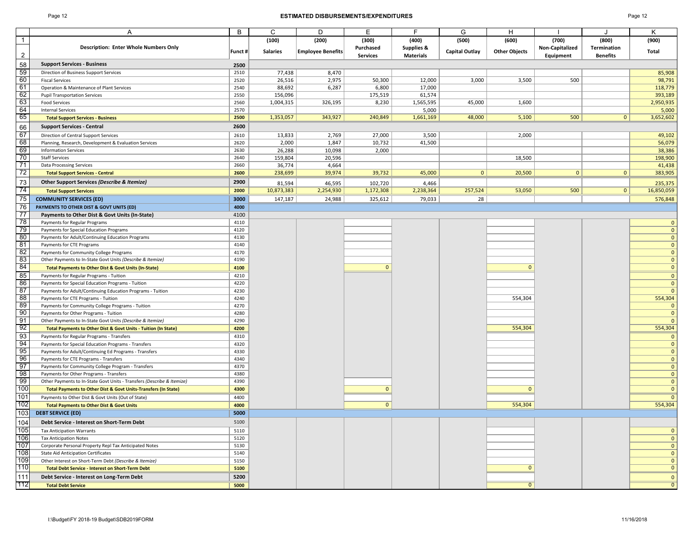### Page 12 **ESTIMATED DISBURSEMENTS/EXPENDITURES** Page 12

|                | A                                                                                           | B            | C               | D                        | Е               | F                | G              | H                    |                 |                 | Κ                 |
|----------------|---------------------------------------------------------------------------------------------|--------------|-----------------|--------------------------|-----------------|------------------|----------------|----------------------|-----------------|-----------------|-------------------|
| $\overline{1}$ |                                                                                             |              | (100)           | (200)                    | (300)           | (400)            | (500)          | (600)                | (700)           | (800)           | (900)             |
|                | <b>Description: Enter Whole Numbers Only</b>                                                |              |                 |                          | Purchased       | Supplies &       |                |                      | Non-Capitalized | Termination     |                   |
| $\overline{2}$ |                                                                                             | Funct #      | <b>Salaries</b> | <b>Employee Benefits</b> | <b>Services</b> | <b>Materials</b> | Capital Outlay | <b>Other Objects</b> | Equipment       | <b>Benefits</b> | Total             |
| 58             | <b>Support Services - Business</b>                                                          |              |                 |                          |                 |                  |                |                      |                 |                 |                   |
| 59             |                                                                                             | 2500<br>2510 | 77,438          | 8,470                    |                 |                  |                |                      |                 |                 | 85,908            |
| 60             | Direction of Business Support Services<br><b>Fiscal Services</b>                            | 2520         | 26,516          | 2,975                    | 50,300          | 12,000           | 3,000          | 3,500                | 500             |                 | 98,791            |
| 61             | Operation & Maintenance of Plant Services                                                   | 2540         | 88,692          | 6,287                    | 6,800           | 17,000           |                |                      |                 |                 | 118,779           |
| 62             | <b>Pupil Transportation Services</b>                                                        | 2550         | 156,096         |                          | 175,519         | 61,574           |                |                      |                 |                 | 393,189           |
| 63             | <b>Food Services</b>                                                                        | 2560         | 1,004,315       | 326,195                  | 8,230           | 1,565,595        | 45,000         | 1,600                |                 |                 | 2,950,935         |
| 64             | <b>Internal Services</b>                                                                    | 2570         |                 |                          |                 | 5,000            |                |                      |                 |                 | 5,000             |
| 65             | <b>Total Support Services - Business</b>                                                    | 2500         | 1,353,057       | 343,927                  | 240,849         | 1,661,169        | 48,000         | 5,100                | 500             | 0 <sup>1</sup>  | 3,652,602         |
| 66             | <b>Support Services - Central</b>                                                           | 2600         |                 |                          |                 |                  |                |                      |                 |                 |                   |
| 67             | Direction of Central Support Services                                                       | 2610         | 13,833          | 2,769                    | 27,000          | 3,500            |                | 2,000                |                 |                 | 49,102            |
| 68             | Planning, Research, Development & Evaluation Services                                       | 2620         | 2,000           | 1,847                    | 10,732          | 41,500           |                |                      |                 |                 | 56,079            |
| 69             | <b>Information Services</b>                                                                 | 2630         | 26,288          | 10,098                   | 2,000           |                  |                |                      |                 |                 | 38,386            |
| 70             | <b>Staff Services</b>                                                                       | 2640         | 159,804         | 20,596                   |                 |                  |                | 18,500               |                 |                 | 198,900           |
| 71             | <b>Data Processing Services</b>                                                             | 2660         | 36,774          | 4,664                    |                 |                  |                |                      |                 |                 | 41,438            |
| 72             | <b>Total Support Services - Central</b>                                                     | 2600         | 238,699         | 39,974                   | 39,732          | 45,000           | $\mathbf{0}$   | 20,500               | $\mathbf{0}$    | 0               | 383,905           |
|                |                                                                                             | 2900         |                 |                          |                 |                  |                |                      |                 |                 |                   |
| 73             | Other Support Services (Describe & Itemize)                                                 |              | 81,594          | 46,595                   | 102,720         | 4,466            |                |                      |                 |                 | 235,375           |
| 74             | <b>Total Support Services</b>                                                               | 2000         | 10,873,383      | 2,254,930                | 1,172,308       | 2,238,364        | 257,524        | 53,050               | 500             | 0               | 16,850,059        |
| 75             | <b>COMMUNITY SERVICES (ED)</b>                                                              | 3000         | 147,187         | 24,988                   | 325,612         | 79,033           | 28             |                      |                 |                 | 576,848           |
| 76             | PAYMENTS TO OTHER DIST & GOVT UNITS (ED)                                                    | 4000         |                 |                          |                 |                  |                |                      |                 |                 |                   |
| 77             | Payments to Other Dist & Govt Units (In-State)                                              | 4100         |                 |                          |                 |                  |                |                      |                 |                 |                   |
| 78             | Payments for Regular Programs                                                               | 4110         |                 |                          |                 |                  |                |                      |                 |                 |                   |
| 79             | Payments for Special Education Programs                                                     | 4120         |                 |                          |                 |                  |                |                      |                 |                 |                   |
| 80             | Payments for Adult/Continuing Education Programs                                            | 4130         |                 |                          |                 |                  |                |                      |                 |                 |                   |
| 81<br>82       | Payments for CTE Programs                                                                   | 4140         |                 |                          |                 |                  |                |                      |                 |                 |                   |
|                | Payments for Community College Programs                                                     | 4170         |                 |                          |                 |                  |                |                      |                 |                 |                   |
| 83             | Other Payments to In-State Govt Units (Describe & Itemize)                                  | 4190         |                 |                          |                 |                  |                |                      |                 |                 |                   |
| 84             | <b>Total Payments to Other Dist &amp; Govt Units (In-State)</b>                             | 4100         |                 |                          | $\mathbf{0}$    |                  |                | $\mathbf{0}$         |                 |                 |                   |
| 85             | Payments for Regular Programs - Tuition                                                     | 4210         |                 |                          |                 |                  |                |                      |                 |                 | $\Omega$          |
| 86             | Payments for Special Education Programs - Tuition                                           | 4220         |                 |                          |                 |                  |                |                      |                 |                 | $\Omega$          |
| 87<br>88       | Payments for Adult/Continuing Education Programs - Tuition                                  | 4230         |                 |                          |                 |                  |                |                      |                 |                 | -0                |
| 89             | Payments for CTE Programs - Tuition                                                         | 4240<br>4270 |                 |                          |                 |                  |                | 554,304              |                 |                 | 554,304           |
| 90             | Payments for Community College Programs - Tuition                                           | 4280         |                 |                          |                 |                  |                |                      |                 |                 | 0<br>$\mathbf{0}$ |
| 91             | Payments for Other Programs - Tuition                                                       | 4290         |                 |                          |                 |                  |                |                      |                 |                 |                   |
| 92             | Other Payments to In-State Govt Units (Describe & Itemize)                                  | 4200         |                 |                          |                 |                  |                | 554,304              |                 |                 | 554,304           |
| 93             | Total Payments to Other Dist & Govt Units - Tuition (In State)                              |              |                 |                          |                 |                  |                |                      |                 |                 |                   |
| 94             | Payments for Regular Programs - Transfers                                                   | 4310         |                 |                          |                 |                  |                |                      |                 |                 |                   |
| 95             | Payments for Special Education Programs - Transfers                                         | 4320<br>4330 |                 |                          |                 |                  |                |                      |                 |                 |                   |
| 96             | Payments for Adult/Continuing Ed Programs - Transfers                                       | 4340         |                 |                          |                 |                  |                |                      |                 |                 | -0                |
| 97             | Payments for CTE Programs - Transfers<br>Payments for Community College Program - Transfers | 4370         |                 |                          |                 |                  |                |                      |                 |                 |                   |
| 98             | Payments for Other Programs - Transfers                                                     | 4380         |                 |                          |                 |                  |                |                      |                 |                 |                   |
| 99             | Other Payments to In-State Govt Units - Transfers (Describe & Itemize)                      | 4390         |                 |                          |                 |                  |                |                      |                 |                 | $\Omega$          |
| 100            | Total Payments to Other Dist & Govt Units-Transfers (In State)                              | 4300         |                 |                          | $\mathbf{0}$    |                  |                | $\mathbf{0}$         |                 |                 | $\sqrt{ }$        |
| 101            | Payments to Other Dist & Govt Units (Out of State)                                          | 4400         |                 |                          |                 |                  |                |                      |                 |                 |                   |
| 102            | <b>Total Payments to Other Dist &amp; Govt Units</b>                                        | 4000         |                 |                          | $\mathbf{0}$    |                  |                | 554,304              |                 |                 | 554,304           |
| 103            | <b>DEBT SERVICE (ED)</b>                                                                    | 5000         |                 |                          |                 |                  |                |                      |                 |                 |                   |
|                | Debt Service - Interest on Short-Term Debt                                                  | 5100         |                 |                          |                 |                  |                |                      |                 |                 |                   |
| 104<br>105     | <b>Tax Anticipation Warrants</b>                                                            | 5110         |                 |                          |                 |                  |                |                      |                 |                 | $\Omega$          |
| 106            | <b>Tax Anticipation Notes</b>                                                               | 5120         |                 |                          |                 |                  |                |                      |                 |                 | 0                 |
| 107            | Corporate Personal Property Repl Tax Anticipated Notes                                      | 5130         |                 |                          |                 |                  |                |                      |                 |                 | $\mathbf{0}$      |
| 108            | <b>State Aid Anticipation Certificates</b>                                                  | 5140         |                 |                          |                 |                  |                |                      |                 |                 | $\Omega$          |
| 109            | Other Interest on Short-Term Debt (Describe & Itemize)                                      | 5150         |                 |                          |                 |                  |                |                      |                 |                 |                   |
| 110            | Total Debt Service - Interest on Short-Term Debt                                            | 5100         |                 |                          |                 |                  |                | $\mathbf{0}$         |                 |                 |                   |
| 111            |                                                                                             | 5200         |                 |                          |                 |                  |                |                      |                 |                 |                   |
| 112            | Debt Service - Interest on Long-Term Debt                                                   |              |                 |                          |                 |                  |                | $\overline{0}$       |                 |                 | 0                 |
|                | <b>Total Debt Service</b>                                                                   | 5000         |                 |                          |                 |                  |                |                      |                 |                 |                   |

I:\Budget\FY 2018-19 Budget\SDB2019FORM 11/16/2018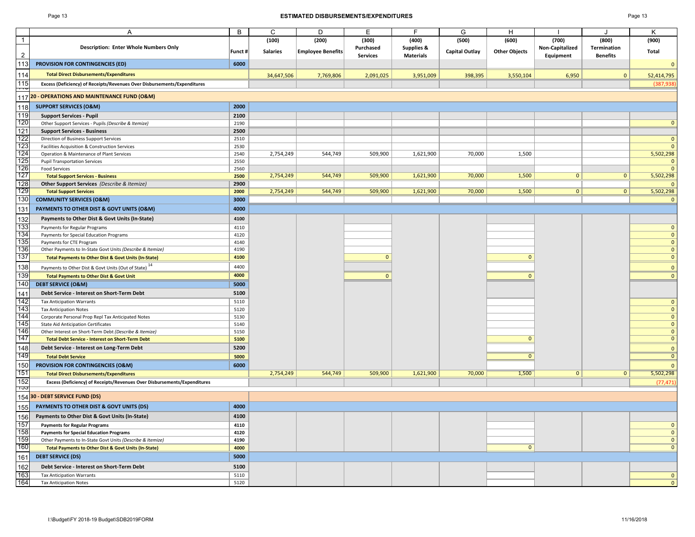### Page 13 **ESTIMATED DISBURSEMENTS/EXPENDITURES** Page 13

| апе: |  |
|------|--|
|------|--|

|                | A                                                                        | В       | C               | D                        | E               | E                | G              | H                    |                 |                 | Κ                            |
|----------------|--------------------------------------------------------------------------|---------|-----------------|--------------------------|-----------------|------------------|----------------|----------------------|-----------------|-----------------|------------------------------|
| $\mathbf{1}$   |                                                                          |         | (100)           | (200)                    | (300)           | (400)            | (500)          | (600)                | (700)           | (800)           | (900)                        |
|                | <b>Description: Enter Whole Numbers Only</b>                             | Funct # | <b>Salaries</b> | <b>Employee Benefits</b> | Purchased       | Supplies &       | Capital Outlay | <b>Other Objects</b> | Non-Capitalized | Termination     | Total                        |
| $\overline{2}$ |                                                                          |         |                 |                          | <b>Services</b> | <b>Materials</b> |                |                      | Equipment       | <b>Benefits</b> |                              |
| 113            | PROVISION FOR CONTINGENCIES (ED)                                         | 6000    |                 |                          |                 |                  |                |                      |                 |                 | $\overline{0}$               |
| 114            | <b>Total Direct Disbursements/Expenditures</b>                           |         | 34,647,506      | 7,769,806                | 2,091,025       | 3,951,009        | 398,395        | 3,550,104            | 6,950           | $\mathbf{0}$    | 52,414,795                   |
| 115            | Excess (Deficiency) of Receipts/Revenues Over Disbursements/Expenditures |         |                 |                          |                 |                  |                |                      |                 |                 | (387, 938)                   |
| É              |                                                                          |         |                 |                          |                 |                  |                |                      |                 |                 |                              |
|                | 117 20 - OPERATIONS AND MAINTENANCE FUND (O&M)                           |         |                 |                          |                 |                  |                |                      |                 |                 |                              |
| 118            | <b>SUPPORT SERVICES (O&amp;M)</b>                                        | 2000    |                 |                          |                 |                  |                |                      |                 |                 |                              |
| 119            | <b>Support Services - Pupil</b>                                          | 2100    |                 |                          |                 |                  |                |                      |                 |                 |                              |
| 120            | Other Support Services - Pupils (Describe & Itemize)                     | 2190    |                 |                          |                 |                  |                |                      |                 |                 | $\mathbf{0}$                 |
| 121            | <b>Support Services - Business</b>                                       | 2500    |                 |                          |                 |                  |                |                      |                 |                 |                              |
| 122            | Direction of Business Support Services                                   | 2510    |                 |                          |                 |                  |                |                      |                 |                 | $\mathbf{0}$                 |
| 123            | Facilities Acquisition & Construction Services                           | 2530    |                 |                          |                 |                  |                |                      |                 |                 | $\mathbf{0}$                 |
| 124            | Operation & Maintenance of Plant Services                                | 2540    | 2,754,249       | 544,749                  | 509,900         | 1,621,900        | 70,000         | 1,500                |                 |                 | 5,502,298                    |
| 125            | <b>Pupil Transportation Services</b>                                     | 2550    |                 |                          |                 |                  |                |                      |                 |                 | $\mathbf{0}$                 |
| 126            | <b>Food Services</b>                                                     | 2560    |                 |                          |                 |                  |                |                      |                 |                 | $\mathbf{0}$                 |
| 127            | <b>Total Support Services - Business</b>                                 | 2500    | 2,754,249       | 544,749                  | 509,900         | 1,621,900        | 70,000         | 1,500                | $\mathbf{0}$    | 0               | 5,502,298                    |
| 128            | <b>Other Support Services</b> (Describe & Itemize)                       | 2900    |                 |                          |                 |                  |                |                      |                 |                 | $\mathbf{0}$                 |
| 129            | <b>Total Support Services</b>                                            | 2000    | 2,754,249       | 544,749                  | 509,900         | 1,621,900        | 70,000         | 1,500                | $\mathbf{0}$    | 0               | 5,502,298                    |
| 130            | <b>COMMUNITY SERVICES (O&amp;M)</b>                                      | 3000    |                 |                          |                 |                  |                |                      |                 |                 | $\overline{0}$               |
| 131            | PAYMENTS TO OTHER DIST & GOVT UNITS (O&M)                                | 4000    |                 |                          |                 |                  |                |                      |                 |                 |                              |
| 132            | Payments to Other Dist & Govt Units (In-State)                           | 4100    |                 |                          |                 |                  |                |                      |                 |                 |                              |
| 133            | Payments for Regular Programs                                            | 4110    |                 |                          |                 |                  |                |                      |                 |                 | $\mathbf{0}$                 |
| 134            | Payments for Special Education Programs                                  | 4120    |                 |                          |                 |                  |                |                      |                 |                 | $\mathbf 0$                  |
| 135            | Payments for CTE Program                                                 | 4140    |                 |                          |                 |                  |                |                      |                 |                 | $\mathbf{0}$                 |
| 136            | Other Payments to In-State Govt Units (Describe & Itemize)               | 4190    |                 |                          |                 |                  |                |                      |                 |                 | $\mathbf{0}$                 |
| 137            | <b>Total Payments to Other Dist &amp; Govt Units (In-State)</b>          | 4100    |                 |                          | $\mathbf{0}$    |                  |                | $\mathbf{0}$         |                 |                 | $\mathbf{0}$                 |
| 138            | Payments to Other Dist & Govt Units (Out of State) <sup>14</sup>         | 4400    |                 |                          |                 |                  |                |                      |                 |                 | $\mathbf{0}$                 |
| 139            | <b>Total Payments to Other Dist &amp; Govt Unit</b>                      | 4000    |                 |                          | $\mathbf{0}$    |                  |                | $\Omega$             |                 |                 | $\mathbf{0}$                 |
| 140            | <b>DEBT SERVICE (O&amp;M)</b>                                            | 5000    |                 |                          |                 |                  |                |                      |                 |                 |                              |
|                |                                                                          |         |                 |                          |                 |                  |                |                      |                 |                 |                              |
| 141            | Debt Service - Interest on Short-Term Debt                               | 5100    |                 |                          |                 |                  |                |                      |                 |                 |                              |
| 142            | <b>Tax Anticipation Warrants</b>                                         | 5110    |                 |                          |                 |                  |                |                      |                 |                 | $\mathbf{0}$                 |
| 143            | <b>Tax Anticipation Notes</b>                                            | 5120    |                 |                          |                 |                  |                |                      |                 |                 | $\overline{0}$               |
| 144<br>145     | Corporate Personal Prop Repl Tax Anticipated Notes                       | 5130    |                 |                          |                 |                  |                |                      |                 |                 | $\mathbf{0}$                 |
| 146            | <b>State Aid Anticipation Certificates</b>                               | 5140    |                 |                          |                 |                  |                |                      |                 |                 | $\mathbf{0}$                 |
| 147            | Other Interest on Short-Term Debt (Describe & Itemize)                   | 5150    |                 |                          |                 |                  |                | $\mathbf{0}$         |                 |                 | $\mathbf{0}$<br>$\mathbf{0}$ |
|                | <b>Total Debt Service - Interest on Short-Term Debt</b>                  | 5100    |                 |                          |                 |                  |                |                      |                 |                 |                              |
| 148            | Debt Service - Interest on Long-Term Debt                                | 5200    |                 |                          |                 |                  |                |                      |                 |                 | $\overline{0}$               |
| 149            | <b>Total Debt Service</b>                                                | 5000    |                 |                          |                 |                  |                | $\overline{0}$       |                 |                 | $\overline{\mathbf{0}}$      |
| 150            | PROVISION FOR CONTINGENCIES (O&M)                                        | 6000    |                 |                          |                 |                  |                |                      |                 |                 | $\mathbf{0}$                 |
| 151            | <b>Total Direct Disbursements/Expenditures</b>                           |         | 2,754,249       | 544,749                  | 509,900         | 1,621,900        | 70,000         | 1,500                | $\mathbf{0}$    | $\mathbf{0}$    | 5,502,298                    |
| 152            | Excess (Deficiency) of Receipts/Revenues Over Disbursements/Expenditures |         |                 |                          |                 |                  |                |                      |                 |                 | (77, 471)                    |
| тээ            | 154 30 - DEBT SERVICE FUND (DS)                                          |         |                 |                          |                 |                  |                |                      |                 |                 |                              |
| 155            | PAYMENTS TO OTHER DIST & GOVT UNITS (DS)                                 | 4000    |                 |                          |                 |                  |                |                      |                 |                 |                              |
| 156            | Payments to Other Dist & Govt Units (In-State)                           | 4100    |                 |                          |                 |                  |                |                      |                 |                 |                              |
| 157            | <b>Payments for Regular Programs</b>                                     | 4110    |                 |                          |                 |                  |                |                      |                 |                 | $\mathbf{0}$                 |
| 158            | <b>Payments for Special Education Programs</b>                           | 4120    |                 |                          |                 |                  |                |                      |                 |                 | $\mathbf{0}$                 |
| 159            | Other Payments to In-State Govt Units (Describe & Itemize)               | 4190    |                 |                          |                 |                  |                |                      |                 |                 | $\mathbf{0}$                 |
| 160            | <b>Total Payments to Other Dist &amp; Govt Units (In-State)</b>          | 4000    |                 |                          |                 |                  |                | $\mathbf{0}$         |                 |                 | $\overline{0}$               |
| 161            | <b>DEBT SERVICE (DS)</b>                                                 | 5000    |                 |                          |                 |                  |                |                      |                 |                 |                              |
|                |                                                                          | 5100    |                 |                          |                 |                  |                |                      |                 |                 |                              |
| 162            | Debt Service - Interest on Short-Term Debt                               |         |                 |                          |                 |                  |                |                      |                 |                 |                              |
| 163            | <b>Tax Anticipation Warrants</b>                                         | 5110    |                 |                          |                 |                  |                |                      |                 |                 | $\mathbf{0}$                 |
| 164            | <b>Tax Anticipation Notes</b>                                            | 5120    |                 |                          |                 |                  |                |                      |                 |                 | $\mathbf{0}$                 |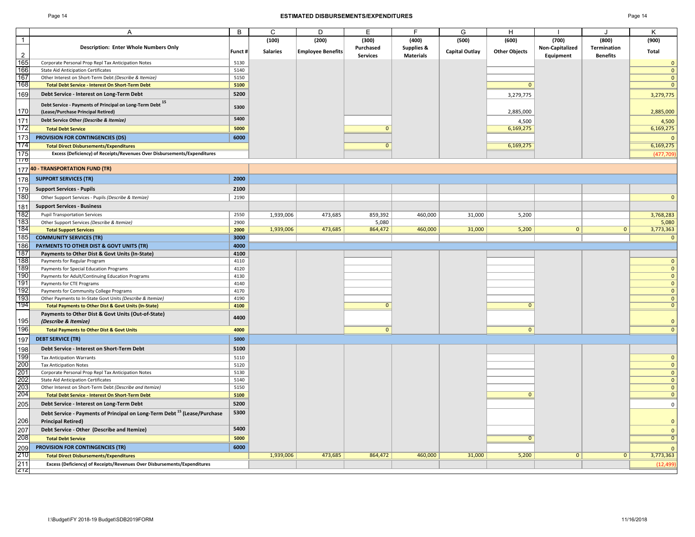### Page 14 **ESTIMATED DISBURSEMENTS/EXPENDITURES** Page 14

|                | $\overline{A}$                                                                                                             | B            | C               | D                        | E               | F                | G                     | H                    |                 |                 | K                            |
|----------------|----------------------------------------------------------------------------------------------------------------------------|--------------|-----------------|--------------------------|-----------------|------------------|-----------------------|----------------------|-----------------|-----------------|------------------------------|
|                |                                                                                                                            |              |                 |                          |                 |                  |                       |                      |                 |                 |                              |
| $\overline{1}$ |                                                                                                                            |              | (100)           | (200)                    | (300)           | (400)            | (500)                 | (600)                | (700)           | (800)           | (900)                        |
|                | <b>Description: Enter Whole Numbers Only</b>                                                                               | Funct#       | <b>Salaries</b> | <b>Employee Benefits</b> | Purchased       | Supplies &       | <b>Capital Outlay</b> | <b>Other Objects</b> | Non-Capitalized | Termination     | Total                        |
| $\overline{2}$ |                                                                                                                            |              |                 |                          | <b>Services</b> | <b>Materials</b> |                       |                      | Equipment       | <b>Benefits</b> |                              |
| 165            | Corporate Personal Prop Repl Tax Anticipation Notes                                                                        | 5130<br>5140 |                 |                          |                 |                  |                       |                      |                 |                 | $\mathbf{0}$                 |
| 166<br>167     | <b>State Aid Anticipation Certificates</b>                                                                                 | 5150         |                 |                          |                 |                  |                       |                      |                 |                 | $\mathbf{0}$<br>$\mathbf{0}$ |
| 168            | Other Interest on Short-Term Debt (Describe & Itemize)                                                                     | 5100         |                 |                          |                 |                  |                       | $\Omega$             |                 |                 | $\overline{0}$               |
|                | <b>Total Debt Service - Interest On Short-Term Debt</b>                                                                    |              |                 |                          |                 |                  |                       |                      |                 |                 |                              |
| 169            | Debt Service - Interest on Long-Term Debt                                                                                  | 5200         |                 |                          |                 |                  |                       | 3,279,775            |                 |                 | 3,279,775                    |
|                | Debt Service - Payments of Principal on Long-Term Debt 15                                                                  | 5300         |                 |                          |                 |                  |                       |                      |                 |                 |                              |
| 170            | (Lease/Purchase Principal Retired)                                                                                         |              |                 |                          |                 |                  |                       | 2,885,000            |                 |                 | 2,885,000                    |
| 171            | Debt Service Other (Describe & Itemize)                                                                                    | 5400         |                 |                          |                 |                  |                       | 4,500                |                 |                 | 4,500                        |
| 172            | <b>Total Debt Service</b>                                                                                                  | 5000         |                 |                          | $\overline{0}$  |                  |                       | 6,169,275            |                 |                 | 6,169,275                    |
| 173            | PROVISION FOR CONTINGENCIES (DS)                                                                                           | 6000         |                 |                          |                 |                  |                       |                      |                 |                 | $\mathbf{0}$                 |
| 174            |                                                                                                                            |              |                 |                          | $\mathbf{0}$    |                  |                       | 6,169,275            |                 |                 | 6,169,275                    |
| 175            | <b>Total Direct Disbursements/Expenditures</b><br>Excess (Deficiency) of Receipts/Revenues Over Disbursements/Expenditures |              |                 |                          |                 |                  |                       |                      |                 |                 |                              |
| 170            |                                                                                                                            |              |                 |                          |                 |                  |                       |                      |                 |                 | (477, 709)                   |
|                | 177 40 - TRANSPORTATION FUND (TR)                                                                                          |              |                 |                          |                 |                  |                       |                      |                 |                 |                              |
|                |                                                                                                                            |              |                 |                          |                 |                  |                       |                      |                 |                 |                              |
| 178            | <b>SUPPORT SERVICES (TR)</b>                                                                                               | 2000         |                 |                          |                 |                  |                       |                      |                 |                 |                              |
| 179            | <b>Support Services - Pupils</b>                                                                                           | 2100         |                 |                          |                 |                  |                       |                      |                 |                 |                              |
| 180            | Other Support Services - Pupils (Describe & Itemize)                                                                       | 2190         |                 |                          |                 |                  |                       |                      |                 |                 | $\mathbf{0}$                 |
| 181            | <b>Support Services - Business</b>                                                                                         |              |                 |                          |                 |                  |                       |                      |                 |                 |                              |
| 182            | <b>Pupil Transportation Services</b>                                                                                       | 2550         | 1,939,006       | 473,685                  | 859,392         | 460,000          | 31,000                | 5,200                |                 |                 | 3,768,283                    |
| 183            | Other Support Services (Describe & Itemize)                                                                                | 2900         |                 |                          | 5,080           |                  |                       |                      |                 |                 | 5,080                        |
| 184            | <b>Total Support Services</b>                                                                                              | 2000         | 1,939,006       | 473,685                  | 864,472         | 460,000          | 31,000                | 5,200                | $\mathbf{0}$    | $\mathbf{0}$    | 3,773,363                    |
| 185            | <b>COMMUNITY SERVICES (TR)</b>                                                                                             | 3000         |                 |                          |                 |                  |                       |                      |                 |                 | $\Omega$                     |
|                |                                                                                                                            |              |                 |                          |                 |                  |                       |                      |                 |                 |                              |
| 186            | PAYMENTS TO OTHER DIST & GOVT UNITS (TR)                                                                                   | 4000         |                 |                          |                 |                  |                       |                      |                 |                 |                              |
| 187<br>188     | Payments to Other Dist & Govt Units (In-State)                                                                             | 4100         |                 |                          |                 |                  |                       |                      |                 |                 |                              |
| 189            | Payments for Regular Program                                                                                               | 4110<br>4120 |                 |                          |                 |                  |                       |                      |                 |                 | $\mathbf{0}$                 |
| 190            | Payments for Special Education Programs                                                                                    | 4130         |                 |                          |                 |                  |                       |                      |                 |                 | $\mathbf{0}$<br>$\mathbf{0}$ |
| 191            | Payments for Adult/Continuing Education Programs                                                                           | 4140         |                 |                          |                 |                  |                       |                      |                 |                 | $\overline{0}$               |
| 192            | Payments for CTE Programs                                                                                                  | 4170         |                 |                          |                 |                  |                       |                      |                 |                 | $\mathbf{0}$                 |
| 193            | Payments for Community College Programs<br>Other Payments to In-State Govt Units (Describe & Itemize)                      | 4190         |                 |                          |                 |                  |                       |                      |                 |                 | $\mathbf{0}$                 |
| 194            | <b>Total Payments to Other Dist &amp; Govt Units (In-State)</b>                                                            | 4100         |                 |                          | $\mathbf{0}$    |                  |                       | $\mathbf{0}$         |                 |                 | $\mathbf{0}$                 |
|                |                                                                                                                            |              |                 |                          |                 |                  |                       |                      |                 |                 |                              |
| 195            | Payments to Other Dist & Govt Units (Out-of-State)                                                                         | 4400         |                 |                          |                 |                  |                       |                      |                 |                 | $\mathbf{0}$                 |
|                | (Describe & Itemize)                                                                                                       |              |                 |                          |                 |                  |                       |                      |                 |                 | $\overline{0}$               |
| 196            | <b>Total Payments to Other Dist &amp; Govt Units</b>                                                                       | 4000         |                 |                          | $\overline{0}$  |                  |                       | $\mathbf{0}$         |                 |                 |                              |
| 197            | <b>DEBT SERVICE (TR)</b>                                                                                                   | 5000         |                 |                          |                 |                  |                       |                      |                 |                 |                              |
| 198            | Debt Service - Interest on Short-Term Debt                                                                                 | 5100         |                 |                          |                 |                  |                       |                      |                 |                 |                              |
| 199            | <b>Tax Anticipation Warrants</b>                                                                                           | 5110         |                 |                          |                 |                  |                       |                      |                 |                 | $\mathbf{0}$                 |
| 200            | <b>Tax Anticipation Notes</b>                                                                                              | 5120         |                 |                          |                 |                  |                       |                      |                 |                 | $\mathbf{0}$                 |
| 201            | Corporate Personal Prop Repl Tax Anticipation Notes                                                                        | 5130         |                 |                          |                 |                  |                       |                      |                 |                 | $\mathbf{0}$                 |
| 202            | <b>State Aid Anticipation Certificates</b>                                                                                 | 5140         |                 |                          |                 |                  |                       |                      |                 |                 | $\mathbf{0}$                 |
| 203<br>204     | Other Interest on Short-Term Debt (Describe and Itemize)                                                                   | 5150         |                 |                          |                 |                  |                       |                      |                 |                 | $\mathbf{0}$                 |
|                | <b>Total Debt Service - Interest On Short-Term Debt</b>                                                                    | 5100         |                 |                          |                 |                  |                       | $\mathbf{0}$         |                 |                 | $\mathbf{0}$                 |
| 205            | Debt Service - Interest on Long-Term Debt                                                                                  | 5200         |                 |                          |                 |                  |                       |                      |                 |                 | $\mathsf{O}$                 |
|                | Debt Service - Payments of Principal on Long-Term Debt <sup>15</sup> (Lease/Purchase                                       | 5300         |                 |                          |                 |                  |                       |                      |                 |                 |                              |
| 206            |                                                                                                                            |              |                 |                          |                 |                  |                       |                      |                 |                 | $\mathbf{0}$                 |
|                | <b>Principal Retired)</b>                                                                                                  | 5400         |                 |                          |                 |                  |                       |                      |                 |                 |                              |
| 207            | Debt Service - Other (Describe and Itemize)                                                                                |              |                 |                          |                 |                  |                       |                      |                 |                 | $\mathbf{0}$                 |
| 208            | <b>Total Debt Service</b>                                                                                                  | 5000         |                 |                          |                 |                  |                       | $\overline{0}$       |                 |                 | $\overline{0}$               |
| 209            | <b>PROVISION FOR CONTINGENCIES (TR)</b>                                                                                    | 6000         |                 |                          |                 |                  |                       |                      |                 |                 | $\mathbf{0}$                 |
| 210            | <b>Total Direct Disbursements/Expenditures</b>                                                                             |              | 1,939,006       | 473,685                  | 864,472         | 460,000          | 31,000                | 5,200                | $\mathbf{0}$    | $\overline{0}$  | 3,773,363                    |
| 211            | Excess (Deficiency) of Receipts/Revenues Over Disbursements/Expenditures                                                   |              |                 |                          |                 |                  |                       |                      |                 |                 | (12, 499)                    |
| Z1Z            |                                                                                                                            |              |                 |                          |                 |                  |                       |                      |                 |                 |                              |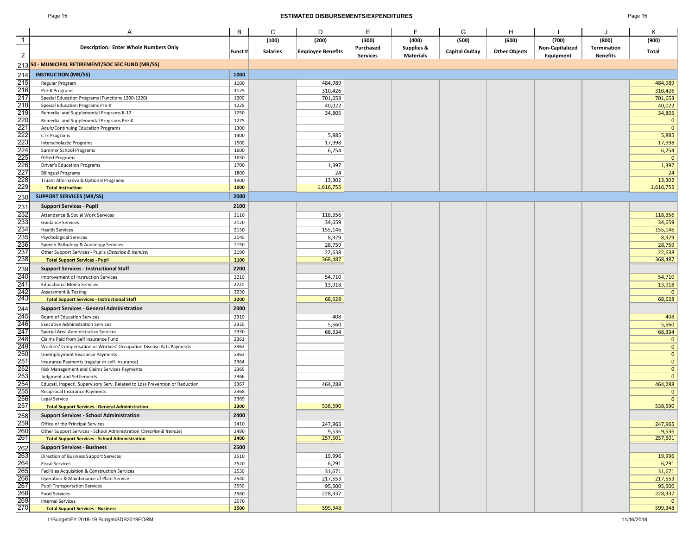### Page 15 **ESTIMATED DISBURSEMENTS/EXPENDITURES** Page 15

|                                                             | A                                                                                                          | B            | C               | D                        | Е               | F                | G                     | H                    |                 |                 | Κ                            |
|-------------------------------------------------------------|------------------------------------------------------------------------------------------------------------|--------------|-----------------|--------------------------|-----------------|------------------|-----------------------|----------------------|-----------------|-----------------|------------------------------|
| $\overline{1}$                                              |                                                                                                            |              | (100)           | (200)                    | (300)           | (400)            | (500)                 | (600)                | (700)           | (800)           | (900)                        |
|                                                             | <b>Description: Enter Whole Numbers Only</b>                                                               |              |                 |                          | Purchased       | Supplies &       |                       |                      | Non-Capitalized | Termination     |                              |
| $\overline{2}$                                              |                                                                                                            | Funct #      | <b>Salaries</b> | <b>Employee Benefits</b> | <b>Services</b> | <b>Materials</b> | <b>Capital Outlay</b> | <b>Other Objects</b> | Equipment       | <b>Benefits</b> | Total                        |
|                                                             | 213 <mark>50 - MUNICIPAL RETIREMENT/SOC SEC FUND (MR/SS)</mark>                                            |              |                 |                          |                 |                  |                       |                      |                 |                 |                              |
| 214                                                         | <b>INSTRUCTION (MR/SS)</b>                                                                                 | 1000         |                 |                          |                 |                  |                       |                      |                 |                 |                              |
| 215                                                         | Regular Program                                                                                            | 1100         |                 | 484,989                  |                 |                  |                       |                      |                 |                 | 484,989                      |
| $\overline{216}$                                            | Pre-K Programs                                                                                             | 1125         |                 | 310,426                  |                 |                  |                       |                      |                 |                 | 310,426                      |
| 217                                                         | Special Education Programs (Functions 1200-1220)                                                           | 1200         |                 | 701,653                  |                 |                  |                       |                      |                 |                 | 701,653                      |
| 218                                                         | Special Education Programs Pre-K                                                                           | 1225         |                 | 40,022                   |                 |                  |                       |                      |                 |                 | 40,022                       |
| 219                                                         | Remedial and Supplemental Programs K-12                                                                    | 1250         |                 | 34,805                   |                 |                  |                       |                      |                 |                 | 34,805                       |
|                                                             | Remedial and Supplemental Programs Pre-K                                                                   | 1275         |                 |                          |                 |                  |                       |                      |                 |                 | 0                            |
|                                                             | Adult/Continuing Education Programs                                                                        | 1300         |                 |                          |                 |                  |                       |                      |                 |                 | $\Omega$                     |
| 220<br>221<br>222<br>223<br>224<br>224                      | <b>CTE Programs</b>                                                                                        | 1400         |                 | 5,885                    |                 |                  |                       |                      |                 |                 | 5,885                        |
|                                                             | Interscholastic Programs                                                                                   | 1500         |                 | 17,998                   |                 |                  |                       |                      |                 |                 | 17,998                       |
|                                                             | Summer School Programs                                                                                     | 1600         |                 | 6,254                    |                 |                  |                       |                      |                 |                 | 6,254                        |
|                                                             | <b>Gifted Programs</b>                                                                                     | 1650         |                 |                          |                 |                  |                       |                      |                 |                 |                              |
| 226                                                         | <b>Driver's Education Programs</b>                                                                         | 1700         |                 | 1,397                    |                 |                  |                       |                      |                 |                 | 1,397                        |
|                                                             | <b>Bilingual Programs</b>                                                                                  | 1800         |                 | 24                       |                 |                  |                       |                      |                 |                 | 24                           |
| 227<br>228<br>229                                           | Truant Alternative & Optional Programs                                                                     | 1900<br>1000 |                 | 13,302                   |                 |                  |                       |                      |                 |                 | 13,302                       |
|                                                             | <b>Total Instruction</b>                                                                                   |              |                 | 1,616,755                |                 |                  |                       |                      |                 |                 | 1,616,755                    |
| 230                                                         | <b>SUPPORT SERVICES (MR/SS)</b>                                                                            | 2000         |                 |                          |                 |                  |                       |                      |                 |                 |                              |
| 231<br>232<br>232<br>234<br>235<br>235                      | <b>Support Services - Pupil</b>                                                                            | 2100         |                 |                          |                 |                  |                       |                      |                 |                 |                              |
|                                                             | Attendance & Social Work Services                                                                          | 2110         |                 | 118,356                  |                 |                  |                       |                      |                 |                 | 118,356                      |
|                                                             | <b>Guidance Services</b>                                                                                   | 2120         |                 | 34,659                   |                 |                  |                       |                      |                 |                 | 34,659                       |
|                                                             | <b>Health Services</b>                                                                                     | 2130         |                 | 155,146                  |                 |                  |                       |                      |                 |                 | 155,146                      |
|                                                             | <b>Psychological Services</b>                                                                              | 2140         |                 | 8,929                    |                 |                  |                       |                      |                 |                 | 8,929                        |
|                                                             | Speech Pathology & Audiology Services                                                                      | 2150         |                 | 28,759                   |                 |                  |                       |                      |                 |                 | 28,759                       |
| 237<br>238                                                  | Other Support Services - Pupils (Describe & Itemize)                                                       | 2190         |                 | 22,638<br>368,487        |                 |                  |                       |                      |                 |                 | 22,638<br>368,487            |
|                                                             | <b>Total Support Services - Pupil</b>                                                                      | 2100         |                 |                          |                 |                  |                       |                      |                 |                 |                              |
| 239                                                         | <b>Support Services - Instructional Staff</b>                                                              | 2200         |                 |                          |                 |                  |                       |                      |                 |                 |                              |
| 240                                                         | Improvement of Instruction Services                                                                        | 2210         |                 | 54,710                   |                 |                  |                       |                      |                 |                 | 54,710                       |
|                                                             | <b>Educational Media Services</b>                                                                          | 2220         |                 | 13,918                   |                 |                  |                       |                      |                 |                 | 13,918                       |
| 241<br>242<br>243                                           | <b>Assessment &amp; Testing</b>                                                                            | 2230<br>2200 |                 | 68,628                   |                 |                  |                       |                      |                 |                 | 68,628                       |
|                                                             | <b>Total Support Services - Instructional Staff</b>                                                        |              |                 |                          |                 |                  |                       |                      |                 |                 |                              |
| 244                                                         | <b>Support Services - General Administration</b>                                                           | 2300         |                 |                          |                 |                  |                       |                      |                 |                 |                              |
| 245                                                         | Board of Education Services                                                                                | 2310         |                 | 408                      |                 |                  |                       |                      |                 |                 | 408                          |
| 246                                                         | <b>Executive Administration Services</b>                                                                   | 2320         |                 | 5,560                    |                 |                  |                       |                      |                 |                 | 5,560                        |
| 247<br>248                                                  | Special Area Administrative Services                                                                       | 2330         |                 | 68,334                   |                 |                  |                       |                      |                 |                 | 68,334                       |
| 249                                                         | Claims Paid from Self Insurance Fund<br>Workers' Compensation or Workers' Occupation Disease Acts Payments | 2361<br>2362 |                 |                          |                 |                  |                       |                      |                 |                 | $\mathbf{0}$<br>$\mathbf{0}$ |
| 250                                                         | Unemployment Insurance Payments                                                                            | 2363         |                 |                          |                 |                  |                       |                      |                 |                 | 0                            |
| <u>251</u>                                                  | Insurance Payments (regular or self-insurance)                                                             | 2364         |                 |                          |                 |                  |                       |                      |                 |                 | $\mathbf{0}$                 |
| 252                                                         | Risk Management and Claims Services Payments                                                               | 2365         |                 |                          |                 |                  |                       |                      |                 |                 | $\mathbf{0}$                 |
|                                                             | <b>Judgment and Settlements</b>                                                                            | 2366         |                 |                          |                 |                  |                       |                      |                 |                 |                              |
| 253<br>254<br>255                                           | Educatl, Inspectl, Supervisory Serv. Related to Loss Prevention or Reduction                               | 2367         |                 | 464,288                  |                 |                  |                       |                      |                 |                 | 464,288                      |
|                                                             | Reciprocal Insurance Payments                                                                              | 2368         |                 |                          |                 |                  |                       |                      |                 |                 |                              |
| 256                                                         | Legal Service                                                                                              | 2369         |                 |                          |                 |                  |                       |                      |                 |                 |                              |
| 257                                                         | <b>Total Support Services - General Administration</b>                                                     | 2300         |                 | 538,590                  |                 |                  |                       |                      |                 |                 | 538,590                      |
| 258                                                         | <b>Support Services - School Administration</b>                                                            | 2400         |                 |                          |                 |                  |                       |                      |                 |                 |                              |
|                                                             | Office of the Principal Services                                                                           | 2410         |                 | 247,965                  |                 |                  |                       |                      |                 |                 | 247,965                      |
|                                                             | Other Support Services - School Administration (Describe & Itemize)                                        | 2490         |                 | 9,536                    |                 |                  |                       |                      |                 |                 | 9,536                        |
| 259<br>260<br>261                                           | <b>Total Support Services - School Administration</b>                                                      | 2400         |                 | 257,501                  |                 |                  |                       |                      |                 |                 | 257,501                      |
|                                                             | <b>Support Services - Business</b>                                                                         | 2500         |                 |                          |                 |                  |                       |                      |                 |                 |                              |
| 262<br>263<br>263<br>264<br>265<br>268<br>269<br>269<br>270 | Direction of Business Support Services                                                                     | 2510         |                 | 19,996                   |                 |                  |                       |                      |                 |                 | 19,996                       |
|                                                             | <b>Fiscal Services</b>                                                                                     | 2520         |                 | 6,291                    |                 |                  |                       |                      |                 |                 | 6,291                        |
|                                                             | Facilities Acquisition & Construction Services                                                             | 2530         |                 | 31,671                   |                 |                  |                       |                      |                 |                 | 31,671                       |
|                                                             | Operation & Maintenance of Plant Service                                                                   | 2540         |                 | 217,553                  |                 |                  |                       |                      |                 |                 | 217,553                      |
|                                                             | <b>Pupil Transportation Services</b>                                                                       | 2550         |                 | 95,500                   |                 |                  |                       |                      |                 |                 | 95,500                       |
|                                                             | <b>Food Services</b>                                                                                       | 2560         |                 | 228,337                  |                 |                  |                       |                      |                 |                 | 228,337                      |
|                                                             | <b>Internal Services</b>                                                                                   | 2570         |                 |                          |                 |                  |                       |                      |                 |                 | 0                            |
|                                                             | <b>Total Support Services - Business</b>                                                                   | 2500         |                 | 599,348                  |                 |                  |                       |                      |                 |                 | 599,348                      |

I:\Budget\FY 2018-19 Budget\SDB2019FORM 11/16/2018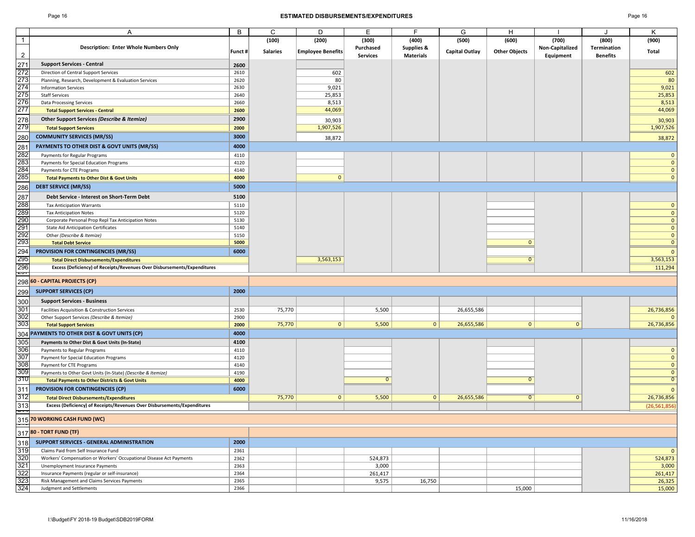### Page 16 **ESTIMATED DISBURSEMENTS/EXPENDITURES** Page 16

| ade. |  |
|------|--|
|------|--|

|                | A                                                                        | B       | C               | D                        | Е               | F                | G              | н                    |                 | J                  | κ                       |
|----------------|--------------------------------------------------------------------------|---------|-----------------|--------------------------|-----------------|------------------|----------------|----------------------|-----------------|--------------------|-------------------------|
| $\mathbf{1}$   |                                                                          |         | (100)           | (200)                    | (300)           | (400)            | (500)          | (600)                | (700)           | (800)              | (900)                   |
|                | <b>Description: Enter Whole Numbers Only</b>                             | Funct # | <b>Salaries</b> | <b>Employee Benefits</b> | Purchased       | Supplies &       | Capital Outlay | <b>Other Objects</b> | Non-Capitalized | <b>Termination</b> | Total                   |
| $\overline{2}$ |                                                                          |         |                 |                          | <b>Services</b> | <b>Materials</b> |                |                      | Equipment       | <b>Benefits</b>    |                         |
| 271            | <b>Support Services - Central</b>                                        | 2600    |                 |                          |                 |                  |                |                      |                 |                    |                         |
| 272            | Direction of Central Support Services                                    | 2610    |                 | 602                      |                 |                  |                |                      |                 |                    | 602                     |
| 273            | Planning, Research, Development & Evaluation Services                    | 2620    |                 | 80                       |                 |                  |                |                      |                 |                    | 80                      |
| 274            | <b>Information Services</b>                                              | 2630    |                 | 9,021                    |                 |                  |                |                      |                 |                    | 9,021                   |
| 275            |                                                                          | 2640    |                 | 25,853                   |                 |                  |                |                      |                 |                    | 25,853                  |
| 276            | <b>Staff Services</b>                                                    |         |                 |                          |                 |                  |                |                      |                 |                    |                         |
| 277            | <b>Data Processing Services</b>                                          | 2660    |                 | 8,513                    |                 |                  |                |                      |                 |                    | 8,513                   |
|                | <b>Total Support Services - Central</b>                                  | 2600    |                 | 44,069                   |                 |                  |                |                      |                 |                    | 44,069                  |
| 278            | Other Support Services (Describe & Itemize)                              | 2900    |                 | 30,903                   |                 |                  |                |                      |                 |                    | 30,903                  |
| 279            | <b>Total Support Services</b>                                            | 2000    |                 | 1,907,526                |                 |                  |                |                      |                 |                    | 1,907,526               |
| 280            | <b>COMMUNITY SERVICES (MR/SS)</b>                                        | 3000    |                 | 38,872                   |                 |                  |                |                      |                 |                    | 38,872                  |
|                |                                                                          |         |                 |                          |                 |                  |                |                      |                 |                    |                         |
| 281            | PAYMENTS TO OTHER DIST & GOVT UNITS (MR/SS)                              | 4000    |                 |                          |                 |                  |                |                      |                 |                    |                         |
| 282            | Payments for Regular Programs                                            | 4110    |                 |                          |                 |                  |                |                      |                 |                    | $\mathbf 0$             |
| 283            | Payments for Special Education Programs                                  | 4120    |                 |                          |                 |                  |                |                      |                 |                    | $\overline{\mathbf{0}}$ |
| 284            | Payments for CTE Programs                                                | 4140    |                 |                          |                 |                  |                |                      |                 |                    | $\mathbf 0$             |
| 285            | <b>Total Payments to Other Dist &amp; Govt Units</b>                     | 4000    |                 | $\mathbf{0}$             |                 |                  |                |                      |                 |                    | $\mathbf{0}$            |
| 286            | <b>DEBT SERVICE (MR/SS)</b>                                              | 5000    |                 |                          |                 |                  |                |                      |                 |                    |                         |
| 287            | Debt Service - Interest on Short-Term Debt                               | 5100    |                 |                          |                 |                  |                |                      |                 |                    |                         |
| 288            | <b>Tax Anticipation Warrants</b>                                         | 5110    |                 |                          |                 |                  |                |                      |                 |                    | $\mathbf{0}$            |
| 289            | <b>Tax Anticipation Notes</b>                                            | 5120    |                 |                          |                 |                  |                |                      |                 |                    | $\mathbf 0$             |
| 290            |                                                                          | 5130    |                 |                          |                 |                  |                |                      |                 |                    | $\overline{\mathbf{0}}$ |
| 291            | Corporate Personal Prop Repl Tax Anticipation Notes                      |         |                 |                          |                 |                  |                |                      |                 |                    |                         |
|                | <b>State Aid Anticipation Certificates</b>                               | 5140    |                 |                          |                 |                  |                |                      |                 |                    | $\mathbf 0$             |
| 292<br>293     | Other (Describe & Itemize)                                               | 5150    |                 |                          |                 |                  |                | $\Omega$             |                 |                    | $\mathbf 0$             |
|                | <b>Total Debt Service</b>                                                | 5000    |                 |                          |                 |                  |                |                      |                 |                    | $\overline{0}$          |
| 294            | PROVISION FOR CONTINGENCIES (MR/SS)                                      | 6000    |                 |                          |                 |                  |                |                      |                 |                    | $\mathbf{0}$            |
| 295            | <b>Total Direct Disbursements/Expenditures</b>                           |         |                 | 3,563,153                |                 |                  |                | $\overline{0}$       |                 |                    | 3,563,153               |
| 296            | Excess (Deficiency) of Receipts/Revenues Over Disbursements/Expenditures |         |                 |                          |                 |                  |                |                      |                 |                    | 111,294                 |
| 201            |                                                                          |         |                 |                          |                 |                  |                |                      |                 |                    |                         |
|                | 298 60 - CAPITAL PROJECTS (CP)                                           |         |                 |                          |                 |                  |                |                      |                 |                    |                         |
| 299            | <b>SUPPORT SERVICES (CP)</b>                                             | 2000    |                 |                          |                 |                  |                |                      |                 |                    |                         |
| 300            | <b>Support Services - Business</b>                                       |         |                 |                          |                 |                  |                |                      |                 |                    |                         |
| 301            | Facilities Acquisition & Construction Services                           | 2530    | 75,770          |                          | 5,500           |                  | 26,655,586     |                      |                 |                    | 26,736,856              |
| 302            | Other Support Services (Describe & Itemize)                              | 2900    |                 |                          |                 |                  |                |                      |                 |                    | $\Omega$                |
| 303            | <b>Total Support Services</b>                                            | 2000    | 75,770          | $\mathbf{0}$             | 5,500           | 0                | 26,655,586     | $\mathbf{0}$         | $\mathbf{0}$    |                    | 26,736,856              |
|                | 304 PAYMENTS TO OTHER DIST & GOVT UNITS (CP)                             | 4000    |                 |                          |                 |                  |                |                      |                 |                    |                         |
|                |                                                                          |         |                 |                          |                 |                  |                |                      |                 |                    |                         |
| 305            | Payments to Other Dist & Govt Units (In-State)                           | 4100    |                 |                          |                 |                  |                |                      |                 |                    |                         |
| 306            | Payments to Regular Programs                                             | 4110    |                 |                          |                 |                  |                |                      |                 |                    | $\mathbf 0$             |
| 307            | Payment for Special Education Programs                                   | 4120    |                 |                          |                 |                  |                |                      |                 |                    | $\mathbf 0$             |
| 308            | Payment for CTE Programs                                                 | 4140    |                 |                          |                 |                  |                |                      |                 |                    | $\overline{\mathbf{0}}$ |
| 309            | Payments to Other Govt Units (In-State) (Describe & Itemize)             | 4190    |                 |                          |                 |                  |                |                      |                 |                    | $\mathbf 0$             |
| 310            | <b>Total Payments to Other Districts &amp; Govt Units</b>                | 4000    |                 |                          | $\Omega$        |                  |                | $\mathbf{0}$         |                 |                    | $\overline{0}$          |
| 311            | <b>PROVISION FOR CONTINGENCIES (CP)</b>                                  | 6000    |                 |                          |                 |                  |                |                      |                 |                    | $\Omega$                |
| 312            | <b>Total Direct Disbursements/Expenditures</b>                           |         | 75,770          | $\mathbf{0}$             | 5,500           | 0                | 26,655,586     | $\overline{0}$       | $\mathbf{0}$    |                    | 26,736,856              |
| 313            | Excess (Deficiency) of Receipts/Revenues Over Disbursements/Expenditures |         |                 |                          |                 |                  |                |                      |                 |                    | (26,561,856             |
| ᠳ              | 315 70 WORKING CASH FUND (WC)                                            |         |                 |                          |                 |                  |                |                      |                 |                    |                         |
|                |                                                                          |         |                 |                          |                 |                  |                |                      |                 |                    |                         |
|                | 317 80 - TORT FUND (TF)                                                  |         |                 |                          |                 |                  |                |                      |                 |                    |                         |
| 318            | SUPPORT SERVICES - GENERAL ADMINISTRATION                                | 2000    |                 |                          |                 |                  |                |                      |                 |                    |                         |
| 319            | Claims Paid from Self Insurance Fund                                     | 2361    |                 |                          |                 |                  |                |                      |                 |                    | $\mathbf{0}$            |
| 320            | Workers' Compensation or Workers' Occupational Disease Act Payments      | 2362    |                 |                          | 524,873         |                  |                |                      |                 |                    | 524,873                 |
| 321            | Unemployment Insurance Payments                                          | 2363    |                 |                          | 3,000           |                  |                |                      |                 |                    | 3,000                   |
| 322            | Insurance Payments (regular or self-insurance)                           | 2364    |                 |                          | 261,417         |                  |                |                      |                 |                    | 261,417                 |
| 323            | Risk Management and Claims Services Payments                             | 2365    |                 |                          | 9,575           | 16,750           |                |                      |                 |                    | 26,325                  |
| 324            | Judgment and Settlements                                                 | 2366    |                 |                          |                 |                  |                | 15,000               |                 |                    | 15,000                  |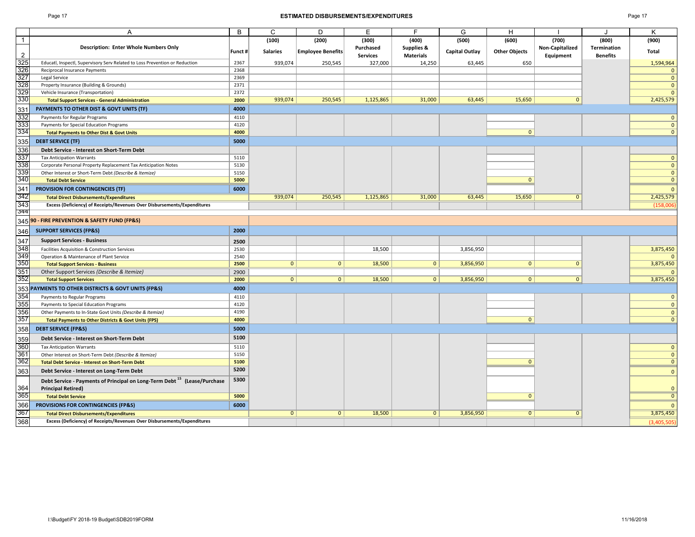### Page 17 **ESTIMATED DISBURSEMENTS/EXPENDITURES** Page 17

|                 | A                                                                                    | B       | $\mathsf{C}$    | D                        | E               | F                | G              | H                    |                 |                    | K              |
|-----------------|--------------------------------------------------------------------------------------|---------|-----------------|--------------------------|-----------------|------------------|----------------|----------------------|-----------------|--------------------|----------------|
| $\overline{1}$  |                                                                                      |         | (100)           | (200)                    | (300)           | (400)            | (500)          | (600)                | (700)           | (800)              | (900)          |
|                 | Description: Enter Whole Numbers Only                                                |         |                 |                          | Purchased       | Supplies &       |                |                      | Non-Capitalized | <b>Termination</b> |                |
| $\overline{2}$  |                                                                                      | Funct # | <b>Salaries</b> | <b>Employee Benefits</b> | <b>Services</b> | <b>Materials</b> | Capital Outlay | <b>Other Objects</b> | Equipment       | <b>Benefits</b>    | <b>Total</b>   |
| 325             | Educatl, Inspectl, Supervisory Serv Related to Loss Prevention or Reduction          | 2367    | 939,074         | 250,545                  | 327,000         | 14,250           | 63,445         | 650                  |                 |                    | 1,594,964      |
| 326             | Reciprocal Insurance Payments                                                        | 2368    |                 |                          |                 |                  |                |                      |                 |                    | $\mathbf{0}$   |
| 327             | Legal Service                                                                        | 2369    |                 |                          |                 |                  |                |                      |                 |                    | $\mathbf{0}$   |
| $rac{1}{328}$   | Property Insurance (Building & Grounds)                                              | 2371    |                 |                          |                 |                  |                |                      |                 |                    | $\mathbf{0}$   |
| 329             | Vehicle Insurance (Transportation)                                                   | 2372    |                 |                          |                 |                  |                |                      |                 |                    | $\mathbf{0}$   |
| 330             | <b>Total Support Services - General Administration</b>                               | 2000    | 939,074         | 250,545                  | 1,125,865       | 31,000           | 63,445         | 15,650               | $\Omega$        |                    | 2,425,579      |
| 331             | PAYMENTS TO OTHER DIST & GOVT UNITS (TF)                                             | 4000    |                 |                          |                 |                  |                |                      |                 |                    |                |
| 332             | Payments for Regular Programs                                                        | 4110    |                 |                          |                 |                  |                |                      |                 |                    | $\mathbf{0}$   |
| 333             | Payments for Special Education Programs                                              | 4120    |                 |                          |                 |                  |                |                      |                 |                    | $\mathbf{0}$   |
| 334             | <b>Total Payments to Other Dist &amp; Govt Units</b>                                 | 4000    |                 |                          |                 |                  |                | $\overline{0}$       |                 |                    | $\mathbf{0}$   |
| 335             | <b>DEBT SERVICE (TF)</b>                                                             | 5000    |                 |                          |                 |                  |                |                      |                 |                    |                |
| 336             | Debt Service - Interest on Short-Term Debt                                           |         |                 |                          |                 |                  |                |                      |                 |                    |                |
| 337             | <b>Tax Anticipation Warrants</b>                                                     | 5110    |                 |                          |                 |                  |                |                      |                 |                    | $\mathbf{0}$   |
| 338             | Corporate Personal Property Replacement Tax Anticipation Notes                       | 5130    |                 |                          |                 |                  |                |                      |                 |                    | $\mathbf{0}$   |
| 339             | Other Interest or Short-Term Debt (Describe & Itemize)                               | 5150    |                 |                          |                 |                  |                |                      |                 |                    | $\mathbf{0}$   |
| 340             | <b>Total Debt Service</b>                                                            | 5000    |                 |                          |                 |                  |                | $\Omega$             |                 |                    | $\mathbf{0}$   |
| 341             | PROVISION FOR CONTINGENCIES (TF)                                                     | 6000    |                 |                          |                 |                  |                |                      |                 |                    | $\mathbf{0}$   |
| 342             | <b>Total Direct Disbursements/Expenditures</b>                                       |         | 939,074         | 250,545                  | 1,125,865       | 31,000           | 63,445         | 15,650               | $\mathbf{0}$    |                    | 2,425,579      |
| 343             | Excess (Deficiency) of Receipts/Revenues Over Disbursements/Expenditures             |         |                 |                          |                 |                  |                |                      |                 |                    | (158,006)      |
| 344             |                                                                                      |         |                 |                          |                 |                  |                |                      |                 |                    |                |
| 345             | 90 - FIRE PREVENTION & SAFETY FUND (FP&S)                                            |         |                 |                          |                 |                  |                |                      |                 |                    |                |
| 346             | <b>SUPPORT SERVICES (FP&amp;S)</b>                                                   | 2000    |                 |                          |                 |                  |                |                      |                 |                    |                |
| 347             | <b>Support Services - Business</b>                                                   | 2500    |                 |                          |                 |                  |                |                      |                 |                    |                |
| 348             | Facilities Acquisition & Construction Services                                       | 2530    |                 |                          | 18,500          |                  | 3,856,950      |                      |                 |                    | 3,875,450      |
| 349             | Operation & Maintenance of Plant Service                                             | 2540    |                 |                          |                 |                  |                |                      |                 |                    | $\mathbf{0}$   |
| $\frac{1}{350}$ | <b>Total Support Services - Business</b>                                             | 2500    | $\mathbf{0}$    | 0                        | 18,500          | $\mathbf{0}$     | 3,856,950      | $\mathbf{0}$         | $\mathbf{0}$    |                    | 3,875,450      |
| 351             | Other Support Services (Describe & Itemize)                                          | 2900    |                 |                          |                 |                  |                |                      |                 |                    |                |
| 352             | <b>Total Support Services</b>                                                        | 2000    | $\mathbf{0}$    | 0                        | 18,500          | $\mathbf{0}$     | 3,856,950      | 0                    | $\mathbf{0}$    |                    | 3,875,450      |
|                 | 353 PAYMENTS TO OTHER DISTRICTS & GOVT UNITS (FP&S)                                  | 4000    |                 |                          |                 |                  |                |                      |                 |                    |                |
| 354             | Payments to Regular Programs                                                         | 4110    |                 |                          |                 |                  |                |                      |                 |                    | $\mathbf{0}$   |
| 355             | Payments to Special Education Programs                                               | 4120    |                 |                          |                 |                  |                |                      |                 |                    | $\mathbf{0}$   |
| 356             | Other Payments to In-State Govt Units (Describe & Itemize)                           | 4190    |                 |                          |                 |                  |                |                      |                 |                    | $\mathbf{0}$   |
| 357             | <b>Total Payments to Other Districts &amp; Govt Units (FPS)</b>                      | 4000    |                 |                          |                 |                  |                | $\mathbf{0}$         |                 |                    | $\Omega$       |
| 358             | <b>DEBT SERVICE (FP&amp;S)</b>                                                       | 5000    |                 |                          |                 |                  |                |                      |                 |                    |                |
| 359             | Debt Service - Interest on Short-Term Debt                                           | 5100    |                 |                          |                 |                  |                |                      |                 |                    |                |
| 360             | <b>Tax Anticipation Warrants</b>                                                     | 5110    |                 |                          |                 |                  |                |                      |                 |                    | $\mathbf{0}$   |
| 361             | Other Interest on Short-Term Debt (Describe & Itemize)                               | 5150    |                 |                          |                 |                  |                |                      |                 |                    | $\mathbf{0}$   |
| 362             | <b>Total Debt Service - Interest on Short-Term Debt</b>                              | 5100    |                 |                          |                 |                  |                | $\mathbf{0}$         |                 |                    | $\mathbf{0}$   |
| 363             | Debt Service - Interest on Long-Term Debt                                            | 5200    |                 |                          |                 |                  |                |                      |                 |                    | $\mathbf{0}$   |
|                 | Debt Service - Payments of Principal on Long-Term Debt <sup>15</sup> (Lease/Purchase | 5300    |                 |                          |                 |                  |                |                      |                 |                    |                |
| 364             | <b>Principal Retired)</b>                                                            |         |                 |                          |                 |                  |                |                      |                 |                    | $\mathbf{0}$   |
| 365             | <b>Total Debt Service</b>                                                            | 5000    |                 |                          |                 |                  |                | $\mathbf{0}$         |                 |                    | $\overline{0}$ |
| 366             | PROVISIONS FOR CONTINGENCIES (FP&S)                                                  | 6000    |                 |                          |                 |                  |                |                      |                 |                    | $\mathbf{0}$   |
| 367             | <b>Total Direct Disbursements/Expenditures</b>                                       |         | 0               | 0                        | 18,500          | $\mathbf{0}$     | 3,856,950      | $\overline{0}$       | $\Omega$        |                    | 3,875,450      |
| 368             | Excess (Deficiency) of Receipts/Revenues Over Disbursements/Expenditures             |         |                 |                          |                 |                  |                |                      |                 |                    | (3,405,505)    |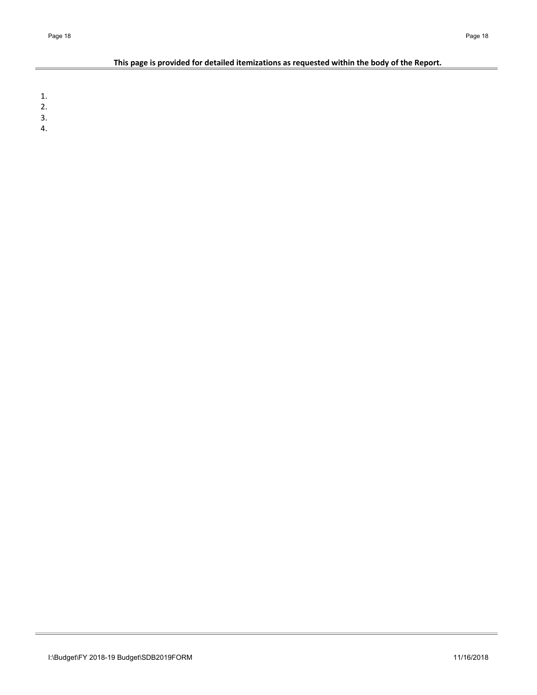## **This page is provided for detailed itemizations as requested within the body of the Report.**

1.

- 2.
- 3.
- 4.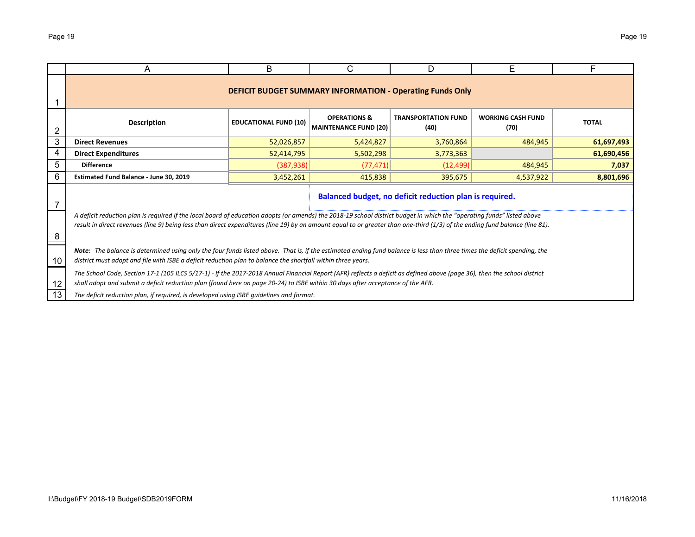|                                                                                             | A                                                                                                                                                                                                                                                                                                                                                      | B                                                                  | C.                                                               | D                                                       | Е       | F     |  |  |  |  |  |  |  |
|---------------------------------------------------------------------------------------------|--------------------------------------------------------------------------------------------------------------------------------------------------------------------------------------------------------------------------------------------------------------------------------------------------------------------------------------------------------|--------------------------------------------------------------------|------------------------------------------------------------------|---------------------------------------------------------|---------|-------|--|--|--|--|--|--|--|
|                                                                                             |                                                                                                                                                                                                                                                                                                                                                        |                                                                    | <b>DEFICIT BUDGET SUMMARY INFORMATION - Operating Funds Only</b> |                                                         |         |       |  |  |  |  |  |  |  |
|                                                                                             | <b>Description</b>                                                                                                                                                                                                                                                                                                                                     | <b>TRANSPORTATION FUND</b><br><b>MAINTENANCE FUND (20)</b><br>(40) | <b>WORKING CASH FUND</b><br>(70)                                 | <b>TOTAL</b>                                            |         |       |  |  |  |  |  |  |  |
| 3                                                                                           | 52,026,857<br>484,945<br><b>Direct Revenues</b><br>5,424,827<br>3,760,864<br>61,697,493                                                                                                                                                                                                                                                                |                                                                    |                                                                  |                                                         |         |       |  |  |  |  |  |  |  |
| 4                                                                                           | 52,414,795<br><b>Direct Expenditures</b><br>61,690,456<br>5,502,298<br>3,773,363                                                                                                                                                                                                                                                                       |                                                                    |                                                                  |                                                         |         |       |  |  |  |  |  |  |  |
| 5                                                                                           | <b>Difference</b>                                                                                                                                                                                                                                                                                                                                      | (387, 938)                                                         | (77, 471)                                                        | (12, 499)                                               | 484,945 | 7,037 |  |  |  |  |  |  |  |
| 6<br>Estimated Fund Balance - June 30, 2019<br>3,452,261<br>415,838<br>395,675<br>4,537,922 |                                                                                                                                                                                                                                                                                                                                                        |                                                                    |                                                                  |                                                         |         |       |  |  |  |  |  |  |  |
|                                                                                             |                                                                                                                                                                                                                                                                                                                                                        |                                                                    |                                                                  | Balanced budget, no deficit reduction plan is required. |         |       |  |  |  |  |  |  |  |
| 8                                                                                           | A deficit reduction plan is required if the local board of education adopts (or amends) the 2018-19 school district budget in which the "operating funds" listed above<br>result in direct revenues (line 9) being less than direct expenditures (line 19) by an amount equal to or greater than one-third (1/3) of the ending fund balance (line 81). |                                                                    |                                                                  |                                                         |         |       |  |  |  |  |  |  |  |
| 10                                                                                          | Note: The balance is determined using only the four funds listed above. That is, if the estimated ending fund balance is less than three times the deficit spending, the<br>district must adopt and file with ISBE a deficit reduction plan to balance the shortfall within three years.                                                               |                                                                    |                                                                  |                                                         |         |       |  |  |  |  |  |  |  |
| 12                                                                                          | The School Code, Section 17-1 (105 ILCS 5/17-1) - If the 2017-2018 Annual Financial Report (AFR) reflects a deficit as defined above (page 36), then the school district<br>shall adopt and submit a deficit reduction plan (found here on page 20-24) to ISBE within 30 days after acceptance of the AFR.                                             |                                                                    |                                                                  |                                                         |         |       |  |  |  |  |  |  |  |
| 13                                                                                          | The deficit reduction plan, if required, is developed using ISBE guidelines and format.                                                                                                                                                                                                                                                                |                                                                    |                                                                  |                                                         |         |       |  |  |  |  |  |  |  |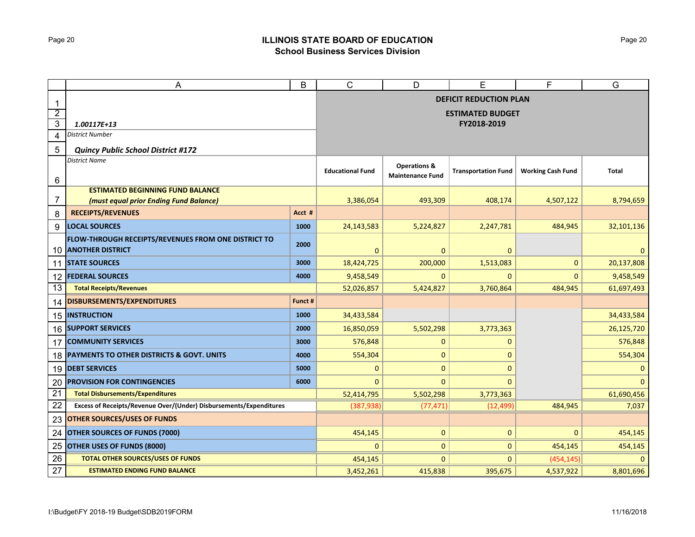## Page 20 **ILLINOIS STATE BOARD OF EDUCATION School Business Services Division**

|                 | A                                                                  | B       | $\mathsf{C}$                  | D                       | E                          | F                        | G            |  |  |  |  |
|-----------------|--------------------------------------------------------------------|---------|-------------------------------|-------------------------|----------------------------|--------------------------|--------------|--|--|--|--|
| 1               |                                                                    |         | <b>DEFICIT REDUCTION PLAN</b> |                         |                            |                          |              |  |  |  |  |
| $\overline{2}$  |                                                                    |         | <b>ESTIMATED BUDGET</b>       |                         |                            |                          |              |  |  |  |  |
| 3               | 1.00117E+13                                                        |         | FY2018-2019                   |                         |                            |                          |              |  |  |  |  |
| 4               | <b>District Number</b>                                             |         |                               |                         |                            |                          |              |  |  |  |  |
| 5               | <b>Quincy Public School District #172</b>                          |         |                               |                         |                            |                          |              |  |  |  |  |
|                 | <b>District Name</b>                                               |         |                               | <b>Operations &amp;</b> |                            |                          |              |  |  |  |  |
| 6               |                                                                    |         | <b>Educational Fund</b>       | <b>Maintenance Fund</b> | <b>Transportation Fund</b> | <b>Working Cash Fund</b> | Total        |  |  |  |  |
|                 | <b>ESTIMATED BEGINNING FUND BALANCE</b>                            |         |                               |                         |                            |                          |              |  |  |  |  |
| 7               | (must equal prior Ending Fund Balance)                             |         | 3,386,054                     | 493,309                 | 408,174                    | 4,507,122                | 8,794,659    |  |  |  |  |
| 8               | <b>RECEIPTS/REVENUES</b>                                           | Acct #  |                               |                         |                            |                          |              |  |  |  |  |
| 9               | <b>LOCAL SOURCES</b>                                               | 1000    | 24,143,583                    | 5,224,827               | 2,247,781                  | 484,945                  | 32,101,136   |  |  |  |  |
|                 | FLOW-THROUGH RECEIPTS/REVENUES FROM ONE DISTRICT TO                | 2000    |                               |                         |                            |                          |              |  |  |  |  |
|                 | <b>10 ANOTHER DISTRICT</b>                                         |         | 0                             | $\mathbf 0$             | $\mathbf{0}$               |                          | $\mathbf{0}$ |  |  |  |  |
|                 | 11 STATE SOURCES                                                   | 3000    | 18,424,725                    | 200,000                 | 1,513,083                  | $\mathbf{0}$             | 20,137,808   |  |  |  |  |
| 12              | <b>FEDERAL SOURCES</b>                                             | 4000    | 9,458,549                     | 0                       | $\Omega$                   | $\mathbf{0}$             | 9,458,549    |  |  |  |  |
| 13              | <b>Total Receipts/Revenues</b>                                     |         | 52,026,857                    | 5,424,827               | 3,760,864                  | 484,945                  | 61,697,493   |  |  |  |  |
| 14              | <b>DISBURSEMENTS/EXPENDITURES</b>                                  | Funct # |                               |                         |                            |                          |              |  |  |  |  |
|                 | 15 INSTRUCTION                                                     | 1000    | 34,433,584                    |                         |                            |                          | 34,433,584   |  |  |  |  |
| 16              | <b>SUPPORT SERVICES</b>                                            | 2000    | 16,850,059                    | 5,502,298               | 3,773,363                  |                          | 26,125,720   |  |  |  |  |
| 17              | <b>COMMUNITY SERVICES</b>                                          | 3000    | 576,848                       | $\mathbf{0}$            | 0                          |                          | 576,848      |  |  |  |  |
| 18              | PAYMENTS TO OTHER DISTRICTS & GOVT. UNITS                          | 4000    | 554,304                       | $\mathbf 0$             | 0                          |                          | 554,304      |  |  |  |  |
|                 | 19 DEBT SERVICES                                                   | 5000    | 0                             | $\mathbf 0$             | $\Omega$                   |                          | $\mathbf 0$  |  |  |  |  |
| 20              | <b>PROVISION FOR CONTINGENCIES</b>                                 | 6000    | 0                             | $\mathbf 0$             | $\Omega$                   |                          | $\Omega$     |  |  |  |  |
| $\overline{21}$ | <b>Total Disbursements/Expenditures</b>                            |         | 52,414,795                    | 5,502,298               | 3,773,363                  |                          | 61,690,456   |  |  |  |  |
| 22              | Excess of Receipts/Revenue Over/(Under) Disbursements/Expenditures |         | (387, 938)                    | (77, 471)               | (12, 499)                  | 484,945                  | 7,037        |  |  |  |  |
| 23              | <b>OTHER SOURCES/USES OF FUNDS</b>                                 |         |                               |                         |                            |                          |              |  |  |  |  |
| 24              | <b>OTHER SOURCES OF FUNDS (7000)</b>                               |         | 454,145                       | $\mathbf{0}$            | $\mathbf{0}$               | $\mathbf{0}$             | 454,145      |  |  |  |  |
| 25              | OTHER USES OF FUNDS (8000)                                         |         | 0                             | $\mathbf{0}$            | $\mathbf{0}$               | 454,145                  | 454,145      |  |  |  |  |
| 26              | <b>TOTAL OTHER SOURCES/USES OF FUNDS</b>                           |         | 454,145                       | $\mathbf{0}$            | $\mathbf{0}$               | (454, 145)               | $\Omega$     |  |  |  |  |
| 27              | <b>ESTIMATED ENDING FUND BALANCE</b>                               |         | 3,452,261                     | 415,838                 | 395,675                    | 4,537,922                | 8,801,696    |  |  |  |  |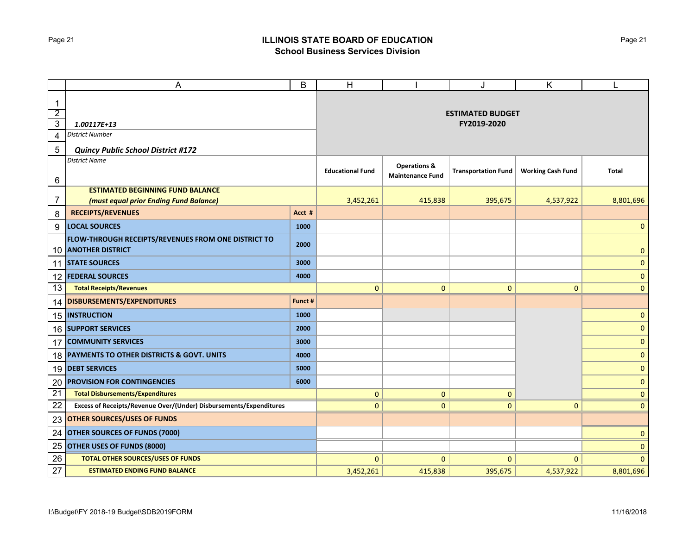## Page 21 **ILLINOIS STATE BOARD OF EDUCATION School Business Services Division**

|                                                           | A                                                                                 | B                                      | H                                                  |                            | J                        | K            |              |
|-----------------------------------------------------------|-----------------------------------------------------------------------------------|----------------------------------------|----------------------------------------------------|----------------------------|--------------------------|--------------|--------------|
| $\mathbf 1$<br>$\overline{2}$<br>$\overline{3}$<br>4<br>5 | 1.00117E+13<br>District Number                                                    | <b>ESTIMATED BUDGET</b><br>FY2019-2020 |                                                    |                            |                          |              |              |
|                                                           | <b>Quincy Public School District #172</b><br><b>District Name</b>                 | <b>Educational Fund</b>                | <b>Operations &amp;</b><br><b>Maintenance Fund</b> | <b>Transportation Fund</b> | <b>Working Cash Fund</b> | <b>Total</b> |              |
| 6<br>7                                                    | <b>ESTIMATED BEGINNING FUND BALANCE</b><br>(must equal prior Ending Fund Balance) |                                        | 3,452,261                                          | 415,838                    | 395,675                  | 4,537,922    | 8,801,696    |
| 8                                                         | <b>RECEIPTS/REVENUES</b>                                                          | Acct #                                 |                                                    |                            |                          |              |              |
| 9                                                         | <b>LOCAL SOURCES</b>                                                              | 1000                                   |                                                    |                            |                          |              | $\mathbf 0$  |
| 10                                                        | FLOW-THROUGH RECEIPTS/REVENUES FROM ONE DISTRICT TO<br><b>ANOTHER DISTRICT</b>    | 2000                                   |                                                    |                            |                          |              | $\mathbf 0$  |
| 11                                                        | <b>STATE SOURCES</b>                                                              | 3000                                   |                                                    |                            |                          |              | $\pmb{0}$    |
| 12                                                        | <b>FEDERAL SOURCES</b>                                                            | 4000                                   |                                                    |                            |                          |              | $\pmb{0}$    |
| 13                                                        | <b>Total Receipts/Revenues</b>                                                    |                                        | $\mathbf{0}$                                       | $\mathbf{0}$               | $\mathbf{0}$             | $\mathbf{0}$ | $\mathbf{0}$ |
| 14                                                        | DISBURSEMENTS/EXPENDITURES                                                        | Funct #                                |                                                    |                            |                          |              |              |
| 15                                                        | <b>INSTRUCTION</b>                                                                | 1000                                   |                                                    |                            |                          |              | $\mathbf 0$  |
| 16                                                        | <b>SUPPORT SERVICES</b>                                                           | 2000                                   |                                                    |                            |                          |              | $\mathbf{0}$ |
| 17                                                        | <b>COMMUNITY SERVICES</b>                                                         | 3000                                   |                                                    |                            |                          |              | $\pmb{0}$    |
| 18                                                        | PAYMENTS TO OTHER DISTRICTS & GOVT. UNITS                                         | 4000                                   |                                                    |                            |                          |              | $\mathbf 0$  |
| 19                                                        | <b>DEBT SERVICES</b>                                                              | 5000                                   |                                                    |                            |                          |              | $\mathbf 0$  |
| 20                                                        | <b>PROVISION FOR CONTINGENCIES</b>                                                | 6000                                   |                                                    |                            |                          |              | $\mathbf 0$  |
| $\overline{21}$                                           | <b>Total Disbursements/Expenditures</b>                                           |                                        | 0                                                  | $\mathbf{0}$               | $\mathbf{0}$             |              | $\mathbf{0}$ |
| 22                                                        | Excess of Receipts/Revenue Over/(Under) Disbursements/Expenditures                |                                        | $\mathbf{0}$                                       | $\mathbf{0}$               | $\mathbf{0}$             | $\mathbf{0}$ | $\mathbf{0}$ |
| 23                                                        | <b>OTHER SOURCES/USES OF FUNDS</b>                                                |                                        |                                                    |                            |                          |              |              |
| 24                                                        | <b>OTHER SOURCES OF FUNDS (7000)</b>                                              |                                        |                                                    |                            |                          |              | $\mathbf{0}$ |
| 25                                                        | <b>OTHER USES OF FUNDS (8000)</b>                                                 |                                        |                                                    |                            |                          |              | $\mathbf 0$  |
| 26                                                        | <b>TOTAL OTHER SOURCES/USES OF FUNDS</b>                                          |                                        | $\mathbf{0}$                                       | $\mathbf{0}$               | $\mathbf{0}$             | $\Omega$     | $\mathbf{0}$ |
| 27                                                        | <b>ESTIMATED ENDING FUND BALANCE</b>                                              |                                        | 3,452,261                                          | 415,838                    | 395,675                  | 4,537,922    | 8,801,696    |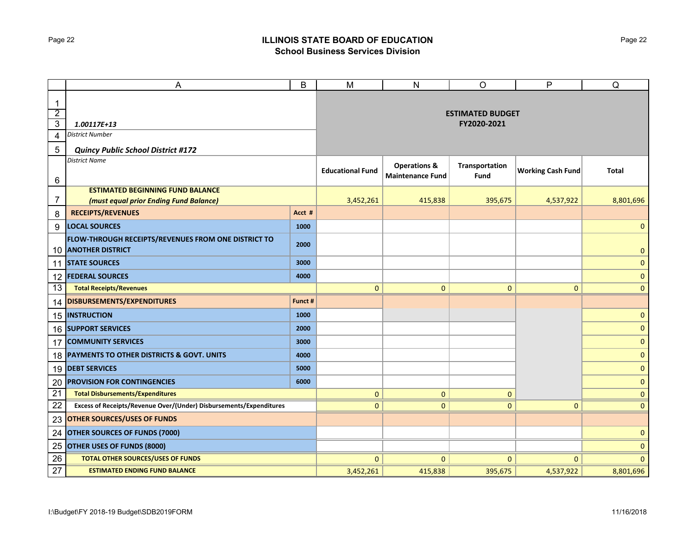## Page 22 **ILLINOIS STATE BOARD OF EDUCATION School Business Services Division**

|                               | Α                                                                              | B                       | M                       | $\mathsf{N}$                                       | O                      | P                        | Q            |
|-------------------------------|--------------------------------------------------------------------------------|-------------------------|-------------------------|----------------------------------------------------|------------------------|--------------------------|--------------|
| $\mathbf 1$<br>$\overline{2}$ |                                                                                | <b>ESTIMATED BUDGET</b> |                         |                                                    |                        |                          |              |
| $\overline{3}$                | 1.00117E+13                                                                    |                         |                         | FY2020-2021                                        |                        |                          |              |
| 4                             | District Number                                                                |                         |                         |                                                    |                        |                          |              |
| 5                             | <b>Quincy Public School District #172</b>                                      |                         |                         |                                                    |                        |                          |              |
| 6                             | <b>District Name</b>                                                           |                         | <b>Educational Fund</b> | <b>Operations &amp;</b><br><b>Maintenance Fund</b> | Transportation<br>Fund | <b>Working Cash Fund</b> | Total        |
|                               | <b>ESTIMATED BEGINNING FUND BALANCE</b>                                        |                         |                         |                                                    |                        |                          |              |
| 7                             | (must equal prior Ending Fund Balance)                                         |                         | 3,452,261               | 415,838                                            | 395,675                | 4,537,922                | 8,801,696    |
| 8                             | <b>RECEIPTS/REVENUES</b>                                                       | Acct #                  |                         |                                                    |                        |                          |              |
| 9                             | <b>LOCAL SOURCES</b>                                                           | 1000                    |                         |                                                    |                        |                          | $\mathbf 0$  |
| 10                            | FLOW-THROUGH RECEIPTS/REVENUES FROM ONE DISTRICT TO<br><b>ANOTHER DISTRICT</b> | 2000                    |                         |                                                    |                        |                          | $\pmb{0}$    |
|                               | 11 STATE SOURCES                                                               | 3000                    |                         |                                                    |                        |                          | $\pmb{0}$    |
| 12                            | <b>FEDERAL SOURCES</b>                                                         | 4000                    |                         |                                                    |                        |                          | $\pmb{0}$    |
| 13                            | <b>Total Receipts/Revenues</b>                                                 |                         | 0                       | $\mathbf{0}$                                       | $\mathbf 0$            | $\overline{0}$           | $\mathbf{0}$ |
| 14                            | DISBURSEMENTS/EXPENDITURES                                                     | Funct #                 |                         |                                                    |                        |                          |              |
|                               | 15   INSTRUCTION                                                               | 1000                    |                         |                                                    |                        |                          | $\mathbf 0$  |
|                               | <b>16 SUPPORT SERVICES</b>                                                     | 2000                    |                         |                                                    |                        |                          | $\mathbf{0}$ |
| 17                            | <b>COMMUNITY SERVICES</b>                                                      | 3000                    |                         |                                                    |                        |                          | $\mathbf 0$  |
|                               | 18 PAYMENTS TO OTHER DISTRICTS & GOVT. UNITS                                   | 4000                    |                         |                                                    |                        |                          | $\pmb{0}$    |
|                               | 19 DEBT SERVICES                                                               | 5000                    |                         |                                                    |                        |                          | $\mathbf{0}$ |
| 20                            | <b>PROVISION FOR CONTINGENCIES</b>                                             | 6000                    |                         |                                                    |                        |                          | $\mathbf 0$  |
| $\overline{21}$               | <b>Total Disbursements/Expenditures</b>                                        |                         | 0                       | $\mathbf{0}$                                       | $\mathbf{0}$           |                          | $\mathbf{0}$ |
| 22                            | Excess of Receipts/Revenue Over/(Under) Disbursements/Expenditures             |                         | $\mathbf{0}$            | $\mathbf{0}$                                       | $\overline{0}$         | $\Omega$                 | $\mathbf{0}$ |
| 23                            | <b>OTHER SOURCES/USES OF FUNDS</b>                                             |                         |                         |                                                    |                        |                          |              |
| 24                            | <b>OTHER SOURCES OF FUNDS (7000)</b>                                           |                         |                         |                                                    |                        |                          | $\mathbf 0$  |
| 25                            | <b>OTHER USES OF FUNDS (8000)</b>                                              |                         |                         |                                                    |                        |                          | $\mathbf 0$  |
| 26                            | <b>TOTAL OTHER SOURCES/USES OF FUNDS</b>                                       |                         | $\mathbf{0}$            | $\mathbf{0}$                                       | $\mathbf{0}$           | $\Omega$                 | $\mathbf{0}$ |
| $\overline{27}$               | <b>ESTIMATED ENDING FUND BALANCE</b>                                           |                         | 3,452,261               | 415,838                                            | 395,675                | 4,537,922                | 8,801,696    |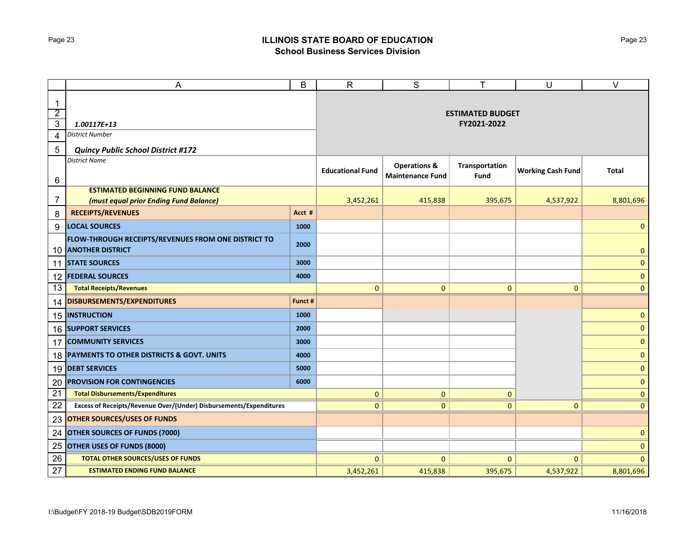## Page 23 **ILLINOIS STATE BOARD OF EDUCATION School Business Services Division**

|                                                 | Α                                                                              | B                                      | $\mathsf{R}$            | S                       | т              | U                        | $\vee$       |
|-------------------------------------------------|--------------------------------------------------------------------------------|----------------------------------------|-------------------------|-------------------------|----------------|--------------------------|--------------|
| $\mathbf 1$<br>$\overline{2}$<br>$\overline{3}$ | 1.00117E+13                                                                    | <b>ESTIMATED BUDGET</b><br>FY2021-2022 |                         |                         |                |                          |              |
| 4                                               | District Number                                                                |                                        |                         |                         |                |                          |              |
| 5                                               | <b>Quincy Public School District #172</b>                                      |                                        |                         |                         |                |                          |              |
|                                                 | <b>District Name</b>                                                           |                                        |                         | <b>Operations &amp;</b> | Transportation |                          |              |
| 6                                               |                                                                                |                                        | <b>Educational Fund</b> | <b>Maintenance Fund</b> | Fund           | <b>Working Cash Fund</b> | Total        |
|                                                 | <b>ESTIMATED BEGINNING FUND BALANCE</b>                                        |                                        |                         |                         |                |                          |              |
| 7                                               | (must equal prior Ending Fund Balance)                                         |                                        | 3,452,261               | 415,838                 | 395,675        | 4,537,922                | 8,801,696    |
| 8                                               | <b>RECEIPTS/REVENUES</b>                                                       | Acct #                                 |                         |                         |                |                          |              |
| 9                                               | <b>LOCAL SOURCES</b>                                                           | 1000                                   |                         |                         |                |                          | $\mathbf 0$  |
| 10                                              | FLOW-THROUGH RECEIPTS/REVENUES FROM ONE DISTRICT TO<br><b>ANOTHER DISTRICT</b> | 2000                                   |                         |                         |                |                          | $\pmb{0}$    |
|                                                 | 11 STATE SOURCES                                                               | 3000                                   |                         |                         |                |                          | $\pmb{0}$    |
| 12                                              | <b>FEDERAL SOURCES</b>                                                         | 4000                                   |                         |                         |                |                          | $\pmb{0}$    |
| 13                                              | <b>Total Receipts/Revenues</b>                                                 |                                        | 0                       | $\mathbf{0}$            | 0              | $\overline{0}$           | $\mathbf{0}$ |
| 14                                              | DISBURSEMENTS/EXPENDITURES                                                     | Funct #                                |                         |                         |                |                          |              |
|                                                 | 15   INSTRUCTION                                                               | 1000                                   |                         |                         |                |                          | $\mathbf 0$  |
|                                                 | <b>16 SUPPORT SERVICES</b>                                                     | 2000                                   |                         |                         |                |                          | $\mathbf{0}$ |
| 17                                              | <b>COMMUNITY SERVICES</b>                                                      | 3000                                   |                         |                         |                |                          | $\mathbf 0$  |
|                                                 | 18 PAYMENTS TO OTHER DISTRICTS & GOVT. UNITS                                   | 4000                                   |                         |                         |                |                          | $\pmb{0}$    |
|                                                 | 19 DEBT SERVICES                                                               | 5000                                   |                         |                         |                |                          | $\mathbf{0}$ |
| 20                                              | <b>PROVISION FOR CONTINGENCIES</b>                                             | 6000                                   |                         |                         |                |                          | $\mathbf 0$  |
| $\overline{21}$                                 | <b>Total Disbursements/Expenditures</b>                                        |                                        | 0                       | $\mathbf{0}$            | $\mathbf{0}$   |                          | $\mathbf{0}$ |
| 22                                              | Excess of Receipts/Revenue Over/(Under) Disbursements/Expenditures             |                                        | $\mathbf{0}$            | $\mathbf{0}$            | $\overline{0}$ | $\Omega$                 | $\mathbf{0}$ |
| 23                                              | <b>OTHER SOURCES/USES OF FUNDS</b>                                             |                                        |                         |                         |                |                          |              |
| 24                                              | <b>OTHER SOURCES OF FUNDS (7000)</b>                                           |                                        |                         |                         |                |                          | $\mathbf 0$  |
| 25                                              | <b>OTHER USES OF FUNDS (8000)</b>                                              |                                        |                         |                         |                |                          | $\mathbf 0$  |
| 26                                              | <b>TOTAL OTHER SOURCES/USES OF FUNDS</b>                                       |                                        | $\mathbf{0}$            | $\mathbf{0}$            | $\mathbf{0}$   | $\Omega$                 | $\mathbf{0}$ |
| $\overline{27}$                                 | <b>ESTIMATED ENDING FUND BALANCE</b>                                           |                                        | 3,452,261               | 415,838                 | 395,675        | 4,537,922                | 8,801,696    |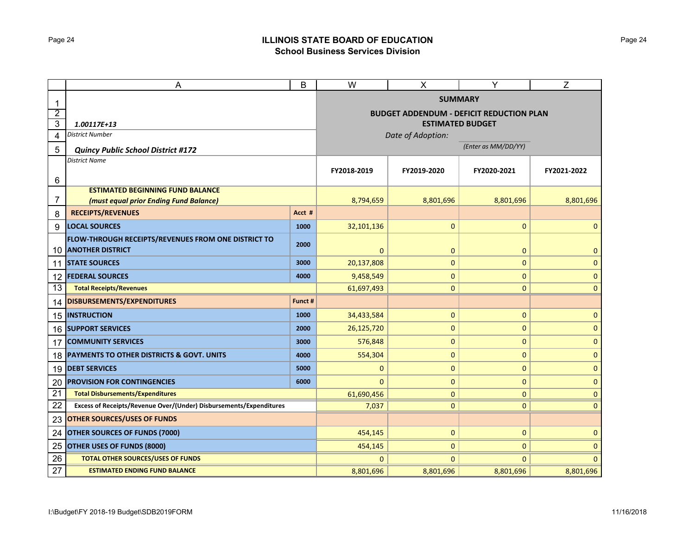## Page 24 **ILLINOIS STATE BOARD OF EDUCATION School Business Services Division**

|                | B<br>A                                                                            |             | W                                                                          | X            | Y            | Z            |  |  |
|----------------|-----------------------------------------------------------------------------------|-------------|----------------------------------------------------------------------------|--------------|--------------|--------------|--|--|
| 1              |                                                                                   |             | <b>SUMMARY</b>                                                             |              |              |              |  |  |
| $\overline{2}$ |                                                                                   |             | <b>BUDGET ADDENDUM - DEFICIT REDUCTION PLAN</b><br><b>ESTIMATED BUDGET</b> |              |              |              |  |  |
| 3              | 1.00117E+13                                                                       |             |                                                                            |              |              |              |  |  |
| 4              | District Number                                                                   |             | Date of Adoption:                                                          |              |              |              |  |  |
| 5              | <b>Quincy Public School District #172</b>                                         |             | (Enter as MM/DD/YY)                                                        |              |              |              |  |  |
|                | <b>District Name</b>                                                              | FY2018-2019 | FY2019-2020                                                                | FY2020-2021  | FY2021-2022  |              |  |  |
| 6              |                                                                                   |             |                                                                            |              |              |              |  |  |
|                | <b>ESTIMATED BEGINNING FUND BALANCE</b>                                           |             |                                                                            |              |              |              |  |  |
| 7              | (must equal prior Ending Fund Balance)                                            |             | 8,794,659                                                                  | 8,801,696    | 8,801,696    | 8,801,696    |  |  |
| 8              | <b>RECEIPTS/REVENUES</b>                                                          | Acct #      |                                                                            |              |              |              |  |  |
| 9              | <b>LOCAL SOURCES</b>                                                              | 1000        | 32,101,136                                                                 | $\pmb{0}$    | 0            | $\mathbf{0}$ |  |  |
|                | FLOW-THROUGH RECEIPTS/REVENUES FROM ONE DISTRICT TO<br><b>10 ANOTHER DISTRICT</b> | 2000        | $\mathbf 0$                                                                | $\pmb{0}$    | 0            | 0            |  |  |
| 11             | <b>STATE SOURCES</b>                                                              | 3000        | 20,137,808                                                                 | $\pmb{0}$    | 0            | 0            |  |  |
|                | 12 FEDERAL SOURCES                                                                | 4000        | 9,458,549                                                                  | 0            | 0            | 0            |  |  |
| 13             | <b>Total Receipts/Revenues</b>                                                    |             | 61,697,493                                                                 | $\mathbf 0$  | 0            | $\mathbf{0}$ |  |  |
| 14             | <b>DISBURSEMENTS/EXPENDITURES</b>                                                 | Funct #     |                                                                            |              |              |              |  |  |
| 15             | <b>INSTRUCTION</b>                                                                | 1000        | 34,433,584                                                                 | 0            | 0            | 0            |  |  |
|                | 16 SUPPORT SERVICES                                                               | 2000        | 26,125,720                                                                 | $\mathbf 0$  | 0            | $\mathbf{0}$ |  |  |
| 17             | <b>COMMUNITY SERVICES</b>                                                         | 3000        | 576,848                                                                    | 0            | 0            | 0            |  |  |
| 18             | PAYMENTS TO OTHER DISTRICTS & GOVT. UNITS                                         | 4000        | 554,304                                                                    | $\pmb{0}$    | 0            | 0            |  |  |
| 19             | <b>DEBT SERVICES</b>                                                              | 5000        | 0                                                                          | $\pmb{0}$    | 0            | 0            |  |  |
| 20             | <b>PROVISION FOR CONTINGENCIES</b>                                                | 6000        | $\Omega$                                                                   | $\mathbf 0$  | 0            | $\mathbf{0}$ |  |  |
| 21             | <b>Total Disbursements/Expenditures</b>                                           | 61,690,456  | $\mathbf 0$                                                                | $\mathbf{0}$ | 0            |              |  |  |
| 22             | Excess of Receipts/Revenue Over/(Under) Disbursements/Expenditures                | 7,037       | $\pmb{0}$                                                                  | $\mathbf{0}$ | 0            |              |  |  |
| 23             | <b>OTHER SOURCES/USES OF FUNDS</b>                                                |             |                                                                            |              |              |              |  |  |
| 24             | <b>OTHER SOURCES OF FUNDS (7000)</b>                                              | 454,145     | 0                                                                          | $\mathbf{0}$ | 0            |              |  |  |
| 25             | OTHER USES OF FUNDS (8000)                                                        | 454,145     | $\mathbf 0$                                                                | $\mathbf 0$  | $\mathbf{0}$ |              |  |  |
| 26             | <b>TOTAL OTHER SOURCES/USES OF FUNDS</b>                                          |             | $\Omega$                                                                   | $\mathbf{0}$ | 0            | $\Omega$     |  |  |
| 27             | <b>ESTIMATED ENDING FUND BALANCE</b>                                              | 8,801,696   | 8,801,696                                                                  | 8,801,696    | 8,801,696    |              |  |  |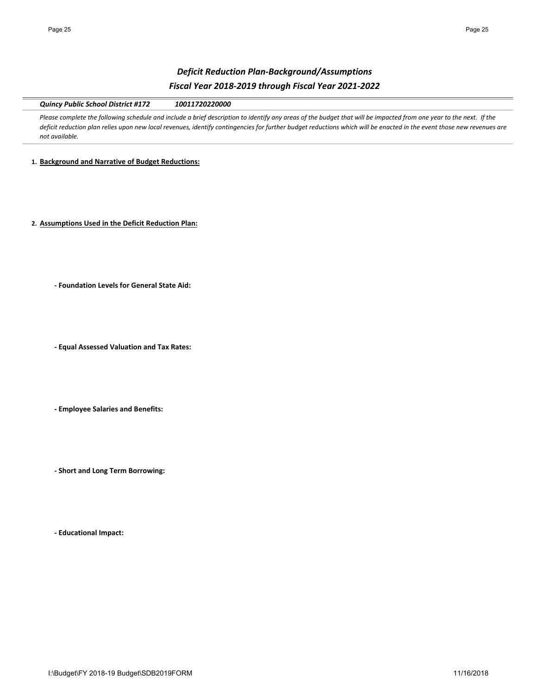# *Deficit Reduction Plan‐Background/Assumptions Fiscal Year 2018‐2019 through Fiscal Year 2021‐2022*

*Quincy Public School District #172 10011720220000*

Please complete the following schedule and include a brief description to identify any areas of the budget that will be impacted from one year to the next. If the *deficit reduction plan relies upon new local revenues, identify contingencies for further budget reductions which will be enacted in the event those new revenues are not available.* 

**1. Background and Narrative of Budget Reductions:**

**2. Assumptions Used in the Deficit Reduction Plan:**

**‐ Foundation Levels for General State Aid:**

**‐ Equal Assessed Valuation and Tax Rates:**

**‐ Employee Salaries and Benefits:**

**‐ Short and Long Term Borrowing:**

**‐ Educational Impact:**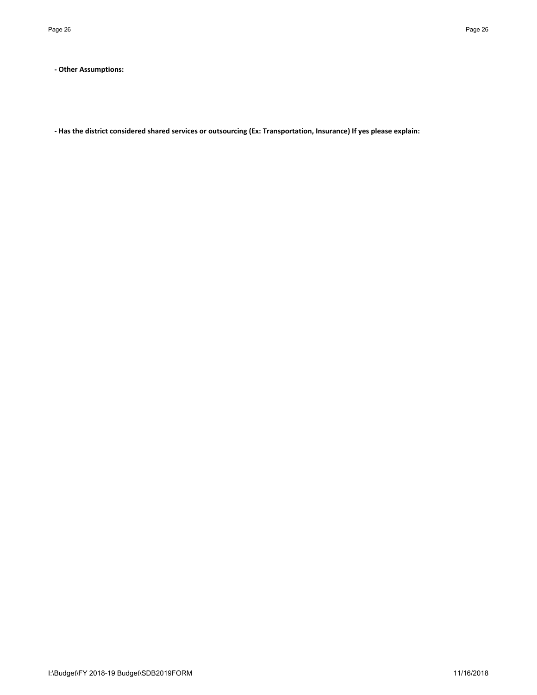**‐ Other Assumptions:**

**‐ Has the district considered shared services or outsourcing (Ex: Transportation, Insurance) If yes please explain:**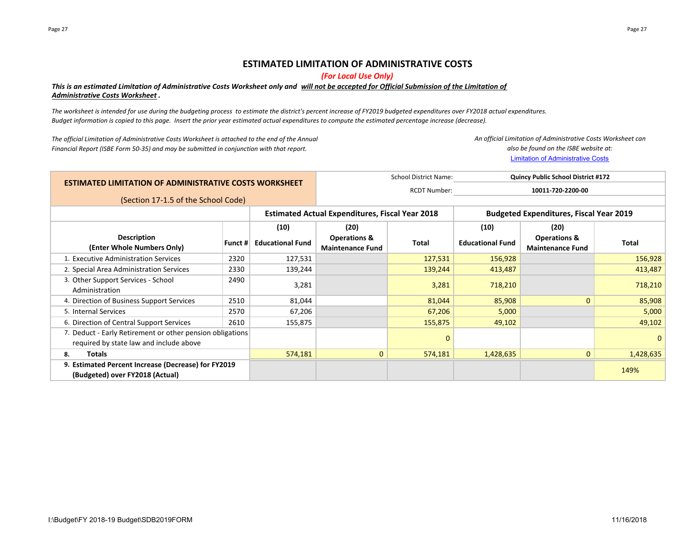## **ESTIMATED LIMITATION OF ADMINISTRATIVE COSTS**

*(For Local Use Only)*

## *This is an estimated Limitation of Administrative Costs Worksheet only and will not be accepted for Official Submission of the Limitation of Administrative Costs Worksheet .*

*The worksheet is intended for use during the budgeting process to estimate the district's percent increase of FY2019 budgeted expenditures over FY2018 actual expenditures. Budget information is copied to this page. Insert the prior year estimated actual expenditures to compute the estimated percentage increase (decrease).*

*The official Limitation of Administrative Costs Worksheet is attached to the end of the Annual Financial Report (ISBE Form 50‐35) and may be submitted in conjunction with that report.*

Limitation of Administrative Costs *An official Limitation of Administrative Costs Worksheet can also be found on the ISBE website at:*

|                                                                                                      | <b>School District Name:</b><br><b>Quincy Public School District #172</b> |                         |                                                        |             |                                                |                                                    |             |  |
|------------------------------------------------------------------------------------------------------|---------------------------------------------------------------------------|-------------------------|--------------------------------------------------------|-------------|------------------------------------------------|----------------------------------------------------|-------------|--|
| <b>ESTIMATED LIMITATION OF ADMINISTRATIVE COSTS WORKSHEET</b>                                        |                                                                           | <b>RCDT Number:</b>     | 10011-720-2200-00                                      |             |                                                |                                                    |             |  |
| (Section 17-1.5 of the School Code)                                                                  |                                                                           |                         |                                                        |             |                                                |                                                    |             |  |
|                                                                                                      |                                                                           |                         | <b>Estimated Actual Expenditures, Fiscal Year 2018</b> |             | <b>Budgeted Expenditures, Fiscal Year 2019</b> |                                                    |             |  |
|                                                                                                      |                                                                           | (10)                    | (20)                                                   |             | (10)<br>(20)                                   |                                                    |             |  |
| <b>Description</b><br>(Enter Whole Numbers Only)                                                     | Funct #                                                                   | <b>Educational Fund</b> | <b>Operations &amp;</b><br><b>Maintenance Fund</b>     | Total       | <b>Educational Fund</b>                        | <b>Operations &amp;</b><br><b>Maintenance Fund</b> | Total       |  |
| 1. Executive Administration Services                                                                 | 2320                                                                      | 127,531                 |                                                        | 127,531     | 156,928                                        |                                                    | 156,928     |  |
| 2. Special Area Administration Services                                                              | 2330                                                                      | 139,244                 |                                                        | 139,244     | 413,487                                        |                                                    | 413,487     |  |
| 3. Other Support Services - School<br>Administration                                                 | 2490                                                                      | 3,281                   |                                                        | 3,281       | 718,210                                        |                                                    | 718,210     |  |
| 4. Direction of Business Support Services                                                            | 2510                                                                      | 81,044                  |                                                        | 81,044      | 85,908                                         | $\mathbf{0}$                                       | 85,908      |  |
| 5. Internal Services                                                                                 | 2570                                                                      | 67,206                  |                                                        | 67,206      | 5,000                                          |                                                    | 5,000       |  |
| 6. Direction of Central Support Services                                                             | 2610                                                                      | 155,875                 |                                                        | 155,875     | 49,102                                         |                                                    | 49,102      |  |
| 7. Deduct - Early Retirement or other pension obligations<br>required by state law and include above |                                                                           |                         |                                                        | $\mathbf 0$ |                                                |                                                    | $\mathbf 0$ |  |
| 8.<br>Totals                                                                                         |                                                                           | 574,181                 | $\mathbf{0}$                                           | 574,181     | 1,428,635                                      | $\mathbf 0$                                        | 1,428,635   |  |
| 9. Estimated Percent Increase (Decrease) for FY2019<br>(Budgeted) over FY2018 (Actual)               |                                                                           |                         |                                                        |             |                                                |                                                    | 149%        |  |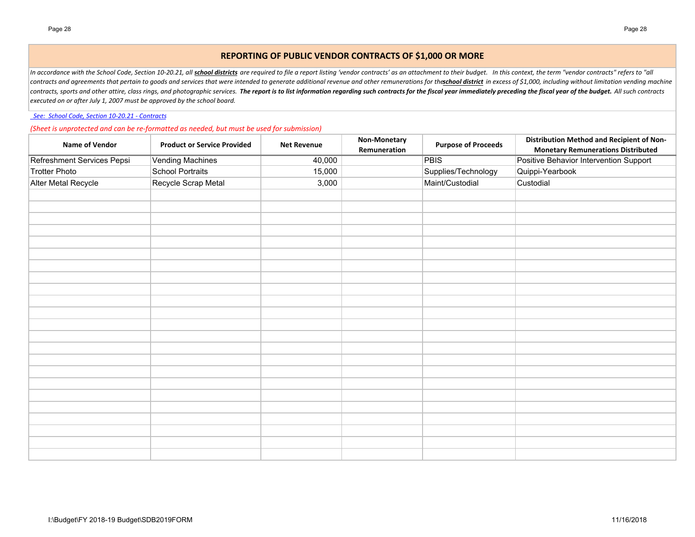## **REPORTING OF PUBLIC VENDOR CONTRACTS OF \$1,000 OR MORE**

In accordance with the School Code, Section 10-20.21, all *school districts* are required to file a report listing 'vendor contracts' as an attachment to their budget. In this context, the term "vendor contracts" refers to contracts and agreements that pertain to goods and services that were intended to generate additional revenue and other remunerations for theschool district in excess of \$1,000, including without limitation vending machine contracts, sports and other attire, class rings, and photographic services. The report is to list information regarding such contracts for the fiscal year immediately preceding the fiscal year of the budget. All such contr *executed on or after July 1, 2007 must be approved by the school board.*

 *See: School Code, Section 10‐20.21 ‐ Contracts*

*(Sheet is unprotected and can be re‐formatted as needed, but must be used for submission)*

| <b>Name of Vendor</b>      | <b>Product or Service Provided</b> | <b>Net Revenue</b> | Non-Monetary<br>Remuneration | <b>Purpose of Proceeds</b> | Distribution Method and Recipient of Non-<br><b>Monetary Remunerations Distributed</b> |
|----------------------------|------------------------------------|--------------------|------------------------------|----------------------------|----------------------------------------------------------------------------------------|
| Refreshment Services Pepsi | <b>Vending Machines</b>            | 40,000             |                              | <b>PBIS</b>                | Positive Behavior Intervention Support                                                 |
| <b>Trotter Photo</b>       | <b>School Portraits</b>            | 15,000             |                              | Supplies/Technology        | Quippi-Yearbook                                                                        |
| Alter Metal Recycle        | Recycle Scrap Metal                | 3,000              |                              | Maint/Custodial            | Custodial                                                                              |
|                            |                                    |                    |                              |                            |                                                                                        |
|                            |                                    |                    |                              |                            |                                                                                        |
|                            |                                    |                    |                              |                            |                                                                                        |
|                            |                                    |                    |                              |                            |                                                                                        |
|                            |                                    |                    |                              |                            |                                                                                        |
|                            |                                    |                    |                              |                            |                                                                                        |
|                            |                                    |                    |                              |                            |                                                                                        |
|                            |                                    |                    |                              |                            |                                                                                        |
|                            |                                    |                    |                              |                            |                                                                                        |
|                            |                                    |                    |                              |                            |                                                                                        |
|                            |                                    |                    |                              |                            |                                                                                        |
|                            |                                    |                    |                              |                            |                                                                                        |
|                            |                                    |                    |                              |                            |                                                                                        |
|                            |                                    |                    |                              |                            |                                                                                        |
|                            |                                    |                    |                              |                            |                                                                                        |
|                            |                                    |                    |                              |                            |                                                                                        |
|                            |                                    |                    |                              |                            |                                                                                        |
|                            |                                    |                    |                              |                            |                                                                                        |
|                            |                                    |                    |                              |                            |                                                                                        |
|                            |                                    |                    |                              |                            |                                                                                        |
|                            |                                    |                    |                              |                            |                                                                                        |
|                            |                                    |                    |                              |                            |                                                                                        |
|                            |                                    |                    |                              |                            |                                                                                        |